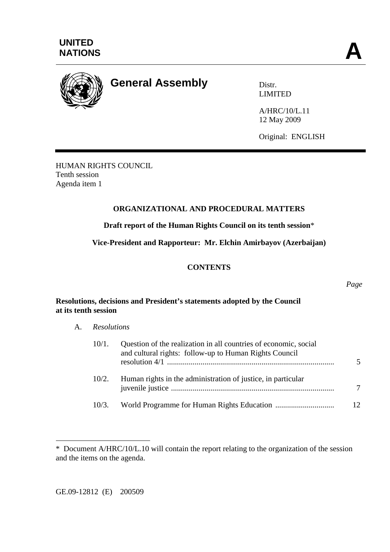



# **General Assembly** Distr.

LIMITED

A/HRC/10/L.11 12 May 2009

Original: ENGLISH

HUMAN RIGHTS COUNCIL Tenth session Agenda item 1

# **ORGANIZATIONAL AND PROCEDURAL MATTERS**

**Draft report of the Human Rights Council on its tenth session**\*

**Vice-President and Rapporteur: Mr. Elchin Amirbayov (Azerbaijan)** 

# **CONTENTS**

#### **Resolutions, decisions and President's statements adopted by the Council at its tenth session**

#### A. *Resolutions*

| 10/1. | Question of the realization in all countries of economic, social<br>and cultural rights: follow-up to Human Rights Council |    |
|-------|----------------------------------------------------------------------------------------------------------------------------|----|
| 10/2. | Human rights in the administration of justice, in particular                                                               |    |
| 10/3. |                                                                                                                            | 12 |

GE.09-12812 (E) 200509

 $\overline{a}$ 

<sup>\*</sup> Document A/HRC/10/L.10 will contain the report relating to the organization of the session and the items on the agenda.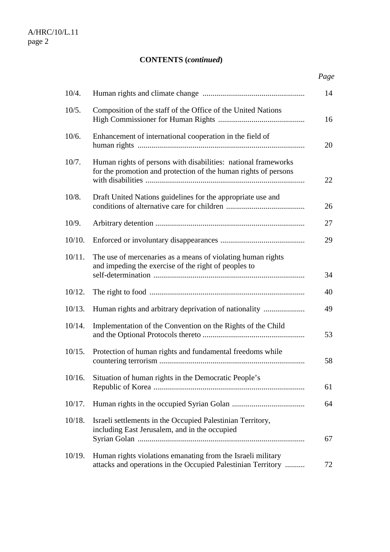# **CONTENTS (***continued***)**

|        |                                                                                                                                   | Page |
|--------|-----------------------------------------------------------------------------------------------------------------------------------|------|
| 10/4.  |                                                                                                                                   | 14   |
| 10/5.  | Composition of the staff of the Office of the United Nations                                                                      | 16   |
| 10/6.  | Enhancement of international cooperation in the field of                                                                          | 20   |
| 10/7.  | Human rights of persons with disabilities: national frameworks<br>for the promotion and protection of the human rights of persons | 22   |
| 10/8.  | Draft United Nations guidelines for the appropriate use and                                                                       | 26   |
| 10/9.  |                                                                                                                                   | 27   |
| 10/10. |                                                                                                                                   | 29   |
| 10/11. | The use of mercenaries as a means of violating human rights<br>and impeding the exercise of the right of peoples to               | 34   |
| 10/12. |                                                                                                                                   | 40   |
| 10/13. | Human rights and arbitrary deprivation of nationality                                                                             | 49   |
| 10/14. | Implementation of the Convention on the Rights of the Child                                                                       | 53   |
| 10/15. | Protection of human rights and fundamental freedoms while                                                                         | 58   |
| 10/16. | Situation of human rights in the Democratic People's                                                                              | 61   |
| 10/17. |                                                                                                                                   | 64   |
| 10/18. | Israeli settlements in the Occupied Palestinian Territory,<br>including East Jerusalem, and in the occupied                       | 67   |
| 10/19. | Human rights violations emanating from the Israeli military<br>attacks and operations in the Occupied Palestinian Territory       | 72   |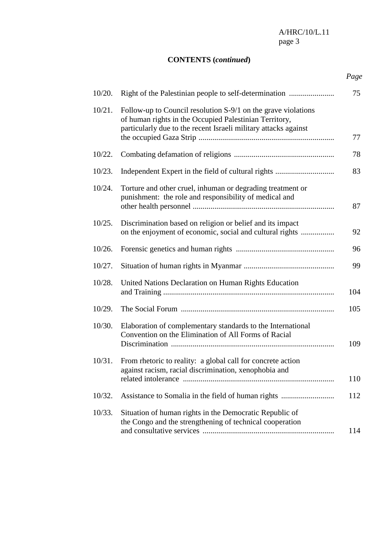# **CONTENTS (***continued***)**

|           |                                                                                                                                                                                            | Page |
|-----------|--------------------------------------------------------------------------------------------------------------------------------------------------------------------------------------------|------|
| 10/20.    |                                                                                                                                                                                            | 75   |
| 10/21.    | Follow-up to Council resolution S-9/1 on the grave violations<br>of human rights in the Occupied Palestinian Territory,<br>particularly due to the recent Israeli military attacks against | 77   |
| 10/22.    |                                                                                                                                                                                            | 78   |
| $10/23$ . |                                                                                                                                                                                            | 83   |
| 10/24.    | Torture and other cruel, inhuman or degrading treatment or<br>punishment: the role and responsibility of medical and                                                                       | 87   |
| 10/25.    | Discrimination based on religion or belief and its impact<br>on the enjoyment of economic, social and cultural rights                                                                      | 92   |
| 10/26.    |                                                                                                                                                                                            | 96   |
| 10/27.    |                                                                                                                                                                                            | 99   |
| 10/28.    | United Nations Declaration on Human Rights Education                                                                                                                                       | 104  |
| 10/29.    |                                                                                                                                                                                            | 105  |
| 10/30.    | Elaboration of complementary standards to the International<br>Convention on the Elimination of All Forms of Racial                                                                        | 109  |
| 10/31.    | From rhetoric to reality: a global call for concrete action<br>against racism, racial discrimination, xenophobia and                                                                       | 110  |
| 10/32.    |                                                                                                                                                                                            | 112  |
| 10/33.    | Situation of human rights in the Democratic Republic of<br>the Congo and the strengthening of technical cooperation                                                                        | 114  |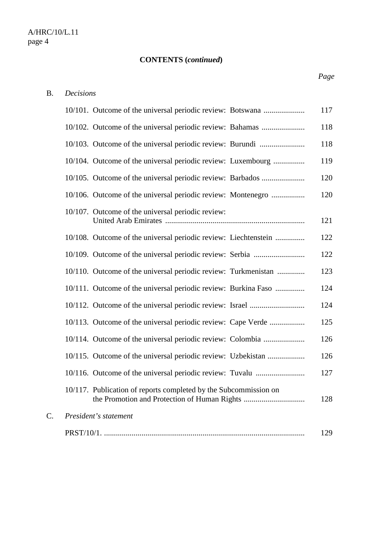# **CONTENTS (***continued***)**

|    | 10/101. Outcome of the universal periodic review: Botswana       | 117 |
|----|------------------------------------------------------------------|-----|
|    | 10/102. Outcome of the universal periodic review: Bahamas        | 118 |
|    | 10/103. Outcome of the universal periodic review: Burundi        | 118 |
|    | 10/104. Outcome of the universal periodic review: Luxembourg     | 119 |
|    | 10/105. Outcome of the universal periodic review: Barbados       | 120 |
|    | 10/106. Outcome of the universal periodic review: Montenegro     | 120 |
|    | 10/107. Outcome of the universal periodic review:                | 121 |
|    | 10/108. Outcome of the universal periodic review: Liechtenstein  | 122 |
|    | 10/109. Outcome of the universal periodic review: Serbia         | 122 |
|    | 10/110. Outcome of the universal periodic review: Turkmenistan   | 123 |
|    | 10/111. Outcome of the universal periodic review: Burkina Faso   | 124 |
|    |                                                                  | 124 |
|    | 10/113. Outcome of the universal periodic review: Cape Verde     | 125 |
|    | 10/114. Outcome of the universal periodic review: Colombia       | 126 |
|    | 10/115. Outcome of the universal periodic review: Uzbekistan     | 126 |
|    | 10/116. Outcome of the universal periodic review: Tuvalu         | 127 |
|    | 10/117. Publication of reports completed by the Subcommission on | 128 |
| C. | President's statement                                            |     |
|    |                                                                  | 129 |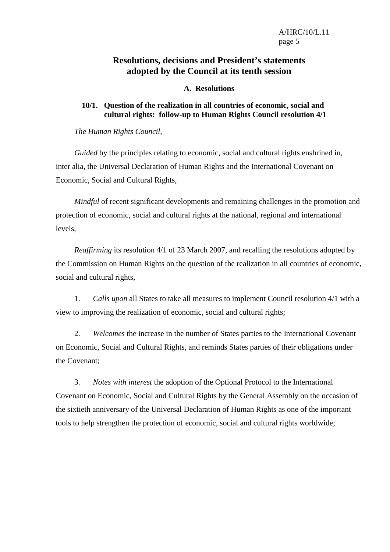# **Resolutions, decisions and President's statements adopted by the Council at its tenth session**

### **A. Resolutions**

# **10/1. Question of the realization in all countries of economic, social and cultural rights: follow-up to Human Rights Council resolution 4/1**

*The Human Rights Council*,

*Guided* by the principles relating to economic, social and cultural rights enshrined in, inter alia, the Universal Declaration of Human Rights and the International Covenant on Economic, Social and Cultural Rights,

*Mindful* of recent significant developments and remaining challenges in the promotion and protection of economic, social and cultural rights at the national, regional and international levels,

*Reaffirming* its resolution 4/1 of 23 March 2007, and recalling the resolutions adopted by the Commission on Human Rights on the question of the realization in all countries of economic, social and cultural rights,

 1. *Calls upon* all States to take all measures to implement Council resolution 4/1 with a view to improving the realization of economic, social and cultural rights;

 2. *Welcomes* the increase in the number of States parties to the International Covenant on Economic, Social and Cultural Rights, and reminds States parties of their obligations under the Covenant;

 3. *Notes with interest* the adoption of the Optional Protocol to the International Covenant on Economic, Social and Cultural Rights by the General Assembly on the occasion of the sixtieth anniversary of the Universal Declaration of Human Rights as one of the important tools to help strengthen the protection of economic, social and cultural rights worldwide;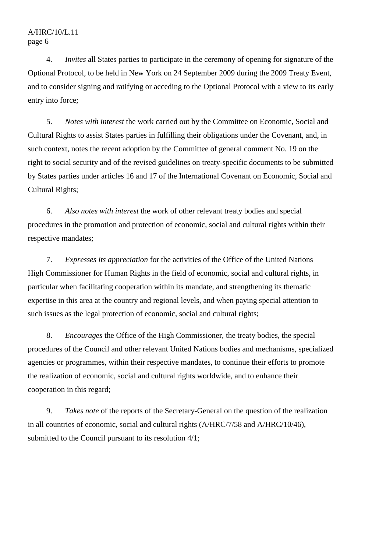4. *Invites* all States parties to participate in the ceremony of opening for signature of the Optional Protocol, to be held in New York on 24 September 2009 during the 2009 Treaty Event, and to consider signing and ratifying or acceding to the Optional Protocol with a view to its early entry into force;

 5. *Notes with interest* the work carried out by the Committee on Economic, Social and Cultural Rights to assist States parties in fulfilling their obligations under the Covenant, and, in such context, notes the recent adoption by the Committee of general comment No. 19 on the right to social security and of the revised guidelines on treaty-specific documents to be submitted by States parties under articles 16 and 17 of the International Covenant on Economic, Social and Cultural Rights;

 6. *Also notes with interest* the work of other relevant treaty bodies and special procedures in the promotion and protection of economic, social and cultural rights within their respective mandates;

 7. *Expresses its appreciation* for the activities of the Office of the United Nations High Commissioner for Human Rights in the field of economic, social and cultural rights, in particular when facilitating cooperation within its mandate, and strengthening its thematic expertise in this area at the country and regional levels, and when paying special attention to such issues as the legal protection of economic, social and cultural rights;

 8. *Encourages* the Office of the High Commissioner, the treaty bodies, the special procedures of the Council and other relevant United Nations bodies and mechanisms, specialized agencies or programmes, within their respective mandates, to continue their efforts to promote the realization of economic, social and cultural rights worldwide, and to enhance their cooperation in this regard;

 9. *Takes note* of the reports of the Secretary-General on the question of the realization in all countries of economic, social and cultural rights (A/HRC/7/58 and A/HRC/10/46), submitted to the Council pursuant to its resolution  $4/1$ ;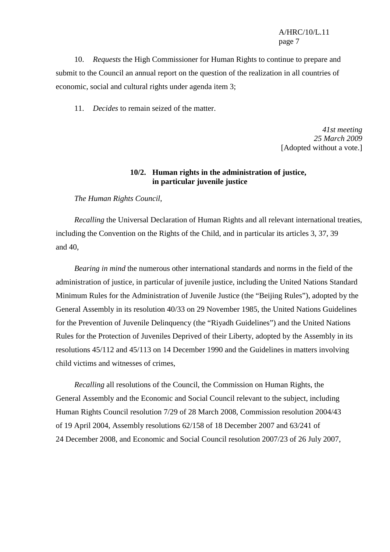10. *Requests* the High Commissioner for Human Rights to continue to prepare and submit to the Council an annual report on the question of the realization in all countries of economic, social and cultural rights under agenda item 3;

11. *Decides* to remain seized of the matter.

*41st meeting 25 March 2009*  [Adopted without a vote.]

#### **10/2. Human rights in the administration of justice, in particular juvenile justice**

 *The Human Rights Council*,

 *Recalling* the Universal Declaration of Human Rights and all relevant international treaties, including the Convention on the Rights of the Child, and in particular its articles 3, 37, 39 and 40,

 *Bearing in mind* the numerous other international standards and norms in the field of the administration of justice, in particular of juvenile justice, including the United Nations Standard Minimum Rules for the Administration of Juvenile Justice (the "Beijing Rules"), adopted by the General Assembly in its resolution 40/33 on 29 November 1985, the United Nations Guidelines for the Prevention of Juvenile Delinquency (the "Riyadh Guidelines") and the United Nations Rules for the Protection of Juveniles Deprived of their Liberty, adopted by the Assembly in its resolutions 45/112 and 45/113 on 14 December 1990 and the Guidelines in matters involving child victims and witnesses of crimes,

 *Recalling* all resolutions of the Council, the Commission on Human Rights, the General Assembly and the Economic and Social Council relevant to the subject, including Human Rights Council resolution 7/29 of 28 March 2008, Commission resolution 2004/43 of 19 April 2004, Assembly resolutions 62/158 of 18 December 2007 and 63/241 of 24 December 2008, and Economic and Social Council resolution 2007/23 of 26 July 2007,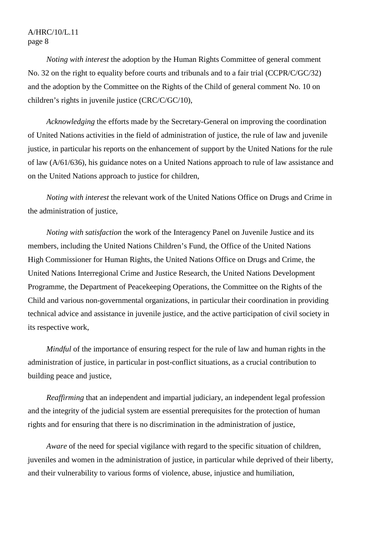*Noting with interest* the adoption by the Human Rights Committee of general comment No. 32 on the right to equality before courts and tribunals and to a fair trial (CCPR/C/GC/32) and the adoption by the Committee on the Rights of the Child of general comment No. 10 on children's rights in juvenile justice (CRC/C/GC/10),

 *Acknowledging* the efforts made by the Secretary-General on improving the coordination of United Nations activities in the field of administration of justice, the rule of law and juvenile justice, in particular his reports on the enhancement of support by the United Nations for the rule of law (A/61/636), his guidance notes on a United Nations approach to rule of law assistance and on the United Nations approach to justice for children,

*Noting with interest* the relevant work of the United Nations Office on Drugs and Crime in the administration of justice,

 *Noting with satisfaction* the work of the Interagency Panel on Juvenile Justice and its members, including the United Nations Children's Fund, the Office of the United Nations High Commissioner for Human Rights, the United Nations Office on Drugs and Crime, the United Nations Interregional Crime and Justice Research, the United Nations Development Programme, the Department of Peacekeeping Operations, the Committee on the Rights of the Child and various non-governmental organizations, in particular their coordination in providing technical advice and assistance in juvenile justice, and the active participation of civil society in its respective work,

 *Mindful* of the importance of ensuring respect for the rule of law and human rights in the administration of justice, in particular in post-conflict situations, as a crucial contribution to building peace and justice,

 *Reaffirming* that an independent and impartial judiciary, an independent legal profession and the integrity of the judicial system are essential prerequisites for the protection of human rights and for ensuring that there is no discrimination in the administration of justice,

 *Aware* of the need for special vigilance with regard to the specific situation of children, juveniles and women in the administration of justice, in particular while deprived of their liberty, and their vulnerability to various forms of violence, abuse, injustice and humiliation,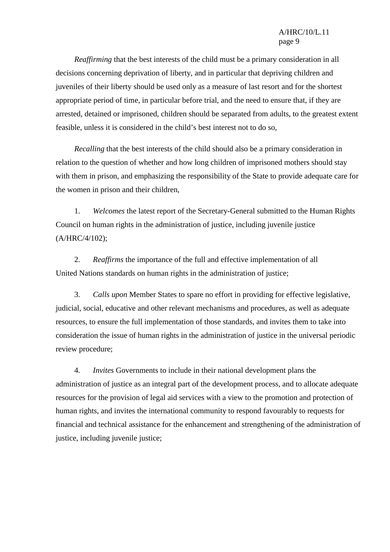*Reaffirming* that the best interests of the child must be a primary consideration in all decisions concerning deprivation of liberty, and in particular that depriving children and juveniles of their liberty should be used only as a measure of last resort and for the shortest appropriate period of time, in particular before trial, and the need to ensure that, if they are arrested, detained or imprisoned, children should be separated from adults, to the greatest extent feasible, unless it is considered in the child's best interest not to do so,

*Recalling* that the best interests of the child should also be a primary consideration in relation to the question of whether and how long children of imprisoned mothers should stay with them in prison, and emphasizing the responsibility of the State to provide adequate care for the women in prison and their children,

 1. *Welcomes* the latest report of the Secretary-General submitted to the Human Rights Council on human rights in the administration of justice, including juvenile justice (A/HRC/4/102);

 2. *Reaffirms* the importance of the full and effective implementation of all United Nations standards on human rights in the administration of justice;

 3. *Calls upon* Member States to spare no effort in providing for effective legislative, judicial, social, educative and other relevant mechanisms and procedures, as well as adequate resources, to ensure the full implementation of those standards, and invites them to take into consideration the issue of human rights in the administration of justice in the universal periodic review procedure;

 4. *Invites* Governments to include in their national development plans the administration of justice as an integral part of the development process, and to allocate adequate resources for the provision of legal aid services with a view to the promotion and protection of human rights, and invites the international community to respond favourably to requests for financial and technical assistance for the enhancement and strengthening of the administration of justice, including juvenile justice;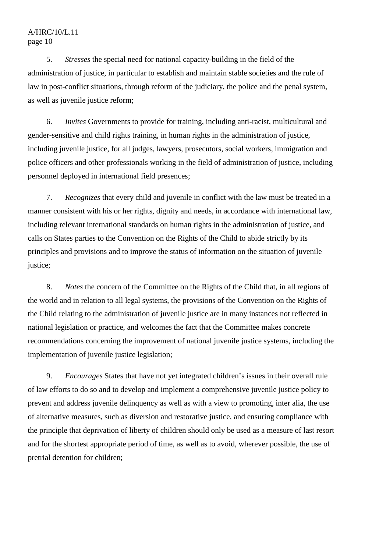5. *Stresses* the special need for national capacity-building in the field of the administration of justice, in particular to establish and maintain stable societies and the rule of law in post-conflict situations, through reform of the judiciary, the police and the penal system, as well as juvenile justice reform;

 6. *Invites* Governments to provide for training, including anti-racist, multicultural and gender-sensitive and child rights training, in human rights in the administration of justice, including juvenile justice, for all judges, lawyers, prosecutors, social workers, immigration and police officers and other professionals working in the field of administration of justice, including personnel deployed in international field presences;

 7. *Recognizes* that every child and juvenile in conflict with the law must be treated in a manner consistent with his or her rights, dignity and needs, in accordance with international law, including relevant international standards on human rights in the administration of justice, and calls on States parties to the Convention on the Rights of the Child to abide strictly by its principles and provisions and to improve the status of information on the situation of juvenile justice;

 8. *Notes* the concern of the Committee on the Rights of the Child that, in all regions of the world and in relation to all legal systems, the provisions of the Convention on the Rights of the Child relating to the administration of juvenile justice are in many instances not reflected in national legislation or practice, and welcomes the fact that the Committee makes concrete recommendations concerning the improvement of national juvenile justice systems, including the implementation of juvenile justice legislation;

 9. *Encourages* States that have not yet integrated children's issues in their overall rule of law efforts to do so and to develop and implement a comprehensive juvenile justice policy to prevent and address juvenile delinquency as well as with a view to promoting, inter alia, the use of alternative measures, such as diversion and restorative justice, and ensuring compliance with the principle that deprivation of liberty of children should only be used as a measure of last resort and for the shortest appropriate period of time, as well as to avoid, wherever possible, the use of pretrial detention for children;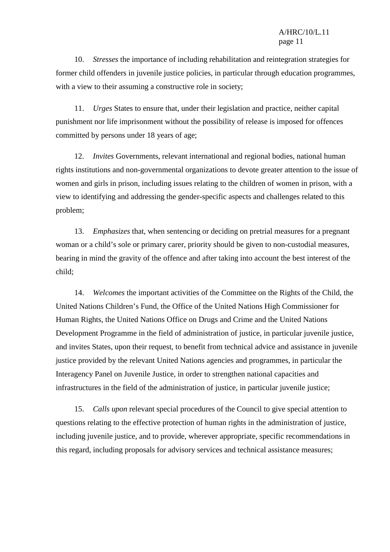10. *Stresses* the importance of including rehabilitation and reintegration strategies for former child offenders in juvenile justice policies, in particular through education programmes, with a view to their assuming a constructive role in society;

 11. *Urges* States to ensure that, under their legislation and practice, neither capital punishment nor life imprisonment without the possibility of release is imposed for offences committed by persons under 18 years of age;

 12. *Invites* Governments, relevant international and regional bodies, national human rights institutions and non-governmental organizations to devote greater attention to the issue of women and girls in prison, including issues relating to the children of women in prison, with a view to identifying and addressing the gender-specific aspects and challenges related to this problem;

 13. *Emphasizes* that, when sentencing or deciding on pretrial measures for a pregnant woman or a child's sole or primary carer, priority should be given to non-custodial measures, bearing in mind the gravity of the offence and after taking into account the best interest of the child;

 14. *Welcomes* the important activities of the Committee on the Rights of the Child, the United Nations Children's Fund, the Office of the United Nations High Commissioner for Human Rights, the United Nations Office on Drugs and Crime and the United Nations Development Programme in the field of administration of justice, in particular juvenile justice, and invites States, upon their request, to benefit from technical advice and assistance in juvenile justice provided by the relevant United Nations agencies and programmes, in particular the Interagency Panel on Juvenile Justice, in order to strengthen national capacities and infrastructures in the field of the administration of justice, in particular juvenile justice;

 15. *Calls upon* relevant special procedures of the Council to give special attention to questions relating to the effective protection of human rights in the administration of justice, including juvenile justice, and to provide, wherever appropriate, specific recommendations in this regard, including proposals for advisory services and technical assistance measures;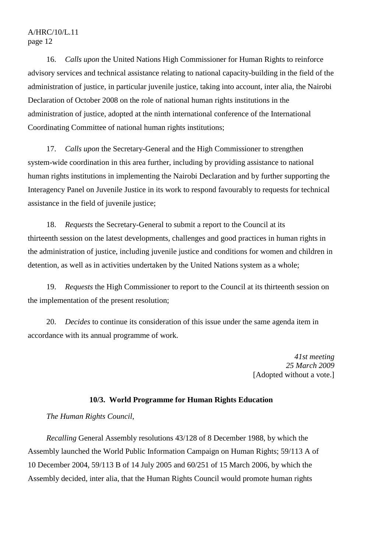16. *Calls upon* the United Nations High Commissioner for Human Rights to reinforce advisory services and technical assistance relating to national capacity-building in the field of the administration of justice, in particular juvenile justice, taking into account, inter alia, the Nairobi Declaration of October 2008 on the role of national human rights institutions in the administration of justice, adopted at the ninth international conference of the International Coordinating Committee of national human rights institutions;

 17. *Calls upon* the Secretary-General and the High Commissioner to strengthen system-wide coordination in this area further, including by providing assistance to national human rights institutions in implementing the Nairobi Declaration and by further supporting the Interagency Panel on Juvenile Justice in its work to respond favourably to requests for technical assistance in the field of juvenile justice;

18. *Requests* the Secretary-General to submit a report to the Council at its thirteenth session on the latest developments, challenges and good practices in human rights in the administration of justice, including juvenile justice and conditions for women and children in detention, as well as in activities undertaken by the United Nations system as a whole;

 19. *Requests* the High Commissioner to report to the Council at its thirteenth session on the implementation of the present resolution;

 20. *Decides* to continue its consideration of this issue under the same agenda item in accordance with its annual programme of work.

> *41st meeting 25 March 2009* [Adopted without a vote.]

#### **10/3. World Programme for Human Rights Education**

# *The Human Rights Council*,

 *Recalling* General Assembly resolutions 43/128 of 8 December 1988, by which the Assembly launched the World Public Information Campaign on Human Rights; 59/113 A of 10 December 2004, 59/113 B of 14 July 2005 and 60/251 of 15 March 2006, by which the Assembly decided, inter alia, that the Human Rights Council would promote human rights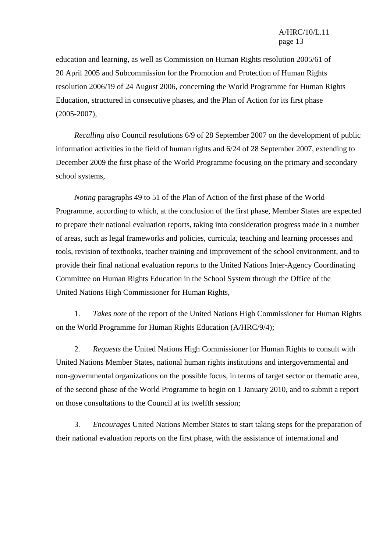education and learning, as well as Commission on Human Rights resolution 2005/61 of 20 April 2005 and Subcommission for the Promotion and Protection of Human Rights resolution 2006/19 of 24 August 2006, concerning the World Programme for Human Rights Education, structured in consecutive phases, and the Plan of Action for its first phase (2005-2007),

 *Recalling also* Council resolutions 6/9 of 28 September 2007 on the development of public information activities in the field of human rights and 6/24 of 28 September 2007, extending to December 2009 the first phase of the World Programme focusing on the primary and secondary school systems,

 *Noting* paragraphs 49 to 51 of the Plan of Action of the first phase of the World Programme, according to which, at the conclusion of the first phase, Member States are expected to prepare their national evaluation reports, taking into consideration progress made in a number of areas, such as legal frameworks and policies, curricula, teaching and learning processes and tools, revision of textbooks, teacher training and improvement of the school environment, and to provide their final national evaluation reports to the United Nations Inter-Agency Coordinating Committee on Human Rights Education in the School System through the Office of the United Nations High Commissioner for Human Rights,

 1. *Takes note* of the report of the United Nations High Commissioner for Human Rights on the World Programme for Human Rights Education (A/HRC/9/4);

 2. *Requests* the United Nations High Commissioner for Human Rights to consult with United Nations Member States, national human rights institutions and intergovernmental and non-governmental organizations on the possible focus, in terms of target sector or thematic area, of the second phase of the World Programme to begin on 1 January 2010, and to submit a report on those consultations to the Council at its twelfth session;

 3. *Encourages* United Nations Member States to start taking steps for the preparation of their national evaluation reports on the first phase, with the assistance of international and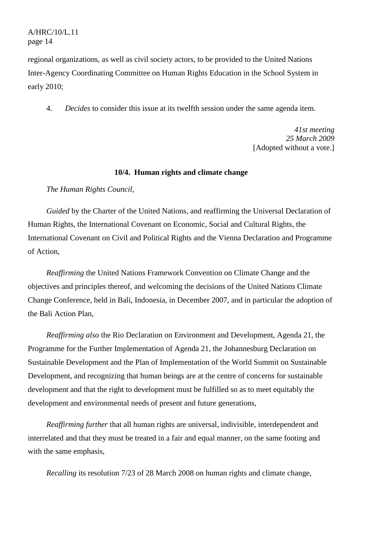regional organizations, as well as civil society actors, to be provided to the United Nations Inter-Agency Coordinating Committee on Human Rights Education in the School System in early 2010;

4. *Decides* to consider this issue at its twelfth session under the same agenda item.

*41st meeting 25 March 2009*  [Adopted without a vote.]

#### **10/4. Human rights and climate change**

#### *The Human Rights Council*,

 *Guided* by the Charter of the United Nations, and reaffirming the Universal Declaration of Human Rights, the International Covenant on Economic, Social and Cultural Rights, the International Covenant on Civil and Political Rights and the Vienna Declaration and Programme of Action,

 *Reaffirming* the United Nations Framework Convention on Climate Change and the objectives and principles thereof, and welcoming the decisions of the United Nations Climate Change Conference, held in Bali, Indonesia, in December 2007, and in particular the adoption of the Bali Action Plan,

 *Reaffirming also* the Rio Declaration on Environment and Development, Agenda 21, the Programme for the Further Implementation of Agenda 21, the Johannesburg Declaration on Sustainable Development and the Plan of Implementation of the World Summit on Sustainable Development, and recognizing that human beings are at the centre of concerns for sustainable development and that the right to development must be fulfilled so as to meet equitably the development and environmental needs of present and future generations,

 *Reaffirming further* that all human rights are universal, indivisible, interdependent and interrelated and that they must be treated in a fair and equal manner, on the same footing and with the same emphasis,

 *Recalling* its resolution 7/23 of 28 March 2008 on human rights and climate change,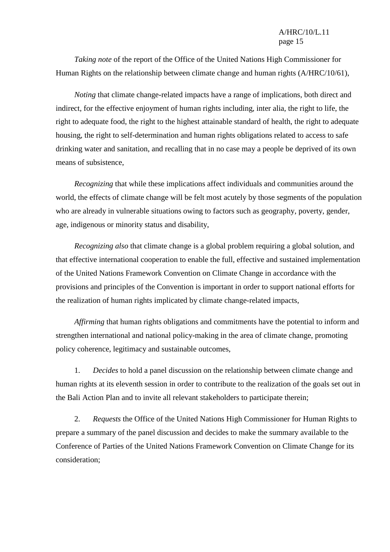*Taking note* of the report of the Office of the United Nations High Commissioner for Human Rights on the relationship between climate change and human rights (A/HRC/10/61),

 *Noting* that climate change-related impacts have a range of implications, both direct and indirect, for the effective enjoyment of human rights including, inter alia, the right to life, the right to adequate food, the right to the highest attainable standard of health, the right to adequate housing, the right to self-determination and human rights obligations related to access to safe drinking water and sanitation, and recalling that in no case may a people be deprived of its own means of subsistence,

 *Recognizing* that while these implications affect individuals and communities around the world, the effects of climate change will be felt most acutely by those segments of the population who are already in vulnerable situations owing to factors such as geography, poverty, gender, age, indigenous or minority status and disability,

 *Recognizing also* that climate change is a global problem requiring a global solution, and that effective international cooperation to enable the full, effective and sustained implementation of the United Nations Framework Convention on Climate Change in accordance with the provisions and principles of the Convention is important in order to support national efforts for the realization of human rights implicated by climate change-related impacts,

 *Affirming* that human rights obligations and commitments have the potential to inform and strengthen international and national policy-making in the area of climate change, promoting policy coherence, legitimacy and sustainable outcomes,

1. *Decides* to hold a panel discussion on the relationship between climate change and human rights at its eleventh session in order to contribute to the realization of the goals set out in the Bali Action Plan and to invite all relevant stakeholders to participate therein;

 2. *Requests* the Office of the United Nations High Commissioner for Human Rights to prepare a summary of the panel discussion and decides to make the summary available to the Conference of Parties of the United Nations Framework Convention on Climate Change for its consideration;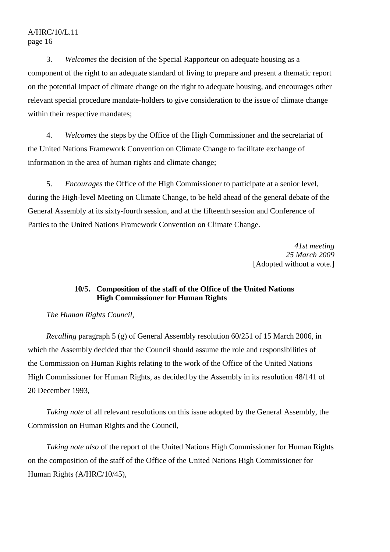3. *Welcomes* the decision of the Special Rapporteur on adequate housing as a component of the right to an adequate standard of living to prepare and present a thematic report on the potential impact of climate change on the right to adequate housing, and encourages other relevant special procedure mandate-holders to give consideration to the issue of climate change within their respective mandates;

4. *Welcomes* the steps by the Office of the High Commissioner and the secretariat of the United Nations Framework Convention on Climate Change to facilitate exchange of information in the area of human rights and climate change;

 5. *Encourages* the Office of the High Commissioner to participate at a senior level, during the High-level Meeting on Climate Change, to be held ahead of the general debate of the General Assembly at its sixty-fourth session, and at the fifteenth session and Conference of Parties to the United Nations Framework Convention on Climate Change.

> *41st meeting 25 March 2009*  [Adopted without a vote.]

# **10/5. Composition of the staff of the Office of the United Nations High Commissioner for Human Rights**

# *The Human Rights Council*,

 *Recalling* paragraph 5 (g) of General Assembly resolution 60/251 of 15 March 2006, in which the Assembly decided that the Council should assume the role and responsibilities of the Commission on Human Rights relating to the work of the Office of the United Nations High Commissioner for Human Rights, as decided by the Assembly in its resolution 48/141 of 20 December 1993,

 *Taking note* of all relevant resolutions on this issue adopted by the General Assembly, the Commission on Human Rights and the Council,

 *Taking note also* of the report of the United Nations High Commissioner for Human Rights on the composition of the staff of the Office of the United Nations High Commissioner for Human Rights (A/HRC/10/45),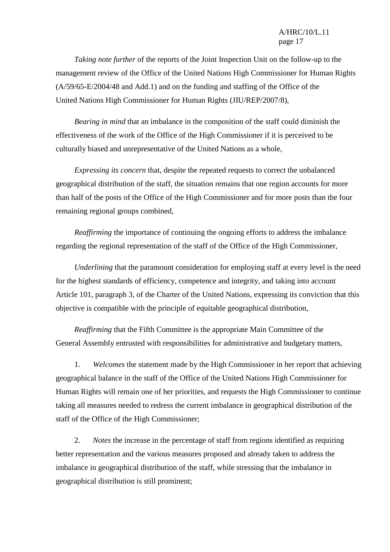*Taking note further* of the reports of the Joint Inspection Unit on the follow-up to the management review of the Office of the United Nations High Commissioner for Human Rights (A/59/65-E/2004/48 and Add.1) and on the funding and staffing of the Office of the United Nations High Commissioner for Human Rights (JIU/REP/2007/8),

 *Bearing in mind* that an imbalance in the composition of the staff could diminish the effectiveness of the work of the Office of the High Commissioner if it is perceived to be culturally biased and unrepresentative of the United Nations as a whole,

*Expressing its concern* that, despite the repeated requests to correct the unbalanced geographical distribution of the staff, the situation remains that one region accounts for more than half of the posts of the Office of the High Commissioner and for more posts than the four remaining regional groups combined,

*Reaffirming* the importance of continuing the ongoing efforts to address the imbalance regarding the regional representation of the staff of the Office of the High Commissioner,

*Underlining* that the paramount consideration for employing staff at every level is the need for the highest standards of efficiency, competence and integrity, and taking into account Article 101, paragraph 3, of the Charter of the United Nations, expressing its conviction that this objective is compatible with the principle of equitable geographical distribution,

 *Reaffirming* that the Fifth Committee is the appropriate Main Committee of the General Assembly entrusted with responsibilities for administrative and budgetary matters,

 1. *Welcomes* the statement made by the High Commissioner in her report that achieving geographical balance in the staff of the Office of the United Nations High Commissioner for Human Rights will remain one of her priorities, and requests the High Commissioner to continue taking all measures needed to redress the current imbalance in geographical distribution of the staff of the Office of the High Commissioner;

 2. *Notes* the increase in the percentage of staff from regions identified as requiring better representation and the various measures proposed and already taken to address the imbalance in geographical distribution of the staff, while stressing that the imbalance in geographical distribution is still prominent;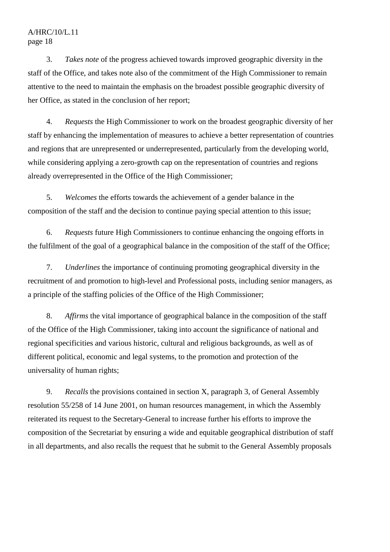3. *Takes note* of the progress achieved towards improved geographic diversity in the staff of the Office, and takes note also of the commitment of the High Commissioner to remain attentive to the need to maintain the emphasis on the broadest possible geographic diversity of her Office, as stated in the conclusion of her report;

 4. *Requests* the High Commissioner to work on the broadest geographic diversity of her staff by enhancing the implementation of measures to achieve a better representation of countries and regions that are unrepresented or underrepresented, particularly from the developing world, while considering applying a zero-growth cap on the representation of countries and regions already overrepresented in the Office of the High Commissioner;

 5. *Welcomes* the efforts towards the achievement of a gender balance in the composition of the staff and the decision to continue paying special attention to this issue;

 6. *Requests* future High Commissioners to continue enhancing the ongoing efforts in the fulfilment of the goal of a geographical balance in the composition of the staff of the Office;

 7. *Underlines* the importance of continuing promoting geographical diversity in the recruitment of and promotion to high-level and Professional posts, including senior managers, as a principle of the staffing policies of the Office of the High Commissioner;

 8. *Affirms* the vital importance of geographical balance in the composition of the staff of the Office of the High Commissioner, taking into account the significance of national and regional specificities and various historic, cultural and religious backgrounds, as well as of different political, economic and legal systems, to the promotion and protection of the universality of human rights;

 9. *Recalls* the provisions contained in section X, paragraph 3, of General Assembly resolution 55/258 of 14 June 2001, on human resources management, in which the Assembly reiterated its request to the Secretary-General to increase further his efforts to improve the composition of the Secretariat by ensuring a wide and equitable geographical distribution of staff in all departments, and also recalls the request that he submit to the General Assembly proposals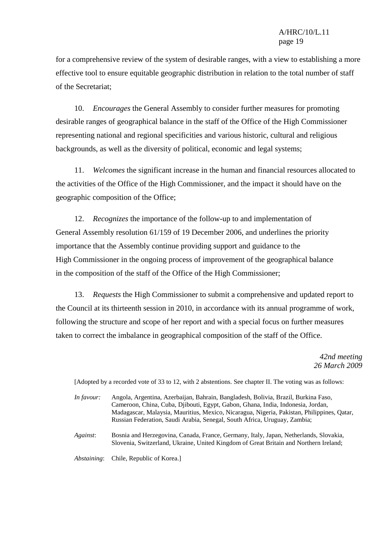for a comprehensive review of the system of desirable ranges, with a view to establishing a more effective tool to ensure equitable geographic distribution in relation to the total number of staff of the Secretariat;

 10. *Encourages* the General Assembly to consider further measures for promoting desirable ranges of geographical balance in the staff of the Office of the High Commissioner representing national and regional specificities and various historic, cultural and religious backgrounds, as well as the diversity of political, economic and legal systems;

 11. *Welcomes* the significant increase in the human and financial resources allocated to the activities of the Office of the High Commissioner, and the impact it should have on the geographic composition of the Office;

 12. *Recognizes* the importance of the follow-up to and implementation of General Assembly resolution 61/159 of 19 December 2006, and underlines the priority importance that the Assembly continue providing support and guidance to the High Commissioner in the ongoing process of improvement of the geographical balance in the composition of the staff of the Office of the High Commissioner;

 13. *Requests* the High Commissioner to submit a comprehensive and updated report to the Council at its thirteenth session in 2010, in accordance with its annual programme of work, following the structure and scope of her report and with a special focus on further measures taken to correct the imbalance in geographical composition of the staff of the Office.

> *42nd meeting 26 March 2009*

[Adopted by a recorded vote of 33 to 12, with 2 abstentions. See chapter II. The voting was as follows:

- *In favour:* Angola, Argentina, Azerbaijan, Bahrain, Bangladesh, Bolivia, Brazil, Burkina Faso, Cameroon, China, Cuba, Djibouti, Egypt, Gabon, Ghana, India, Indonesia, Jordan, Madagascar, Malaysia, Mauritius, Mexico, Nicaragua, Nigeria, Pakistan, Philippines, Qatar, Russian Federation, Saudi Arabia, Senegal, South Africa, Uruguay, Zambia;
- *Against*: Bosnia and Herzegovina, Canada, France, Germany, Italy, Japan, Netherlands, Slovakia, Slovenia, Switzerland, Ukraine, United Kingdom of Great Britain and Northern Ireland;

*Abstaining*: Chile, Republic of Korea.]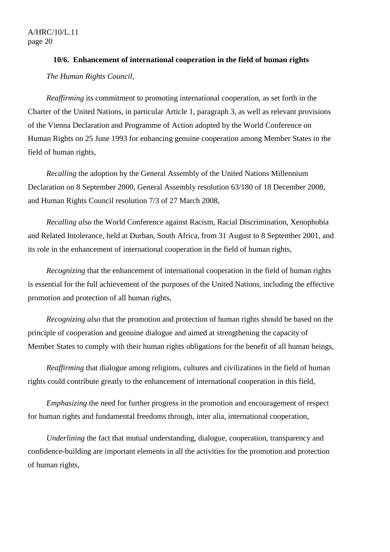# **10/6. Enhancement of international cooperation in the field of human rights**   *The Human Rights Council*,

 *Reaffirming* its commitment to promoting international cooperation, as set forth in the Charter of the United Nations, in particular Article 1, paragraph 3, as well as relevant provisions of the Vienna Declaration and Programme of Action adopted by the World Conference on Human Rights on 25 June 1993 for enhancing genuine cooperation among Member States in the field of human rights,

 *Recalling* the adoption by the General Assembly of the United Nations Millennium Declaration on 8 September 2000, General Assembly resolution 63/180 of 18 December 2008, and Human Rights Council resolution 7/3 of 27 March 2008,

 *Recalling also* the World Conference against Racism, Racial Discrimination, Xenophobia and Related Intolerance, held at Durban, South Africa, from 31 August to 8 September 2001, and its role in the enhancement of international cooperation in the field of human rights,

*Recognizing* that the enhancement of international cooperation in the field of human rights is essential for the full achievement of the purposes of the United Nations, including the effective promotion and protection of all human rights,

 *Recognizing also* that the promotion and protection of human rights should be based on the principle of cooperation and genuine dialogue and aimed at strengthening the capacity of Member States to comply with their human rights obligations for the benefit of all human beings,

 *Reaffirming* that dialogue among religions, cultures and civilizations in the field of human rights could contribute greatly to the enhancement of international cooperation in this field,

*Emphasizing* the need for further progress in the promotion and encouragement of respect for human rights and fundamental freedoms through, inter alia, international cooperation,

*Underlining* the fact that mutual understanding, dialogue, cooperation, transparency and confidence-building are important elements in all the activities for the promotion and protection of human rights,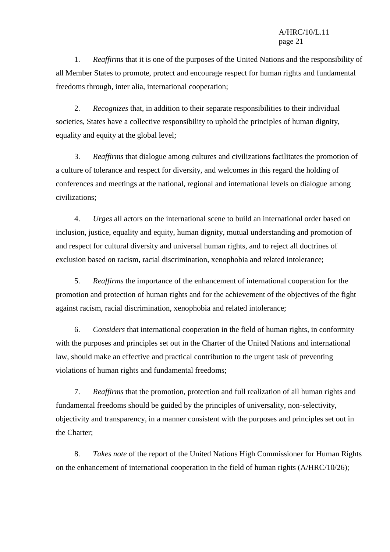1. *Reaffirms* that it is one of the purposes of the United Nations and the responsibility of all Member States to promote, protect and encourage respect for human rights and fundamental freedoms through, inter alia, international cooperation;

 2. *Recognizes* that, in addition to their separate responsibilities to their individual societies, States have a collective responsibility to uphold the principles of human dignity, equality and equity at the global level;

 3. *Reaffirms* that dialogue among cultures and civilizations facilitates the promotion of a culture of tolerance and respect for diversity, and welcomes in this regard the holding of conferences and meetings at the national, regional and international levels on dialogue among civilizations;

 4. *Urges* all actors on the international scene to build an international order based on inclusion, justice, equality and equity, human dignity, mutual understanding and promotion of and respect for cultural diversity and universal human rights, and to reject all doctrines of exclusion based on racism, racial discrimination, xenophobia and related intolerance;

 5. *Reaffirms* the importance of the enhancement of international cooperation for the promotion and protection of human rights and for the achievement of the objectives of the fight against racism, racial discrimination, xenophobia and related intolerance;

 6. *Considers* that international cooperation in the field of human rights, in conformity with the purposes and principles set out in the Charter of the United Nations and international law, should make an effective and practical contribution to the urgent task of preventing violations of human rights and fundamental freedoms;

 7. *Reaffirms* that the promotion, protection and full realization of all human rights and fundamental freedoms should be guided by the principles of universality, non-selectivity, objectivity and transparency, in a manner consistent with the purposes and principles set out in the Charter;

 8. *Takes note* of the report of the United Nations High Commissioner for Human Rights on the enhancement of international cooperation in the field of human rights (A/HRC/10/26);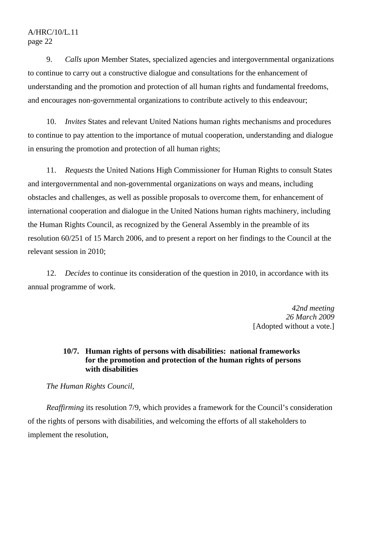9. *Calls upon* Member States, specialized agencies and intergovernmental organizations to continue to carry out a constructive dialogue and consultations for the enhancement of understanding and the promotion and protection of all human rights and fundamental freedoms, and encourages non-governmental organizations to contribute actively to this endeavour;

 10. *Invites* States and relevant United Nations human rights mechanisms and procedures to continue to pay attention to the importance of mutual cooperation, understanding and dialogue in ensuring the promotion and protection of all human rights;

 11. *Requests* the United Nations High Commissioner for Human Rights to consult States and intergovernmental and non-governmental organizations on ways and means, including obstacles and challenges, as well as possible proposals to overcome them, for enhancement of international cooperation and dialogue in the United Nations human rights machinery, including the Human Rights Council, as recognized by the General Assembly in the preamble of its resolution 60/251 of 15 March 2006, and to present a report on her findings to the Council at the relevant session in 2010;

 12. *Decides* to continue its consideration of the question in 2010, in accordance with its annual programme of work.

> *42nd meeting 26 March 2009*  [Adopted without a vote.]

### **10/7. Human rights of persons with disabilities: national frameworks for the promotion and protection of the human rights of persons with disabilities**

# *The Human Rights Council*,

*Reaffirming* its resolution 7/9, which provides a framework for the Council's consideration of the rights of persons with disabilities, and welcoming the efforts of all stakeholders to implement the resolution,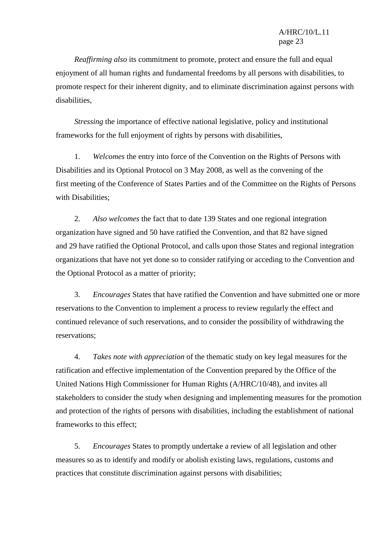*Reaffirming also* its commitment to promote, protect and ensure the full and equal enjoyment of all human rights and fundamental freedoms by all persons with disabilities, to promote respect for their inherent dignity, and to eliminate discrimination against persons with disabilities,

*Stressing* the importance of effective national legislative, policy and institutional frameworks for the full enjoyment of rights by persons with disabilities,

 1. *Welcomes* the entry into force of the Convention on the Rights of Persons with Disabilities and its Optional Protocol on 3 May 2008, as well as the convening of the first meeting of the Conference of States Parties and of the Committee on the Rights of Persons with Disabilities:

 2. *Also welcomes* the fact that to date 139 States and one regional integration organization have signed and 50 have ratified the Convention, and that 82 have signed and 29 have ratified the Optional Protocol, and calls upon those States and regional integration organizations that have not yet done so to consider ratifying or acceding to the Convention and the Optional Protocol as a matter of priority;

 3. *Encourages* States that have ratified the Convention and have submitted one or more reservations to the Convention to implement a process to review regularly the effect and continued relevance of such reservations, and to consider the possibility of withdrawing the reservations;

 4. *Takes note with appreciation* of the thematic study on key legal measures for the ratification and effective implementation of the Convention prepared by the Office of the United Nations High Commissioner for Human Rights (A/HRC/10/48), and invites all stakeholders to consider the study when designing and implementing measures for the promotion and protection of the rights of persons with disabilities, including the establishment of national frameworks to this effect;

 5. *Encourages* States to promptly undertake a review of all legislation and other measures so as to identify and modify or abolish existing laws, regulations, customs and practices that constitute discrimination against persons with disabilities;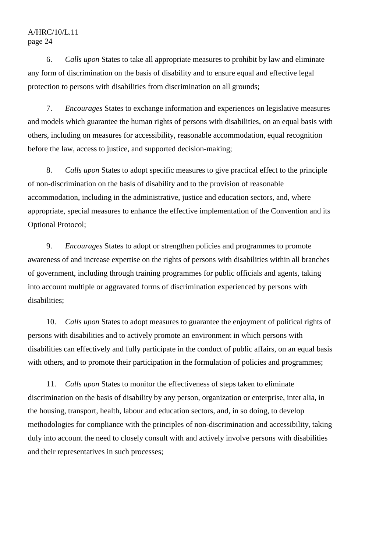6. *Calls upon* States to take all appropriate measures to prohibit by law and eliminate any form of discrimination on the basis of disability and to ensure equal and effective legal protection to persons with disabilities from discrimination on all grounds;

 7. *Encourages* States to exchange information and experiences on legislative measures and models which guarantee the human rights of persons with disabilities, on an equal basis with others, including on measures for accessibility, reasonable accommodation, equal recognition before the law, access to justice, and supported decision-making;

 8. *Calls upon* States to adopt specific measures to give practical effect to the principle of non-discrimination on the basis of disability and to the provision of reasonable accommodation, including in the administrative, justice and education sectors, and, where appropriate, special measures to enhance the effective implementation of the Convention and its Optional Protocol;

 9. *Encourages* States to adopt or strengthen policies and programmes to promote awareness of and increase expertise on the rights of persons with disabilities within all branches of government, including through training programmes for public officials and agents, taking into account multiple or aggravated forms of discrimination experienced by persons with disabilities;

 10. *Calls upon* States to adopt measures to guarantee the enjoyment of political rights of persons with disabilities and to actively promote an environment in which persons with disabilities can effectively and fully participate in the conduct of public affairs, on an equal basis with others, and to promote their participation in the formulation of policies and programmes;

 11. *Calls upon* States to monitor the effectiveness of steps taken to eliminate discrimination on the basis of disability by any person, organization or enterprise, inter alia, in the housing, transport, health, labour and education sectors, and, in so doing, to develop methodologies for compliance with the principles of non-discrimination and accessibility, taking duly into account the need to closely consult with and actively involve persons with disabilities and their representatives in such processes;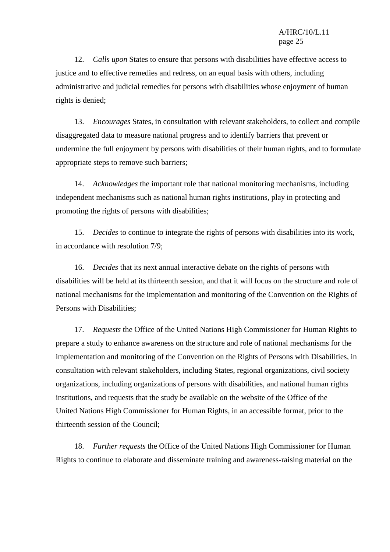12. *Calls upon* States to ensure that persons with disabilities have effective access to justice and to effective remedies and redress, on an equal basis with others, including administrative and judicial remedies for persons with disabilities whose enjoyment of human rights is denied;

 13. *Encourages* States, in consultation with relevant stakeholders, to collect and compile disaggregated data to measure national progress and to identify barriers that prevent or undermine the full enjoyment by persons with disabilities of their human rights, and to formulate appropriate steps to remove such barriers;

 14. *Acknowledges* the important role that national monitoring mechanisms, including independent mechanisms such as national human rights institutions, play in protecting and promoting the rights of persons with disabilities;

 15. *Decides* to continue to integrate the rights of persons with disabilities into its work, in accordance with resolution 7/9;

 16. *Decides* that its next annual interactive debate on the rights of persons with disabilities will be held at its thirteenth session, and that it will focus on the structure and role of national mechanisms for the implementation and monitoring of the Convention on the Rights of Persons with Disabilities;

 17. *Requests* the Office of the United Nations High Commissioner for Human Rights to prepare a study to enhance awareness on the structure and role of national mechanisms for the implementation and monitoring of the Convention on the Rights of Persons with Disabilities, in consultation with relevant stakeholders, including States, regional organizations, civil society organizations, including organizations of persons with disabilities, and national human rights institutions, and requests that the study be available on the website of the Office of the United Nations High Commissioner for Human Rights, in an accessible format, prior to the thirteenth session of the Council;

 18. *Further requests* the Office of the United Nations High Commissioner for Human Rights to continue to elaborate and disseminate training and awareness-raising material on the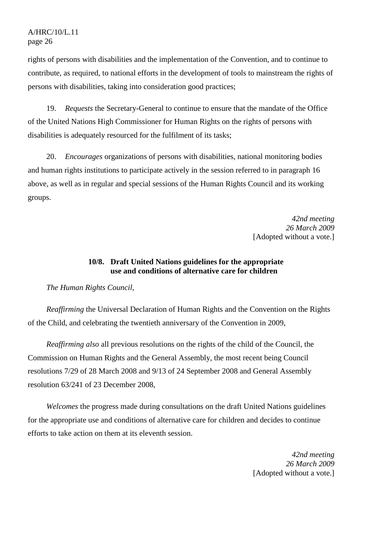rights of persons with disabilities and the implementation of the Convention, and to continue to contribute, as required, to national efforts in the development of tools to mainstream the rights of persons with disabilities, taking into consideration good practices;

 19. *Requests* the Secretary-General to continue to ensure that the mandate of the Office of the United Nations High Commissioner for Human Rights on the rights of persons with disabilities is adequately resourced for the fulfilment of its tasks;

 20. *Encourages* organizations of persons with disabilities, national monitoring bodies and human rights institutions to participate actively in the session referred to in paragraph 16 above, as well as in regular and special sessions of the Human Rights Council and its working groups.

> *42nd meeting 26 March 2009*  [Adopted without a vote.]

### **10/8. Draft United Nations guidelines for the appropriate use and conditions of alternative care for children**

 *The Human Rights Council*,

*Reaffirming* the Universal Declaration of Human Rights and the Convention on the Rights of the Child, and celebrating the twentieth anniversary of the Convention in 2009,

*Reaffirming also* all previous resolutions on the rights of the child of the Council, the Commission on Human Rights and the General Assembly, the most recent being Council resolutions 7/29 of 28 March 2008 and 9/13 of 24 September 2008 and General Assembly resolution 63/241 of 23 December 2008,

 *Welcomes* the progress made during consultations on the draft United Nations guidelines for the appropriate use and conditions of alternative care for children and decides to continue efforts to take action on them at its eleventh session.

> *42nd meeting 26 March 2009*  [Adopted without a vote.]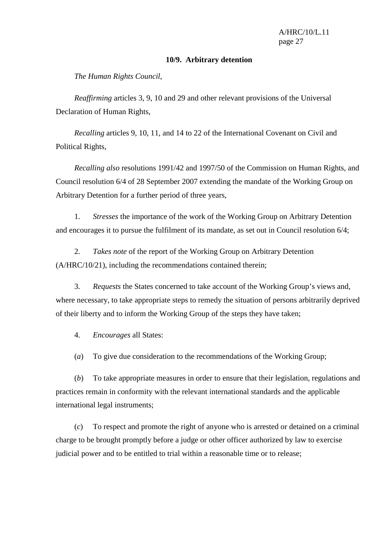#### **10/9. Arbitrary detention**

 *The Human Rights Council*,

 *Reaffirming* articles 3, 9, 10 and 29 and other relevant provisions of the Universal Declaration of Human Rights,

 *Recalling* articles 9, 10, 11, and 14 to 22 of the International Covenant on Civil and Political Rights,

 *Recalling also* resolutions 1991/42 and 1997/50 of the Commission on Human Rights, and Council resolution 6/4 of 28 September 2007 extending the mandate of the Working Group on Arbitrary Detention for a further period of three years,

 1. *Stresses* the importance of the work of the Working Group on Arbitrary Detention and encourages it to pursue the fulfilment of its mandate, as set out in Council resolution 6/4;

 2. *Takes note* of the report of the Working Group on Arbitrary Detention (A/HRC/10/21), including the recommendations contained therein;

 3. *Requests* the States concerned to take account of the Working Group's views and, where necessary, to take appropriate steps to remedy the situation of persons arbitrarily deprived of their liberty and to inform the Working Group of the steps they have taken;

4. *Encourages* all States:

(*a*) To give due consideration to the recommendations of the Working Group;

(*b*) To take appropriate measures in order to ensure that their legislation, regulations and practices remain in conformity with the relevant international standards and the applicable international legal instruments;

(*c*) To respect and promote the right of anyone who is arrested or detained on a criminal charge to be brought promptly before a judge or other officer authorized by law to exercise judicial power and to be entitled to trial within a reasonable time or to release;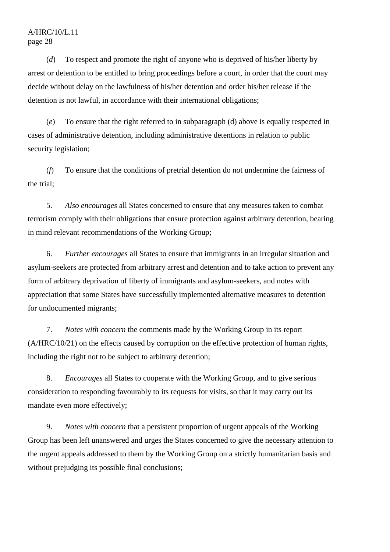(*d*) To respect and promote the right of anyone who is deprived of his/her liberty by arrest or detention to be entitled to bring proceedings before a court, in order that the court may decide without delay on the lawfulness of his/her detention and order his/her release if the detention is not lawful, in accordance with their international obligations;

(*e*) To ensure that the right referred to in subparagraph (d) above is equally respected in cases of administrative detention, including administrative detentions in relation to public security legislation;

(*f*) To ensure that the conditions of pretrial detention do not undermine the fairness of the trial;

 5. *Also encourages* all States concerned to ensure that any measures taken to combat terrorism comply with their obligations that ensure protection against arbitrary detention, bearing in mind relevant recommendations of the Working Group;

 6. *Further encourages* all States to ensure that immigrants in an irregular situation and asylum-seekers are protected from arbitrary arrest and detention and to take action to prevent any form of arbitrary deprivation of liberty of immigrants and asylum-seekers, and notes with appreciation that some States have successfully implemented alternative measures to detention for undocumented migrants;

 7. *Notes with concern* the comments made by the Working Group in its report (A/HRC/10/21) on the effects caused by corruption on the effective protection of human rights, including the right not to be subject to arbitrary detention;

 8. *Encourages* all States to cooperate with the Working Group, and to give serious consideration to responding favourably to its requests for visits, so that it may carry out its mandate even more effectively;

 9. *Notes with concern* that a persistent proportion of urgent appeals of the Working Group has been left unanswered and urges the States concerned to give the necessary attention to the urgent appeals addressed to them by the Working Group on a strictly humanitarian basis and without prejudging its possible final conclusions;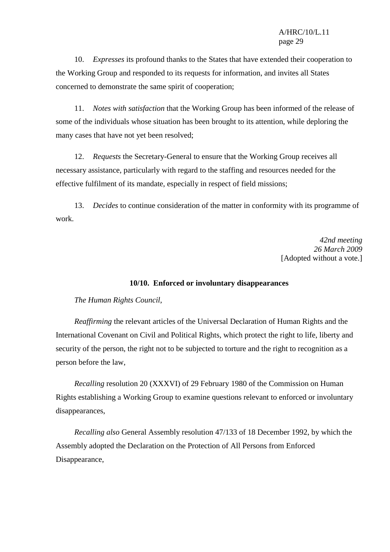10. *Expresses* its profound thanks to the States that have extended their cooperation to the Working Group and responded to its requests for information, and invites all States concerned to demonstrate the same spirit of cooperation;

 11. *Notes with satisfaction* that the Working Group has been informed of the release of some of the individuals whose situation has been brought to its attention, while deploring the many cases that have not yet been resolved;

 12. *Requests* the Secretary-General to ensure that the Working Group receives all necessary assistance, particularly with regard to the staffing and resources needed for the effective fulfilment of its mandate, especially in respect of field missions;

 13. *Decides* to continue consideration of the matter in conformity with its programme of work.

> *42nd meeting 26 March 2009*  [Adopted without a vote.]

#### **10/10. Enforced or involuntary disappearances**

*The Human Rights Council*,

*Reaffirming* the relevant articles of the Universal Declaration of Human Rights and the International Covenant on Civil and Political Rights, which protect the right to life, liberty and security of the person, the right not to be subjected to torture and the right to recognition as a person before the law,

*Recalling* resolution 20 (XXXVI) of 29 February 1980 of the Commission on Human Rights establishing a Working Group to examine questions relevant to enforced or involuntary disappearances,

*Recalling also* General Assembly resolution 47/133 of 18 December 1992, by which the Assembly adopted the Declaration on the Protection of All Persons from Enforced Disappearance,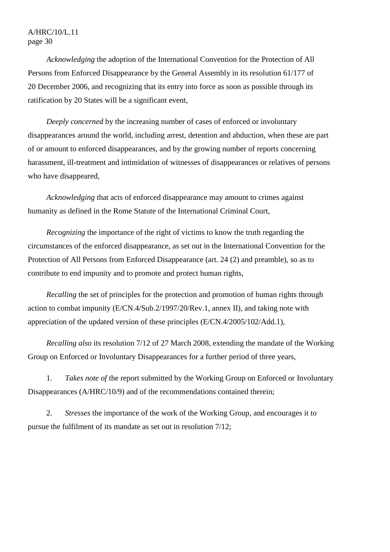*Acknowledging* the adoption of the International Convention for the Protection of All Persons from Enforced Disappearance by the General Assembly in its resolution 61/177 of 20 December 2006, and recognizing that its entry into force as soon as possible through its ratification by 20 States will be a significant event,

*Deeply concerned* by the increasing number of cases of enforced or involuntary disappearances around the world, including arrest, detention and abduction, when these are part of or amount to enforced disappearances, and by the growing number of reports concerning harassment, ill-treatment and intimidation of witnesses of disappearances or relatives of persons who have disappeared,

*Acknowledging* that acts of enforced disappearance may amount to crimes against humanity as defined in the Rome Statute of the International Criminal Court,

*Recognizing* the importance of the right of victims to know the truth regarding the circumstances of the enforced disappearance, as set out in the International Convention for the Protection of All Persons from Enforced Disappearance (art. 24 (2) and preamble), so as to contribute to end impunity and to promote and protect human rights,

*Recalling* the set of principles for the protection and promotion of human rights through action to combat impunity (E/CN.4/Sub.2/1997/20/Rev.1, annex II), and taking note with appreciation of the updated version of these principles (E/CN.4/2005/102/Add.1),

*Recalling also* its resolution 7/12 of 27 March 2008, extending the mandate of the Working Group on Enforced or Involuntary Disappearances for a further period of three years,

 1. *Takes note of* the report submitted by the Working Group on Enforced or Involuntary Disappearances (A/HRC/10/9) and of the recommendations contained therein;

 2. *Stresses* the importance of the work of the Working Group, and encourages it to pursue the fulfilment of its mandate as set out in resolution 7/12;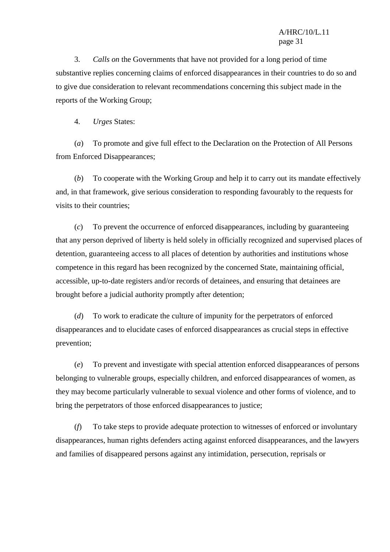3. *Calls on* the Governments that have not provided for a long period of time substantive replies concerning claims of enforced disappearances in their countries to do so and to give due consideration to relevant recommendations concerning this subject made in the reports of the Working Group;

4. *Urges* States:

 (*a*) To promote and give full effect to the Declaration on the Protection of All Persons from Enforced Disappearances;

 (*b*) To cooperate with the Working Group and help it to carry out its mandate effectively and, in that framework, give serious consideration to responding favourably to the requests for visits to their countries;

 (*c*) To prevent the occurrence of enforced disappearances, including by guaranteeing that any person deprived of liberty is held solely in officially recognized and supervised places of detention, guaranteeing access to all places of detention by authorities and institutions whose competence in this regard has been recognized by the concerned State, maintaining official, accessible, up-to-date registers and/or records of detainees, and ensuring that detainees are brought before a judicial authority promptly after detention;

 (*d*) To work to eradicate the culture of impunity for the perpetrators of enforced disappearances and to elucidate cases of enforced disappearances as crucial steps in effective prevention;

 (*e*) To prevent and investigate with special attention enforced disappearances of persons belonging to vulnerable groups, especially children, and enforced disappearances of women, as they may become particularly vulnerable to sexual violence and other forms of violence, and to bring the perpetrators of those enforced disappearances to justice;

 (*f*) To take steps to provide adequate protection to witnesses of enforced or involuntary disappearances, human rights defenders acting against enforced disappearances, and the lawyers and families of disappeared persons against any intimidation, persecution, reprisals or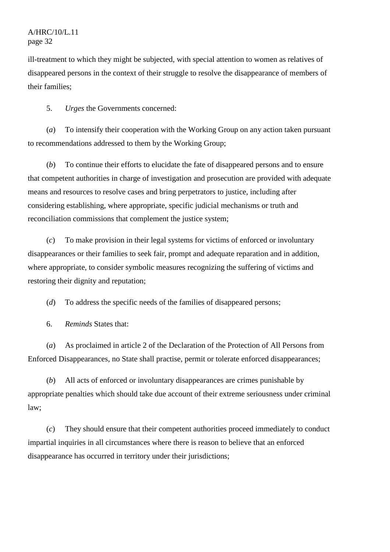ill-treatment to which they might be subjected, with special attention to women as relatives of disappeared persons in the context of their struggle to resolve the disappearance of members of their families;

5. *Urges* the Governments concerned:

 (*a*) To intensify their cooperation with the Working Group on any action taken pursuant to recommendations addressed to them by the Working Group;

 (*b*) To continue their efforts to elucidate the fate of disappeared persons and to ensure that competent authorities in charge of investigation and prosecution are provided with adequate means and resources to resolve cases and bring perpetrators to justice, including after considering establishing, where appropriate, specific judicial mechanisms or truth and reconciliation commissions that complement the justice system;

 (*c*) To make provision in their legal systems for victims of enforced or involuntary disappearances or their families to seek fair, prompt and adequate reparation and in addition, where appropriate, to consider symbolic measures recognizing the suffering of victims and restoring their dignity and reputation;

(*d*) To address the specific needs of the families of disappeared persons;

6. *Reminds* States that:

 (*a*) As proclaimed in article 2 of the Declaration of the Protection of All Persons from Enforced Disappearances, no State shall practise, permit or tolerate enforced disappearances;

 (*b*) All acts of enforced or involuntary disappearances are crimes punishable by appropriate penalties which should take due account of their extreme seriousness under criminal law;

 (*c*) They should ensure that their competent authorities proceed immediately to conduct impartial inquiries in all circumstances where there is reason to believe that an enforced disappearance has occurred in territory under their jurisdictions;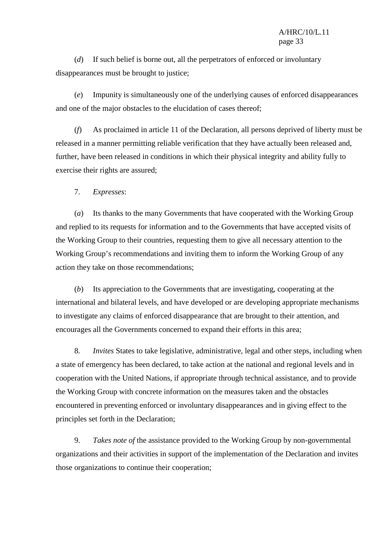(*d*) If such belief is borne out, all the perpetrators of enforced or involuntary disappearances must be brought to justice;

 (*e*) Impunity is simultaneously one of the underlying causes of enforced disappearances and one of the major obstacles to the elucidation of cases thereof;

 (*f*) As proclaimed in article 11 of the Declaration, all persons deprived of liberty must be released in a manner permitting reliable verification that they have actually been released and, further, have been released in conditions in which their physical integrity and ability fully to exercise their rights are assured;

7. *Expresses*:

 (*a*) Its thanks to the many Governments that have cooperated with the Working Group and replied to its requests for information and to the Governments that have accepted visits of the Working Group to their countries, requesting them to give all necessary attention to the Working Group's recommendations and inviting them to inform the Working Group of any action they take on those recommendations;

 (*b*) Its appreciation to the Governments that are investigating, cooperating at the international and bilateral levels, and have developed or are developing appropriate mechanisms to investigate any claims of enforced disappearance that are brought to their attention, and encourages all the Governments concerned to expand their efforts in this area;

 8. *Invites* States to take legislative, administrative, legal and other steps, including when a state of emergency has been declared, to take action at the national and regional levels and in cooperation with the United Nations, if appropriate through technical assistance, and to provide the Working Group with concrete information on the measures taken and the obstacles encountered in preventing enforced or involuntary disappearances and in giving effect to the principles set forth in the Declaration;

 9. *Takes note of* the assistance provided to the Working Group by non-governmental organizations and their activities in support of the implementation of the Declaration and invites those organizations to continue their cooperation;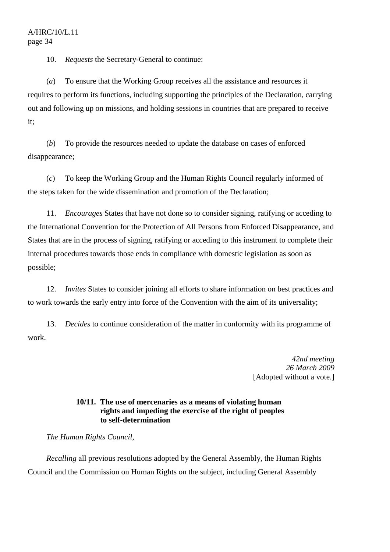10. *Requests* the Secretary-General to continue:

 (*a*) To ensure that the Working Group receives all the assistance and resources it requires to perform its functions, including supporting the principles of the Declaration, carrying out and following up on missions, and holding sessions in countries that are prepared to receive it;

 (*b*) To provide the resources needed to update the database on cases of enforced disappearance;

 (*c*) To keep the Working Group and the Human Rights Council regularly informed of the steps taken for the wide dissemination and promotion of the Declaration;

 11. *Encourages* States that have not done so to consider signing, ratifying or acceding to the International Convention for the Protection of All Persons from Enforced Disappearance, and States that are in the process of signing, ratifying or acceding to this instrument to complete their internal procedures towards those ends in compliance with domestic legislation as soon as possible;

 12. *Invites* States to consider joining all efforts to share information on best practices and to work towards the early entry into force of the Convention with the aim of its universality;

 13. *Decides* to continue consideration of the matter in conformity with its programme of work.

> *42nd meeting 26 March 2009*  [Adopted without a vote.]

#### **10/11. The use of mercenaries as a means of violating human rights and impeding the exercise of the right of peoples to self-determination**

 *The Human Rights Council*,

 *Recalling* all previous resolutions adopted by the General Assembly, the Human Rights Council and the Commission on Human Rights on the subject, including General Assembly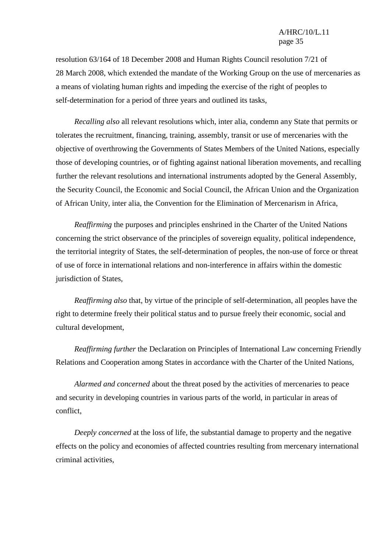resolution 63/164 of 18 December 2008 and Human Rights Council resolution 7/21 of 28 March 2008, which extended the mandate of the Working Group on the use of mercenaries as a means of violating human rights and impeding the exercise of the right of peoples to self-determination for a period of three years and outlined its tasks,

*Recalling also* all relevant resolutions which, inter alia, condemn any State that permits or tolerates the recruitment, financing, training, assembly, transit or use of mercenaries with the objective of overthrowing the Governments of States Members of the United Nations, especially those of developing countries, or of fighting against national liberation movements, and recalling further the relevant resolutions and international instruments adopted by the General Assembly, the Security Council, the Economic and Social Council, the African Union and the Organization of African Unity, inter alia, the Convention for the Elimination of Mercenarism in Africa,

 *Reaffirming* the purposes and principles enshrined in the Charter of the United Nations concerning the strict observance of the principles of sovereign equality, political independence, the territorial integrity of States, the self-determination of peoples, the non-use of force or threat of use of force in international relations and non-interference in affairs within the domestic jurisdiction of States,

 *Reaffirming also* that, by virtue of the principle of self-determination, all peoples have the right to determine freely their political status and to pursue freely their economic, social and cultural development,

 *Reaffirming further* the Declaration on Principles of International Law concerning Friendly Relations and Cooperation among States in accordance with the Charter of the United Nations,

 *Alarmed and concerned* about the threat posed by the activities of mercenaries to peace and security in developing countries in various parts of the world, in particular in areas of conflict,

*Deeply concerned* at the loss of life, the substantial damage to property and the negative effects on the policy and economies of affected countries resulting from mercenary international criminal activities,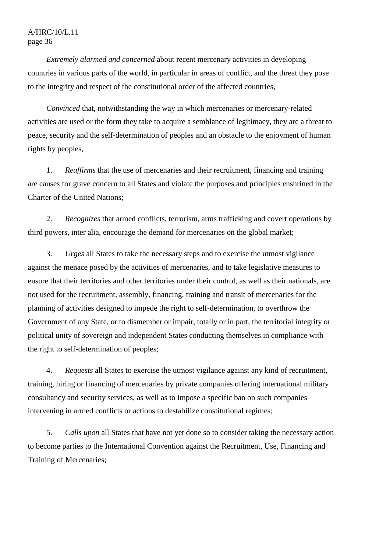*Extremely alarmed and concerned* about recent mercenary activities in developing countries in various parts of the world, in particular in areas of conflict, and the threat they pose to the integrity and respect of the constitutional order of the affected countries,

 *Convinced* that, notwithstanding the way in which mercenaries or mercenary-related activities are used or the form they take to acquire a semblance of legitimacy, they are a threat to peace, security and the self-determination of peoples and an obstacle to the enjoyment of human rights by peoples,

 1. *Reaffirms* that the use of mercenaries and their recruitment, financing and training are causes for grave concern to all States and violate the purposes and principles enshrined in the Charter of the United Nations;

 2. *Recognizes* that armed conflicts, terrorism, arms trafficking and covert operations by third powers, inter alia, encourage the demand for mercenaries on the global market;

 3. *Urges* all States to take the necessary steps and to exercise the utmost vigilance against the menace posed by the activities of mercenaries, and to take legislative measures to ensure that their territories and other territories under their control, as well as their nationals, are not used for the recruitment, assembly, financing, training and transit of mercenaries for the planning of activities designed to impede the right to self-determination, to overthrow the Government of any State, or to dismember or impair, totally or in part, the territorial integrity or political unity of sovereign and independent States conducting themselves in compliance with the right to self-determination of peoples;

 4. *Requests* all States to exercise the utmost vigilance against any kind of recruitment, training, hiring or financing of mercenaries by private companies offering international military consultancy and security services, as well as to impose a specific ban on such companies intervening in armed conflicts or actions to destabilize constitutional regimes;

 5. *Calls upon* all States that have not yet done so to consider taking the necessary action to become parties to the International Convention against the Recruitment, Use, Financing and Training of Mercenaries;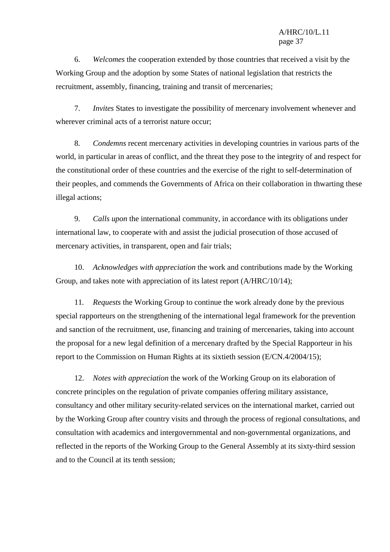6. *Welcomes* the cooperation extended by those countries that received a visit by the Working Group and the adoption by some States of national legislation that restricts the recruitment, assembly, financing, training and transit of mercenaries;

 7. *Invites* States to investigate the possibility of mercenary involvement whenever and wherever criminal acts of a terrorist nature occur;

 8. *Condemns* recent mercenary activities in developing countries in various parts of the world, in particular in areas of conflict, and the threat they pose to the integrity of and respect for the constitutional order of these countries and the exercise of the right to self-determination of their peoples, and commends the Governments of Africa on their collaboration in thwarting these illegal actions;

 9. *Calls upon* the international community, in accordance with its obligations under international law, to cooperate with and assist the judicial prosecution of those accused of mercenary activities, in transparent, open and fair trials;

 10. *Acknowledges with appreciation* the work and contributions made by the Working Group, and takes note with appreciation of its latest report (A/HRC/10/14);

 11*. Requests* the Working Group to continue the work already done by the previous special rapporteurs on the strengthening of the international legal framework for the prevention and sanction of the recruitment, use, financing and training of mercenaries, taking into account the proposal for a new legal definition of a mercenary drafted by the Special Rapporteur in his report to the Commission on Human Rights at its sixtieth session (E/CN.4/2004/15);

 12. *Notes with appreciation* the work of the Working Group on its elaboration of concrete principles on the regulation of private companies offering military assistance, consultancy and other military security-related services on the international market, carried out by the Working Group after country visits and through the process of regional consultations, and consultation with academics and intergovernmental and non-governmental organizations, and reflected in the reports of the Working Group to the General Assembly at its sixty-third session and to the Council at its tenth session;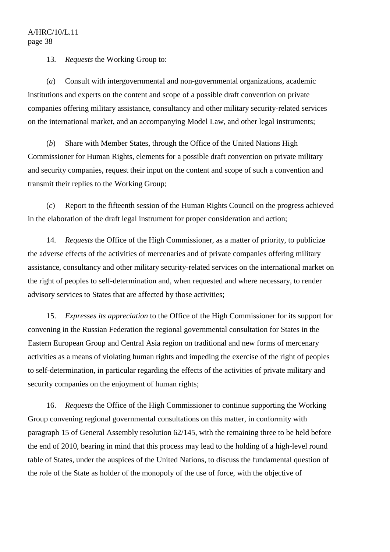13*. Requests* the Working Group to:

 (*a*) Consult with intergovernmental and non-governmental organizations, academic institutions and experts on the content and scope of a possible draft convention on private companies offering military assistance, consultancy and other military security-related services on the international market, and an accompanying Model Law, and other legal instruments;

 (*b*) Share with Member States, through the Office of the United Nations High Commissioner for Human Rights, elements for a possible draft convention on private military and security companies, request their input on the content and scope of such a convention and transmit their replies to the Working Group;

 (*c*) Report to the fifteenth session of the Human Rights Council on the progress achieved in the elaboration of the draft legal instrument for proper consideration and action;

 14*. Requests* the Office of the High Commissioner, as a matter of priority, to publicize the adverse effects of the activities of mercenaries and of private companies offering military assistance, consultancy and other military security-related services on the international market on the right of peoples to self-determination and, when requested and where necessary, to render advisory services to States that are affected by those activities;

 15. *Expresses its appreciation* to the Office of the High Commissioner for its support for convening in the Russian Federation the regional governmental consultation for States in the Eastern European Group and Central Asia region on traditional and new forms of mercenary activities as a means of violating human rights and impeding the exercise of the right of peoples to self-determination, in particular regarding the effects of the activities of private military and security companies on the enjoyment of human rights;

 16. *Requests* the Office of the High Commissioner to continue supporting the Working Group convening regional governmental consultations on this matter, in conformity with paragraph 15 of General Assembly resolution 62/145, with the remaining three to be held before the end of 2010, bearing in mind that this process may lead to the holding of a high-level round table of States, under the auspices of the United Nations, to discuss the fundamental question of the role of the State as holder of the monopoly of the use of force, with the objective of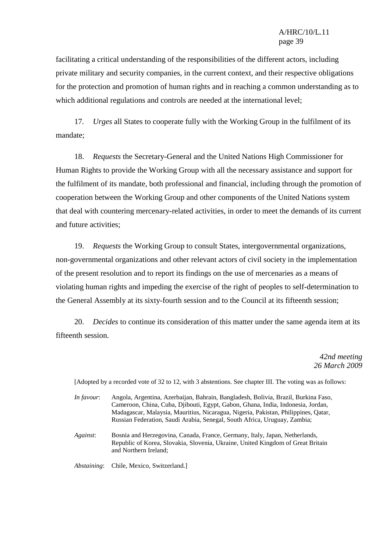facilitating a critical understanding of the responsibilities of the different actors, including private military and security companies, in the current context, and their respective obligations for the protection and promotion of human rights and in reaching a common understanding as to which additional regulations and controls are needed at the international level;

 17*. Urges* all States to cooperate fully with the Working Group in the fulfilment of its mandate;

 18. *Requests* the Secretary-General and the United Nations High Commissioner for Human Rights to provide the Working Group with all the necessary assistance and support for the fulfilment of its mandate, both professional and financial, including through the promotion of cooperation between the Working Group and other components of the United Nations system that deal with countering mercenary-related activities, in order to meet the demands of its current and future activities;

 19. *Requests* the Working Group to consult States, intergovernmental organizations, non-governmental organizations and other relevant actors of civil society in the implementation of the present resolution and to report its findings on the use of mercenaries as a means of violating human rights and impeding the exercise of the right of peoples to self-determination to the General Assembly at its sixty-fourth session and to the Council at its fifteenth session;

 20. *Decides* to continue its consideration of this matter under the same agenda item at its fifteenth session.

> *42nd meeting 26 March 2009*

[Adopted by a recorded vote of 32 to 12, with 3 abstentions. See chapter III. The voting was as follows:

- *In favour*: Angola, Argentina, Azerbaijan, Bahrain, Bangladesh, Bolivia, Brazil, Burkina Faso, Cameroon, China, Cuba, Djibouti, Egypt, Gabon, Ghana, India, Indonesia, Jordan, Madagascar, Malaysia, Mauritius, Nicaragua, Nigeria, Pakistan, Philippines, Qatar, Russian Federation, Saudi Arabia, Senegal, South Africa, Uruguay, Zambia;
- *Against*: Bosnia and Herzegovina, Canada, France, Germany, Italy, Japan, Netherlands, Republic of Korea, Slovakia, Slovenia, Ukraine, United Kingdom of Great Britain and Northern Ireland;

*Abstaining*: Chile, Mexico, Switzerland.]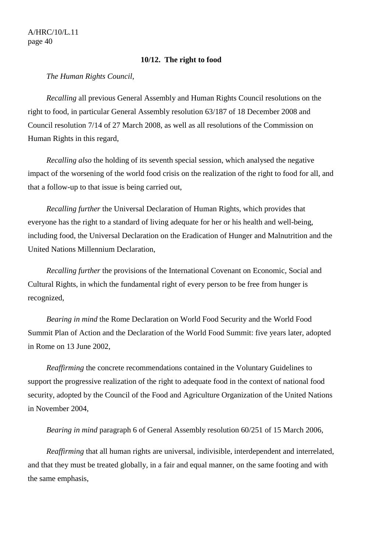#### **10/12. The right to food**

#### *The Human Rights Council*,

 *Recalling* all previous General Assembly and Human Rights Council resolutions on the right to food, in particular General Assembly resolution 63/187 of 18 December 2008 and Council resolution 7/14 of 27 March 2008, as well as all resolutions of the Commission on Human Rights in this regard,

 *Recalling also* the holding of its seventh special session, which analysed the negative impact of the worsening of the world food crisis on the realization of the right to food for all, and that a follow-up to that issue is being carried out,

 *Recalling further* the Universal Declaration of Human Rights, which provides that everyone has the right to a standard of living adequate for her or his health and well-being, including food, the Universal Declaration on the Eradication of Hunger and Malnutrition and the United Nations Millennium Declaration,

 *Recalling further* the provisions of the International Covenant on Economic, Social and Cultural Rights, in which the fundamental right of every person to be free from hunger is recognized,

 *Bearing in mind* the Rome Declaration on World Food Security and the World Food Summit Plan of Action and the Declaration of the World Food Summit: five years later, adopted in Rome on 13 June 2002,

 *Reaffirming* the concrete recommendations contained in the Voluntary Guidelines to support the progressive realization of the right to adequate food in the context of national food security, adopted by the Council of the Food and Agriculture Organization of the United Nations in November 2004,

 *Bearing in mind* paragraph 6 of General Assembly resolution 60/251 of 15 March 2006,

 *Reaffirming* that all human rights are universal, indivisible, interdependent and interrelated, and that they must be treated globally, in a fair and equal manner, on the same footing and with the same emphasis,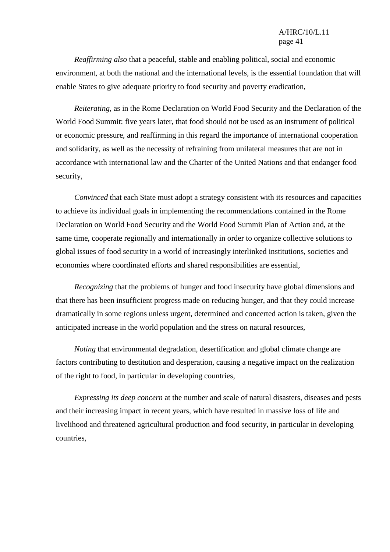*Reaffirming also* that a peaceful, stable and enabling political, social and economic environment, at both the national and the international levels, is the essential foundation that will enable States to give adequate priority to food security and poverty eradication,

 *Reiterating*, as in the Rome Declaration on World Food Security and the Declaration of the World Food Summit: five years later, that food should not be used as an instrument of political or economic pressure, and reaffirming in this regard the importance of international cooperation and solidarity, as well as the necessity of refraining from unilateral measures that are not in accordance with international law and the Charter of the United Nations and that endanger food security,

*Convinced* that each State must adopt a strategy consistent with its resources and capacities to achieve its individual goals in implementing the recommendations contained in the Rome Declaration on World Food Security and the World Food Summit Plan of Action and, at the same time, cooperate regionally and internationally in order to organize collective solutions to global issues of food security in a world of increasingly interlinked institutions, societies and economies where coordinated efforts and shared responsibilities are essential,

*Recognizing* that the problems of hunger and food insecurity have global dimensions and that there has been insufficient progress made on reducing hunger, and that they could increase dramatically in some regions unless urgent, determined and concerted action is taken, given the anticipated increase in the world population and the stress on natural resources,

 *Noting* that environmental degradation, desertification and global climate change are factors contributing to destitution and desperation, causing a negative impact on the realization of the right to food, in particular in developing countries,

 *Expressing its deep concern* at the number and scale of natural disasters, diseases and pests and their increasing impact in recent years, which have resulted in massive loss of life and livelihood and threatened agricultural production and food security, in particular in developing countries,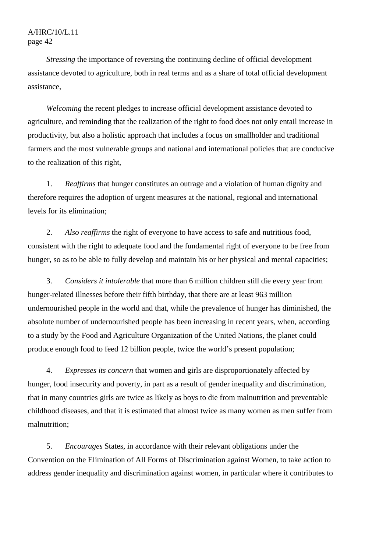*Stressing* the importance of reversing the continuing decline of official development assistance devoted to agriculture, both in real terms and as a share of total official development assistance,

*Welcoming* the recent pledges to increase official development assistance devoted to agriculture, and reminding that the realization of the right to food does not only entail increase in productivity, but also a holistic approach that includes a focus on smallholder and traditional farmers and the most vulnerable groups and national and international policies that are conducive to the realization of this right,

 1. *Reaffirms* that hunger constitutes an outrage and a violation of human dignity and therefore requires the adoption of urgent measures at the national, regional and international levels for its elimination;

 2. *Also reaffirms* the right of everyone to have access to safe and nutritious food, consistent with the right to adequate food and the fundamental right of everyone to be free from hunger, so as to be able to fully develop and maintain his or her physical and mental capacities;

 3. *Considers it intolerable* that more than 6 million children still die every year from hunger-related illnesses before their fifth birthday, that there are at least 963 million undernourished people in the world and that, while the prevalence of hunger has diminished, the absolute number of undernourished people has been increasing in recent years, when, according to a study by the Food and Agriculture Organization of the United Nations, the planet could produce enough food to feed 12 billion people, twice the world's present population;

 4. *Expresses its concern* that women and girls are disproportionately affected by hunger, food insecurity and poverty, in part as a result of gender inequality and discrimination, that in many countries girls are twice as likely as boys to die from malnutrition and preventable childhood diseases, and that it is estimated that almost twice as many women as men suffer from malnutrition;

 5. *Encourages* States, in accordance with their relevant obligations under the Convention on the Elimination of All Forms of Discrimination against Women, to take action to address gender inequality and discrimination against women, in particular where it contributes to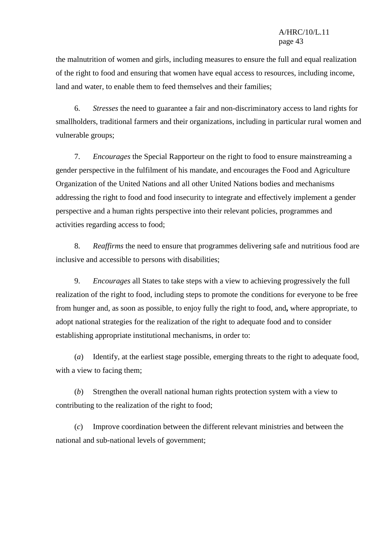the malnutrition of women and girls, including measures to ensure the full and equal realization of the right to food and ensuring that women have equal access to resources, including income, land and water, to enable them to feed themselves and their families;

 6. *Stresses* the need to guarantee a fair and non-discriminatory access to land rights for smallholders, traditional farmers and their organizations, including in particular rural women and vulnerable groups;

 7. *Encourages* the Special Rapporteur on the right to food to ensure mainstreaming a gender perspective in the fulfilment of his mandate, and encourages the Food and Agriculture Organization of the United Nations and all other United Nations bodies and mechanisms addressing the right to food and food insecurity to integrate and effectively implement a gender perspective and a human rights perspective into their relevant policies, programmes and activities regarding access to food;

 8. *Reaffirms* the need to ensure that programmes delivering safe and nutritious food are inclusive and accessible to persons with disabilities;

 9. *Encourages* all States to take steps with a view to achieving progressively the full realization of the right to food, including steps to promote the conditions for everyone to be free from hunger and, as soon as possible, to enjoy fully the right to food, and**,** where appropriate, to adopt national strategies for the realization of the right to adequate food and to consider establishing appropriate institutional mechanisms, in order to:

 (*a*) Identify, at the earliest stage possible, emerging threats to the right to adequate food, with a view to facing them;

 (*b*) Strengthen the overall national human rights protection system with a view to contributing to the realization of the right to food;

 (*c*) Improve coordination between the different relevant ministries and between the national and sub-national levels of government;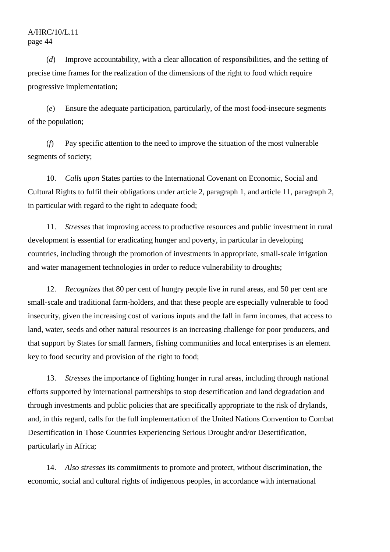(*d*) Improve accountability, with a clear allocation of responsibilities, and the setting of precise time frames for the realization of the dimensions of the right to food which require progressive implementation;

 (*e*) Ensure the adequate participation, particularly, of the most food-insecure segments of the population;

 (*f*) Pay specific attention to the need to improve the situation of the most vulnerable segments of society;

 10. *Calls upon* States parties to the International Covenant on Economic, Social and Cultural Rights to fulfil their obligations under article 2, paragraph 1, and article 11, paragraph 2, in particular with regard to the right to adequate food;

 11. *Stresses* that improving access to productive resources and public investment in rural development is essential for eradicating hunger and poverty, in particular in developing countries, including through the promotion of investments in appropriate, small-scale irrigation and water management technologies in order to reduce vulnerability to droughts;

 12. *Recognizes* that 80 per cent of hungry people live in rural areas, and 50 per cent are small-scale and traditional farm-holders, and that these people are especially vulnerable to food insecurity, given the increasing cost of various inputs and the fall in farm incomes, that access to land, water, seeds and other natural resources is an increasing challenge for poor producers, and that support by States for small farmers, fishing communities and local enterprises is an element key to food security and provision of the right to food;

 13. *Stresses* the importance of fighting hunger in rural areas, including through national efforts supported by international partnerships to stop desertification and land degradation and through investments and public policies that are specifically appropriate to the risk of drylands, and, in this regard, calls for the full implementation of the United Nations Convention to Combat Desertification in Those Countries Experiencing Serious Drought and/or Desertification, particularly in Africa;

 14. *Also stresses* its commitments to promote and protect, without discrimination, the economic, social and cultural rights of indigenous peoples, in accordance with international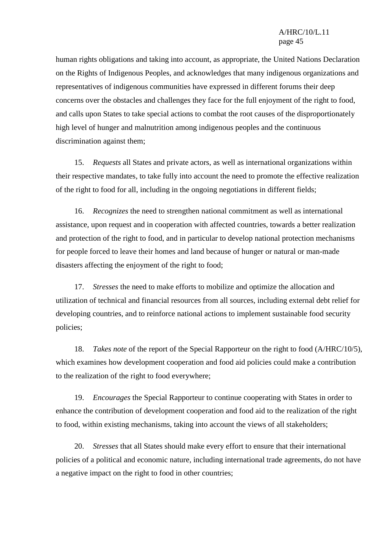human rights obligations and taking into account, as appropriate, the United Nations Declaration on the Rights of Indigenous Peoples, and acknowledges that many indigenous organizations and representatives of indigenous communities have expressed in different forums their deep concerns over the obstacles and challenges they face for the full enjoyment of the right to food, and calls upon States to take special actions to combat the root causes of the disproportionately high level of hunger and malnutrition among indigenous peoples and the continuous discrimination against them;

 15. *Requests* all States and private actors, as well as international organizations within their respective mandates, to take fully into account the need to promote the effective realization of the right to food for all, including in the ongoing negotiations in different fields;

 16. *Recognizes* the need to strengthen national commitment as well as international assistance, upon request and in cooperation with affected countries, towards a better realization and protection of the right to food, and in particular to develop national protection mechanisms for people forced to leave their homes and land because of hunger or natural or man-made disasters affecting the enjoyment of the right to food;

 17. *Stresses* the need to make efforts to mobilize and optimize the allocation and utilization of technical and financial resources from all sources, including external debt relief for developing countries, and to reinforce national actions to implement sustainable food security policies;

 18. *Takes note* of the report of the Special Rapporteur on the right to food (A/HRC/10/5), which examines how development cooperation and food aid policies could make a contribution to the realization of the right to food everywhere;

 19. *Encourages* the Special Rapporteur to continue cooperating with States in order to enhance the contribution of development cooperation and food aid to the realization of the right to food, within existing mechanisms, taking into account the views of all stakeholders;

 20. *Stresses* that all States should make every effort to ensure that their international policies of a political and economic nature, including international trade agreements, do not have a negative impact on the right to food in other countries;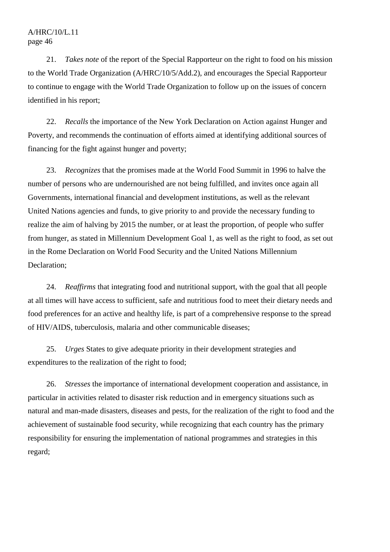21. *Takes note* of the report of the Special Rapporteur on the right to food on his mission to the World Trade Organization (A/HRC/10/5/Add.2), and encourages the Special Rapporteur to continue to engage with the World Trade Organization to follow up on the issues of concern identified in his report;

 22. *Recalls* the importance of the New York Declaration on Action against Hunger and Poverty, and recommends the continuation of efforts aimed at identifying additional sources of financing for the fight against hunger and poverty;

 23. *Recognizes* that the promises made at the World Food Summit in 1996 to halve the number of persons who are undernourished are not being fulfilled, and invites once again all Governments, international financial and development institutions, as well as the relevant United Nations agencies and funds, to give priority to and provide the necessary funding to realize the aim of halving by 2015 the number, or at least the proportion, of people who suffer from hunger, as stated in Millennium Development Goal 1, as well as the right to food, as set out in the Rome Declaration on World Food Security and the United Nations Millennium Declaration;

 24. *Reaffirms* that integrating food and nutritional support, with the goal that all people at all times will have access to sufficient, safe and nutritious food to meet their dietary needs and food preferences for an active and healthy life, is part of a comprehensive response to the spread of HIV/AIDS, tuberculosis, malaria and other communicable diseases;

 25. *Urges* States to give adequate priority in their development strategies and expenditures to the realization of the right to food;

 26. *Stresses* the importance of international development cooperation and assistance, in particular in activities related to disaster risk reduction and in emergency situations such as natural and man-made disasters, diseases and pests, for the realization of the right to food and the achievement of sustainable food security, while recognizing that each country has the primary responsibility for ensuring the implementation of national programmes and strategies in this regard;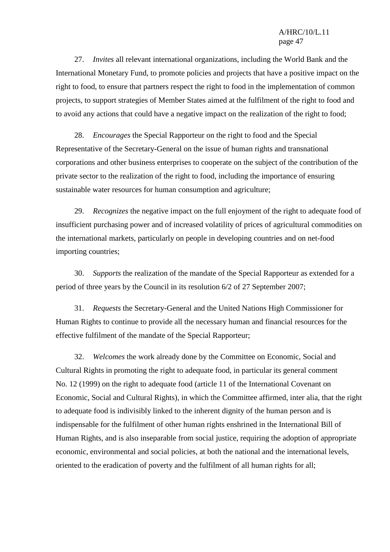27. *Invites* all relevant international organizations, including the World Bank and the International Monetary Fund, to promote policies and projects that have a positive impact on the right to food, to ensure that partners respect the right to food in the implementation of common projects, to support strategies of Member States aimed at the fulfilment of the right to food and to avoid any actions that could have a negative impact on the realization of the right to food;

 28. *Encourages* the Special Rapporteur on the right to food and the Special Representative of the Secretary-General on the issue of human rights and transnational corporations and other business enterprises to cooperate on the subject of the contribution of the private sector to the realization of the right to food, including the importance of ensuring sustainable water resources for human consumption and agriculture;

 29. *Recognizes* the negative impact on the full enjoyment of the right to adequate food of insufficient purchasing power and of increased volatility of prices of agricultural commodities on the international markets, particularly on people in developing countries and on net-food importing countries;

 30. *Supports* the realization of the mandate of the Special Rapporteur as extended for a period of three years by the Council in its resolution 6/2 of 27 September 2007;

 31. *Requests* the Secretary-General and the United Nations High Commissioner for Human Rights to continue to provide all the necessary human and financial resources for the effective fulfilment of the mandate of the Special Rapporteur;

 32. *Welcomes* the work already done by the Committee on Economic, Social and Cultural Rights in promoting the right to adequate food, in particular its general comment No. 12 (1999) on the right to adequate food (article 11 of the International Covenant on Economic, Social and Cultural Rights), in which the Committee affirmed, inter alia, that the right to adequate food is indivisibly linked to the inherent dignity of the human person and is indispensable for the fulfilment of other human rights enshrined in the International Bill of Human Rights, and is also inseparable from social justice, requiring the adoption of appropriate economic, environmental and social policies, at both the national and the international levels, oriented to the eradication of poverty and the fulfilment of all human rights for all;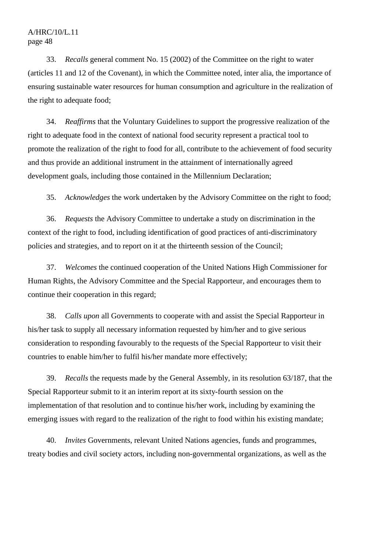33. *Recalls* general comment No. 15 (2002) of the Committee on the right to water (articles 11 and 12 of the Covenant), in which the Committee noted, inter alia, the importance of ensuring sustainable water resources for human consumption and agriculture in the realization of the right to adequate food;

 34. *Reaffirms* that the Voluntary Guidelines to support the progressive realization of the right to adequate food in the context of national food security represent a practical tool to promote the realization of the right to food for all, contribute to the achievement of food security and thus provide an additional instrument in the attainment of internationally agreed development goals, including those contained in the Millennium Declaration;

35. *Acknowledges* the work undertaken by the Advisory Committee on the right to food;

 36. *Requests* the Advisory Committee to undertake a study on discrimination in the context of the right to food, including identification of good practices of anti-discriminatory policies and strategies, and to report on it at the thirteenth session of the Council;

 37. *Welcomes* the continued cooperation of the United Nations High Commissioner for Human Rights, the Advisory Committee and the Special Rapporteur, and encourages them to continue their cooperation in this regard;

 38. *Calls upon* all Governments to cooperate with and assist the Special Rapporteur in his/her task to supply all necessary information requested by him/her and to give serious consideration to responding favourably to the requests of the Special Rapporteur to visit their countries to enable him/her to fulfil his/her mandate more effectively;

 39. *Recalls* the requests made by the General Assembly, in its resolution 63/187, that the Special Rapporteur submit to it an interim report at its sixty-fourth session on the implementation of that resolution and to continue his/her work, including by examining the emerging issues with regard to the realization of the right to food within his existing mandate;

 40. *Invites* Governments, relevant United Nations agencies, funds and programmes, treaty bodies and civil society actors, including non-governmental organizations, as well as the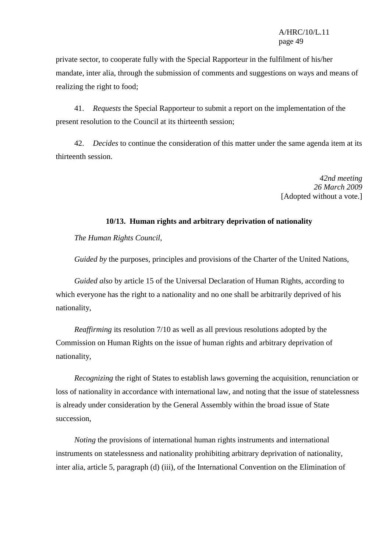private sector, to cooperate fully with the Special Rapporteur in the fulfilment of his/her mandate, inter alia, through the submission of comments and suggestions on ways and means of realizing the right to food;

 41. *Requests* the Special Rapporteur to submit a report on the implementation of the present resolution to the Council at its thirteenth session;

 42. *Decides* to continue the consideration of this matter under the same agenda item at its thirteenth session.

> *42nd meeting 26 March 2009*  [Adopted without a vote.]

#### **10/13. Human rights and arbitrary deprivation of nationality**

*The Human Rights Council*,

*Guided by* the purposes, principles and provisions of the Charter of the United Nations,

*Guided also* by article 15 of the Universal Declaration of Human Rights, according to which everyone has the right to a nationality and no one shall be arbitrarily deprived of his nationality,

*Reaffirming* its resolution 7/10 as well as all previous resolutions adopted by the Commission on Human Rights on the issue of human rights and arbitrary deprivation of nationality,

*Recognizing* the right of States to establish laws governing the acquisition, renunciation or loss of nationality in accordance with international law, and noting that the issue of statelessness is already under consideration by the General Assembly within the broad issue of State succession,

 *Noting* the provisions of international human rights instruments and international instruments on statelessness and nationality prohibiting arbitrary deprivation of nationality, inter alia, article 5, paragraph (d) (iii), of the International Convention on the Elimination of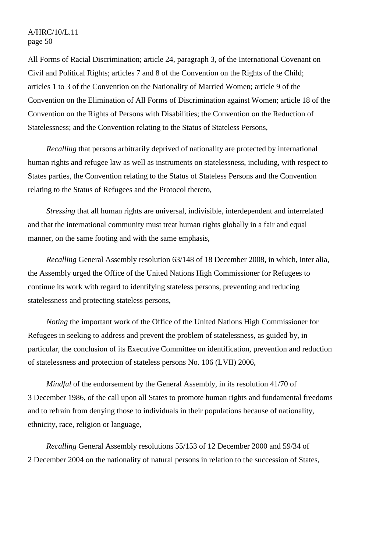All Forms of Racial Discrimination; article 24, paragraph 3, of the International Covenant on Civil and Political Rights; articles 7 and 8 of the Convention on the Rights of the Child; articles 1 to 3 of the Convention on the Nationality of Married Women; article 9 of the Convention on the Elimination of All Forms of Discrimination against Women; article 18 of the Convention on the Rights of Persons with Disabilities; the Convention on the Reduction of Statelessness; and the Convention relating to the Status of Stateless Persons,

 *Recalling* that persons arbitrarily deprived of nationality are protected by international human rights and refugee law as well as instruments on statelessness, including, with respect to States parties, the Convention relating to the Status of Stateless Persons and the Convention relating to the Status of Refugees and the Protocol thereto,

 *Stressing* that all human rights are universal, indivisible, interdependent and interrelated and that the international community must treat human rights globally in a fair and equal manner, on the same footing and with the same emphasis,

 *Recalling* General Assembly resolution 63/148 of 18 December 2008, in which, inter alia, the Assembly urged the Office of the United Nations High Commissioner for Refugees to continue its work with regard to identifying stateless persons, preventing and reducing statelessness and protecting stateless persons,

 *Noting* the important work of the Office of the United Nations High Commissioner for Refugees in seeking to address and prevent the problem of statelessness, as guided by, in particular, the conclusion of its Executive Committee on identification, prevention and reduction of statelessness and protection of stateless persons No. 106 (LVII) 2006,

*Mindful* of the endorsement by the General Assembly, in its resolution 41/70 of 3 December 1986, of the call upon all States to promote human rights and fundamental freedoms and to refrain from denying those to individuals in their populations because of nationality, ethnicity, race, religion or language,

 *Recalling* General Assembly resolutions 55/153 of 12 December 2000 and 59/34 of 2 December 2004 on the nationality of natural persons in relation to the succession of States,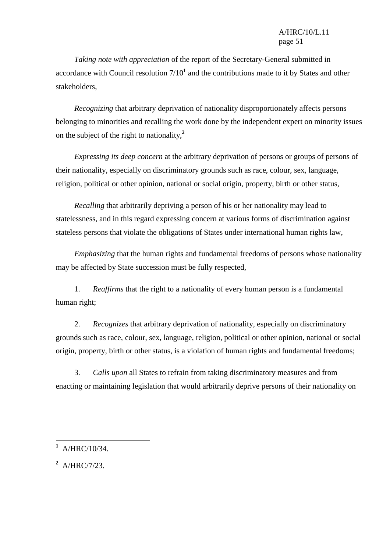*Taking note with appreciation* of the report of the Secretary-General submitted in accordance with Council resolution 7/10**<sup>1</sup>** and the contributions made to it by States and other stakeholders,

 *Recognizing* that arbitrary deprivation of nationality disproportionately affects persons belonging to minorities and recalling the work done by the independent expert on minority issues on the subject of the right to nationality,**<sup>2</sup>**

*Expressing its deep concern* at the arbitrary deprivation of persons or groups of persons of their nationality, especially on discriminatory grounds such as race, colour, sex, language, religion, political or other opinion, national or social origin, property, birth or other status,

*Recalling* that arbitrarily depriving a person of his or her nationality may lead to statelessness, and in this regard expressing concern at various forms of discrimination against stateless persons that violate the obligations of States under international human rights law,

 *Emphasizing* that the human rights and fundamental freedoms of persons whose nationality may be affected by State succession must be fully respected,

 1. *Reaffirms* that the right to a nationality of every human person is a fundamental human right;

 2. *Recognizes* that arbitrary deprivation of nationality, especially on discriminatory grounds such as race, colour, sex, language, religion, political or other opinion, national or social origin, property, birth or other status, is a violation of human rights and fundamental freedoms;

 3. *Calls upon* all States to refrain from taking discriminatory measures and from enacting or maintaining legislation that would arbitrarily deprive persons of their nationality on

**2** A/HRC/7/23.

 $\overline{a}$ **1** A/HRC/10/34.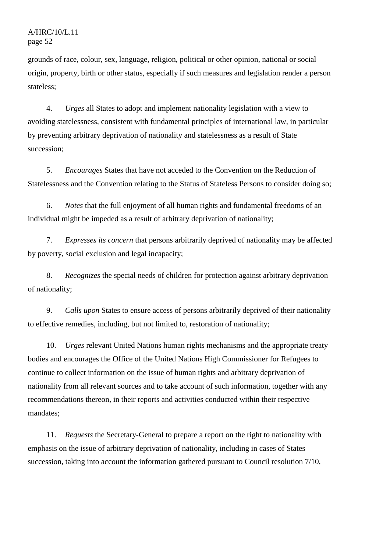grounds of race, colour, sex, language, religion, political or other opinion, national or social origin, property, birth or other status, especially if such measures and legislation render a person stateless;

 4. *Urges* all States to adopt and implement nationality legislation with a view to avoiding statelessness, consistent with fundamental principles of international law, in particular by preventing arbitrary deprivation of nationality and statelessness as a result of State succession;

 5. *Encourages* States that have not acceded to the Convention on the Reduction of Statelessness and the Convention relating to the Status of Stateless Persons to consider doing so;

 6. *Notes* that the full enjoyment of all human rights and fundamental freedoms of an individual might be impeded as a result of arbitrary deprivation of nationality;

 7. *Expresses its concern* that persons arbitrarily deprived of nationality may be affected by poverty, social exclusion and legal incapacity;

 8. *Recognizes* the special needs of children for protection against arbitrary deprivation of nationality;

 9. *Calls upon* States to ensure access of persons arbitrarily deprived of their nationality to effective remedies, including, but not limited to, restoration of nationality;

 10. *Urges* relevant United Nations human rights mechanisms and the appropriate treaty bodies and encourages the Office of the United Nations High Commissioner for Refugees to continue to collect information on the issue of human rights and arbitrary deprivation of nationality from all relevant sources and to take account of such information, together with any recommendations thereon, in their reports and activities conducted within their respective mandates;

 11. *Requests* the Secretary-General to prepare a report on the right to nationality with emphasis on the issue of arbitrary deprivation of nationality, including in cases of States succession, taking into account the information gathered pursuant to Council resolution 7/10,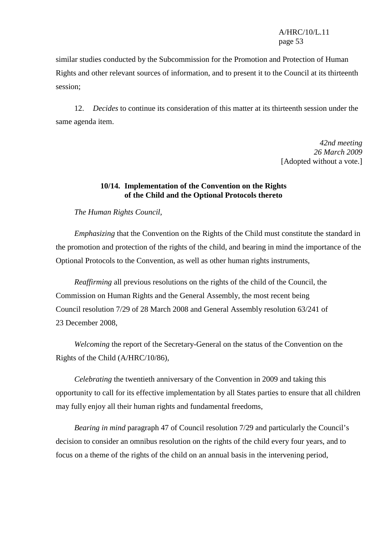similar studies conducted by the Subcommission for the Promotion and Protection of Human Rights and other relevant sources of information, and to present it to the Council at its thirteenth session;

 12. *Decides* to continue its consideration of this matter at its thirteenth session under the same agenda item.

> *42nd meeting 26 March 2009*  [Adopted without a vote.]

#### **10/14. Implementation of the Convention on the Rights of the Child and the Optional Protocols thereto**

*The Human Rights Council*,

*Emphasizing* that the Convention on the Rights of the Child must constitute the standard in the promotion and protection of the rights of the child, and bearing in mind the importance of the Optional Protocols to the Convention, as well as other human rights instruments,

 *Reaffirming* all previous resolutions on the rights of the child of the Council, the Commission on Human Rights and the General Assembly, the most recent being Council resolution 7/29 of 28 March 2008 and General Assembly resolution 63/241 of 23 December 2008,

 *Welcoming* the report of the Secretary-General on the status of the Convention on the Rights of the Child (A/HRC/10/86),

 *Celebrating* the twentieth anniversary of the Convention in 2009 and taking this opportunity to call for its effective implementation by all States parties to ensure that all children may fully enjoy all their human rights and fundamental freedoms,

 *Bearing in mind* paragraph 47 of Council resolution 7/29 and particularly the Council's decision to consider an omnibus resolution on the rights of the child every four years, and to focus on a theme of the rights of the child on an annual basis in the intervening period,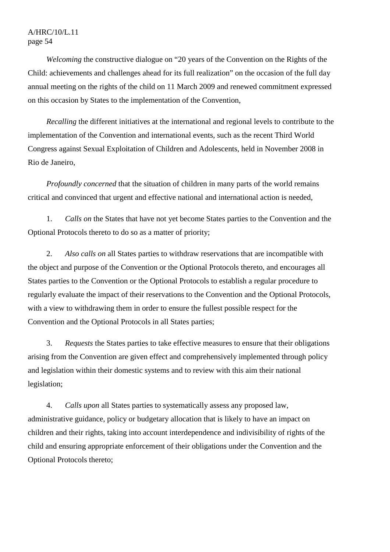*Welcoming* the constructive dialogue on "20 years of the Convention on the Rights of the Child: achievements and challenges ahead for its full realization" on the occasion of the full day annual meeting on the rights of the child on 11 March 2009 and renewed commitment expressed on this occasion by States to the implementation of the Convention,

 *Recalling* the different initiatives at the international and regional levels to contribute to the implementation of the Convention and international events, such as the recent Third World Congress against Sexual Exploitation of Children and Adolescents, held in November 2008 in Rio de Janeiro,

 *Profoundly concerned* that the situation of children in many parts of the world remains critical and convinced that urgent and effective national and international action is needed,

 1. *Calls on* the States that have not yet become States parties to the Convention and the Optional Protocols thereto to do so as a matter of priority;

 2. *Also calls on* all States parties to withdraw reservations that are incompatible with the object and purpose of the Convention or the Optional Protocols thereto, and encourages all States parties to the Convention or the Optional Protocols to establish a regular procedure to regularly evaluate the impact of their reservations to the Convention and the Optional Protocols, with a view to withdrawing them in order to ensure the fullest possible respect for the Convention and the Optional Protocols in all States parties;

 3. *Requests* the States parties to take effective measures to ensure that their obligations arising from the Convention are given effect and comprehensively implemented through policy and legislation within their domestic systems and to review with this aim their national legislation;

 4. *Calls upon* all States parties to systematically assess any proposed law, administrative guidance, policy or budgetary allocation that is likely to have an impact on children and their rights, taking into account interdependence and indivisibility of rights of the child and ensuring appropriate enforcement of their obligations under the Convention and the Optional Protocols thereto;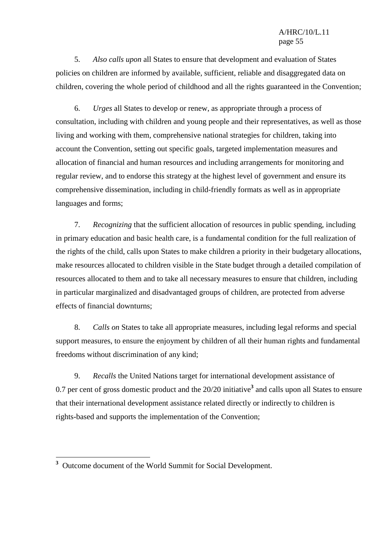5. *Also calls upon* all States to ensure that development and evaluation of States policies on children are informed by available, sufficient, reliable and disaggregated data on children, covering the whole period of childhood and all the rights guaranteed in the Convention;

 6. *Urges* all States to develop or renew, as appropriate through a process of consultation, including with children and young people and their representatives, as well as those living and working with them, comprehensive national strategies for children, taking into account the Convention, setting out specific goals, targeted implementation measures and allocation of financial and human resources and including arrangements for monitoring and regular review, and to endorse this strategy at the highest level of government and ensure its comprehensive dissemination, including in child-friendly formats as well as in appropriate languages and forms;

 7. *Recognizing* that the sufficient allocation of resources in public spending, including in primary education and basic health care, is a fundamental condition for the full realization of the rights of the child, calls upon States to make children a priority in their budgetary allocations, make resources allocated to children visible in the State budget through a detailed compilation of resources allocated to them and to take all necessary measures to ensure that children, including in particular marginalized and disadvantaged groups of children, are protected from adverse effects of financial downturns;

 8. *Calls on* States to take all appropriate measures, including legal reforms and special support measures, to ensure the enjoyment by children of all their human rights and fundamental freedoms without discrimination of any kind;

 9. *Recalls* the United Nations target for international development assistance of 0.7 per cent of gross domestic product and the 20/20 initiative**<sup>3</sup>** and calls upon all States to ensure that their international development assistance related directly or indirectly to children is rights-based and supports the implementation of the Convention;

<sup>&</sup>lt;sup>3</sup> Outcome document of the World Summit for Social Development.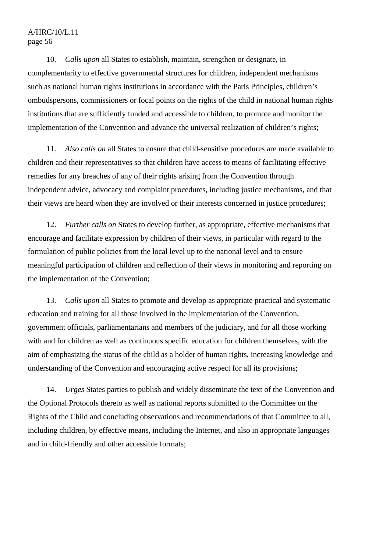10. *Calls upon* all States to establish, maintain, strengthen or designate, in complementarity to effective governmental structures for children, independent mechanisms such as national human rights institutions in accordance with the Paris Principles, children's ombudspersons, commissioners or focal points on the rights of the child in national human rights institutions that are sufficiently funded and accessible to children, to promote and monitor the implementation of the Convention and advance the universal realization of children's rights;

 11. *Also calls on* all States to ensure that child-sensitive procedures are made available to children and their representatives so that children have access to means of facilitating effective remedies for any breaches of any of their rights arising from the Convention through independent advice, advocacy and complaint procedures, including justice mechanisms, and that their views are heard when they are involved or their interests concerned in justice procedures;

 12. *Further calls on* States to develop further, as appropriate, effective mechanisms that encourage and facilitate expression by children of their views, in particular with regard to the formulation of public policies from the local level up to the national level and to ensure meaningful participation of children and reflection of their views in monitoring and reporting on the implementation of the Convention;

 13. *Calls upon* all States to promote and develop as appropriate practical and systematic education and training for all those involved in the implementation of the Convention, government officials, parliamentarians and members of the judiciary, and for all those working with and for children as well as continuous specific education for children themselves, with the aim of emphasizing the status of the child as a holder of human rights, increasing knowledge and understanding of the Convention and encouraging active respect for all its provisions;

 14. *Urges* States parties to publish and widely disseminate the text of the Convention and the Optional Protocols thereto as well as national reports submitted to the Committee on the Rights of the Child and concluding observations and recommendations of that Committee to all, including children, by effective means, including the Internet, and also in appropriate languages and in child-friendly and other accessible formats;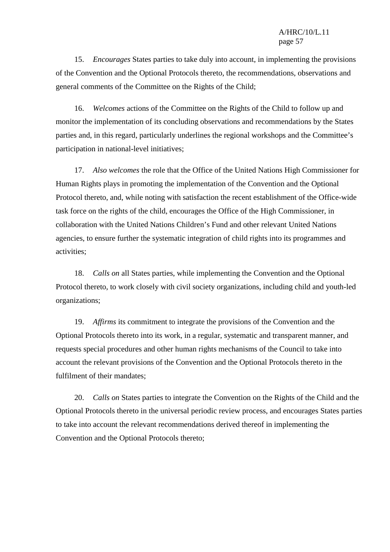15. *Encourages* States parties to take duly into account, in implementing the provisions of the Convention and the Optional Protocols thereto, the recommendations, observations and general comments of the Committee on the Rights of the Child;

 16. *Welcomes* actions of the Committee on the Rights of the Child to follow up and monitor the implementation of its concluding observations and recommendations by the States parties and, in this regard, particularly underlines the regional workshops and the Committee's participation in national-level initiatives;

 17. *Also welcomes* the role that the Office of the United Nations High Commissioner for Human Rights plays in promoting the implementation of the Convention and the Optional Protocol thereto, and, while noting with satisfaction the recent establishment of the Office-wide task force on the rights of the child, encourages the Office of the High Commissioner, in collaboration with the United Nations Children's Fund and other relevant United Nations agencies, to ensure further the systematic integration of child rights into its programmes and activities;

 18. *Calls on* all States parties, while implementing the Convention and the Optional Protocol thereto, to work closely with civil society organizations, including child and youth-led organizations;

 19. *Affirms* its commitment to integrate the provisions of the Convention and the Optional Protocols thereto into its work, in a regular, systematic and transparent manner, and requests special procedures and other human rights mechanisms of the Council to take into account the relevant provisions of the Convention and the Optional Protocols thereto in the fulfilment of their mandates;

 20. *Calls on* States parties to integrate the Convention on the Rights of the Child and the Optional Protocols thereto in the universal periodic review process, and encourages States parties to take into account the relevant recommendations derived thereof in implementing the Convention and the Optional Protocols thereto;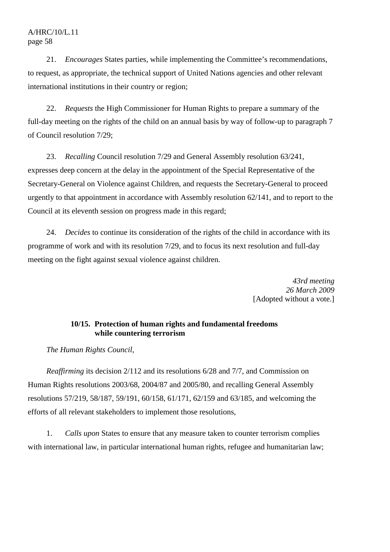21. *Encourages* States parties, while implementing the Committee's recommendations, to request, as appropriate, the technical support of United Nations agencies and other relevant international institutions in their country or region;

 22. *Requests* the High Commissioner for Human Rights to prepare a summary of the full-day meeting on the rights of the child on an annual basis by way of follow-up to paragraph 7 of Council resolution 7/29;

 23. *Recalling* Council resolution 7/29 and General Assembly resolution 63/241, expresses deep concern at the delay in the appointment of the Special Representative of the Secretary-General on Violence against Children, and requests the Secretary-General to proceed urgently to that appointment in accordance with Assembly resolution 62/141, and to report to the Council at its eleventh session on progress made in this regard;

 24. *Decides* to continue its consideration of the rights of the child in accordance with its programme of work and with its resolution 7/29, and to focus its next resolution and full-day meeting on the fight against sexual violence against children.

> *43rd meeting 26 March 2009*  [Adopted without a vote.]

# **10/15. Protection of human rights and fundamental freedoms while countering terrorism**

*The Human Rights Council*,

*Reaffirming* its decision 2/112 and its resolutions 6/28 and 7/7, and Commission on Human Rights resolutions 2003/68, 2004/87 and 2005/80, and recalling General Assembly resolutions 57/219, 58/187, 59/191, 60/158, 61/171, 62/159 and 63/185, and welcoming the efforts of all relevant stakeholders to implement those resolutions,

 1. *Calls upon* States to ensure that any measure taken to counter terrorism complies with international law, in particular international human rights, refugee and humanitarian law;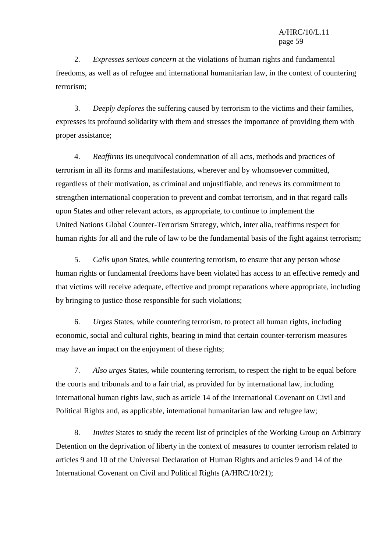2. *Expresses serious concern* at the violations of human rights and fundamental freedoms, as well as of refugee and international humanitarian law, in the context of countering terrorism;

 3. *Deeply deplores* the suffering caused by terrorism to the victims and their families, expresses its profound solidarity with them and stresses the importance of providing them with proper assistance;

 4. *Reaffirms* its unequivocal condemnation of all acts, methods and practices of terrorism in all its forms and manifestations, wherever and by whomsoever committed, regardless of their motivation, as criminal and unjustifiable, and renews its commitment to strengthen international cooperation to prevent and combat terrorism, and in that regard calls upon States and other relevant actors, as appropriate, to continue to implement the United Nations Global Counter-Terrorism Strategy, which, inter alia, reaffirms respect for human rights for all and the rule of law to be the fundamental basis of the fight against terrorism;

 5. *Calls upon* States, while countering terrorism, to ensure that any person whose human rights or fundamental freedoms have been violated has access to an effective remedy and that victims will receive adequate, effective and prompt reparations where appropriate, including by bringing to justice those responsible for such violations;

 6. *Urges* States, while countering terrorism, to protect all human rights, including economic, social and cultural rights, bearing in mind that certain counter-terrorism measures may have an impact on the enjoyment of these rights;

 7. *Also urges* States, while countering terrorism, to respect the right to be equal before the courts and tribunals and to a fair trial, as provided for by international law, including international human rights law, such as article 14 of the International Covenant on Civil and Political Rights and, as applicable, international humanitarian law and refugee law;

 8. *Invites* States to study the recent list of principles of the Working Group on Arbitrary Detention on the deprivation of liberty in the context of measures to counter terrorism related to articles 9 and 10 of the Universal Declaration of Human Rights and articles 9 and 14 of the International Covenant on Civil and Political Rights (A/HRC/10/21);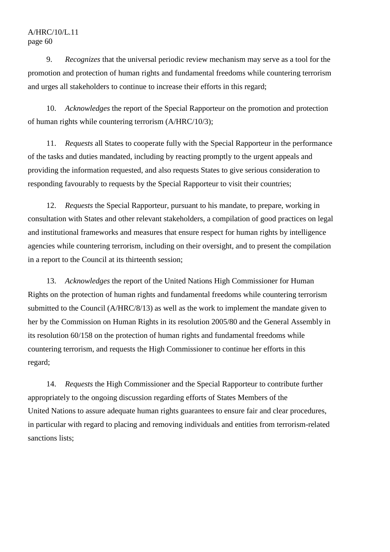9. *Recognizes* that the universal periodic review mechanism may serve as a tool for the promotion and protection of human rights and fundamental freedoms while countering terrorism and urges all stakeholders to continue to increase their efforts in this regard;

 10. *Acknowledges* the report of the Special Rapporteur on the promotion and protection of human rights while countering terrorism (A/HRC/10/3);

 11. *Requests* all States to cooperate fully with the Special Rapporteur in the performance of the tasks and duties mandated, including by reacting promptly to the urgent appeals and providing the information requested, and also requests States to give serious consideration to responding favourably to requests by the Special Rapporteur to visit their countries;

 12. *Requests* the Special Rapporteur, pursuant to his mandate, to prepare, working in consultation with States and other relevant stakeholders, a compilation of good practices on legal and institutional frameworks and measures that ensure respect for human rights by intelligence agencies while countering terrorism, including on their oversight, and to present the compilation in a report to the Council at its thirteenth session;

 13. *Acknowledges* the report of the United Nations High Commissioner for Human Rights on the protection of human rights and fundamental freedoms while countering terrorism submitted to the Council (A/HRC/8/13) as well as the work to implement the mandate given to her by the Commission on Human Rights in its resolution 2005/80 and the General Assembly in its resolution 60/158 on the protection of human rights and fundamental freedoms while countering terrorism, and requests the High Commissioner to continue her efforts in this regard;

 14. *Requests* the High Commissioner and the Special Rapporteur to contribute further appropriately to the ongoing discussion regarding efforts of States Members of the United Nations to assure adequate human rights guarantees to ensure fair and clear procedures, in particular with regard to placing and removing individuals and entities from terrorism-related sanctions lists;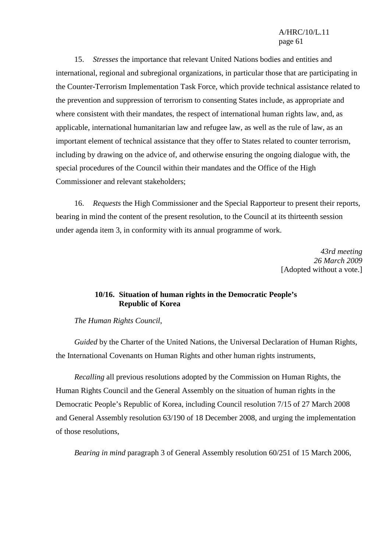15. *Stresses* the importance that relevant United Nations bodies and entities and international, regional and subregional organizations, in particular those that are participating in the Counter-Terrorism Implementation Task Force, which provide technical assistance related to the prevention and suppression of terrorism to consenting States include, as appropriate and where consistent with their mandates, the respect of international human rights law, and, as applicable, international humanitarian law and refugee law, as well as the rule of law, as an important element of technical assistance that they offer to States related to counter terrorism, including by drawing on the advice of, and otherwise ensuring the ongoing dialogue with, the special procedures of the Council within their mandates and the Office of the High Commissioner and relevant stakeholders;

 16. *Requests* the High Commissioner and the Special Rapporteur to present their reports, bearing in mind the content of the present resolution, to the Council at its thirteenth session under agenda item 3, in conformity with its annual programme of work.

> *43rd meeting 26 March 2009*  [Adopted without a vote.]

### **10/16. Situation of human rights in the Democratic People's Republic of Korea**

 *The Human Rights Council*,

 *Guided* by the Charter of the United Nations, the Universal Declaration of Human Rights, the International Covenants on Human Rights and other human rights instruments,

 *Recalling* all previous resolutions adopted by the Commission on Human Rights, the Human Rights Council and the General Assembly on the situation of human rights in the Democratic People's Republic of Korea, including Council resolution 7/15 of 27 March 2008 and General Assembly resolution 63/190 of 18 December 2008, and urging the implementation of those resolutions,

 *Bearing in mind* paragraph 3 of General Assembly resolution 60/251 of 15 March 2006,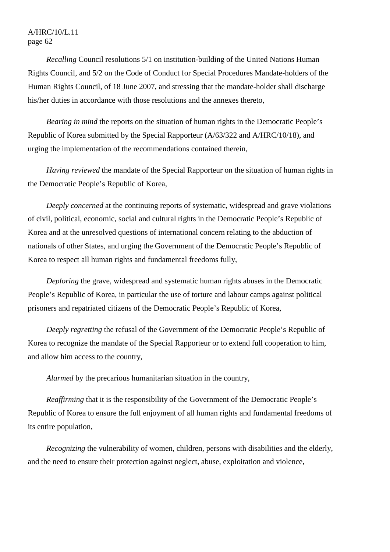*Recalling* Council resolutions 5/1 on institution-building of the United Nations Human Rights Council, and 5/2 on the Code of Conduct for Special Procedures Mandate-holders of the Human Rights Council, of 18 June 2007, and stressing that the mandate-holder shall discharge his/her duties in accordance with those resolutions and the annexes thereto,

 *Bearing in mind* the reports on the situation of human rights in the Democratic People's Republic of Korea submitted by the Special Rapporteur (A/63/322 and A/HRC/10/18), and urging the implementation of the recommendations contained therein,

 *Having reviewed* the mandate of the Special Rapporteur on the situation of human rights in the Democratic People's Republic of Korea,

 *Deeply concerned* at the continuing reports of systematic, widespread and grave violations of civil, political, economic, social and cultural rights in the Democratic People's Republic of Korea and at the unresolved questions of international concern relating to the abduction of nationals of other States, and urging the Government of the Democratic People's Republic of Korea to respect all human rights and fundamental freedoms fully,

 *Deploring* the grave, widespread and systematic human rights abuses in the Democratic People's Republic of Korea, in particular the use of torture and labour camps against political prisoners and repatriated citizens of the Democratic People's Republic of Korea,

 *Deeply regretting* the refusal of the Government of the Democratic People's Republic of Korea to recognize the mandate of the Special Rapporteur or to extend full cooperation to him, and allow him access to the country,

 *Alarmed* by the precarious humanitarian situation in the country,

*Reaffirming* that it is the responsibility of the Government of the Democratic People's Republic of Korea to ensure the full enjoyment of all human rights and fundamental freedoms of its entire population,

 *Recognizing* the vulnerability of women, children, persons with disabilities and the elderly, and the need to ensure their protection against neglect, abuse, exploitation and violence,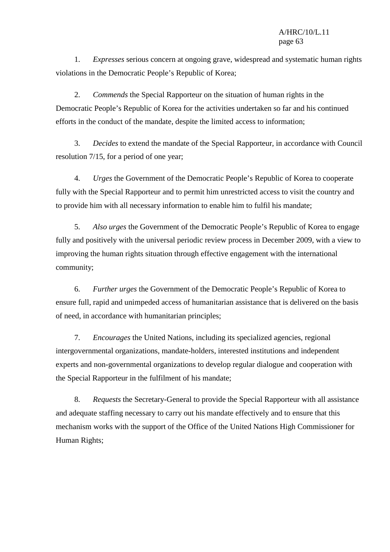1. *Expresses* serious concern at ongoing grave, widespread and systematic human rights violations in the Democratic People's Republic of Korea;

 2. *Commends* the Special Rapporteur on the situation of human rights in the Democratic People's Republic of Korea for the activities undertaken so far and his continued efforts in the conduct of the mandate, despite the limited access to information;

 3. *Decides* to extend the mandate of the Special Rapporteur, in accordance with Council resolution 7/15, for a period of one year;

 4. *Urges* the Government of the Democratic People's Republic of Korea to cooperate fully with the Special Rapporteur and to permit him unrestricted access to visit the country and to provide him with all necessary information to enable him to fulfil his mandate;

 5. *Also urges* the Government of the Democratic People's Republic of Korea to engage fully and positively with the universal periodic review process in December 2009, with a view to improving the human rights situation through effective engagement with the international community;

 6. *Further urges* the Government of the Democratic People's Republic of Korea to ensure full, rapid and unimpeded access of humanitarian assistance that is delivered on the basis of need, in accordance with humanitarian principles;

 7. *Encourages* the United Nations, including its specialized agencies, regional intergovernmental organizations, mandate-holders, interested institutions and independent experts and non-governmental organizations to develop regular dialogue and cooperation with the Special Rapporteur in the fulfilment of his mandate;

 8. *Requests* the Secretary-General to provide the Special Rapporteur with all assistance and adequate staffing necessary to carry out his mandate effectively and to ensure that this mechanism works with the support of the Office of the United Nations High Commissioner for Human Rights;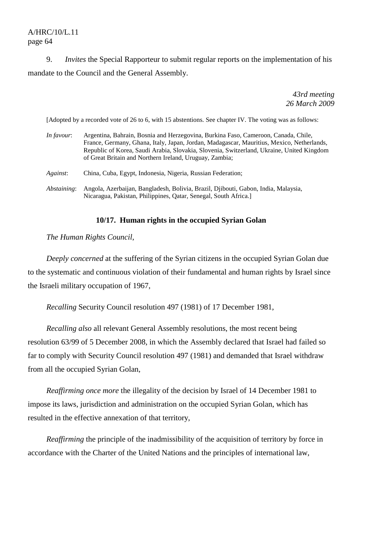9. *Invites* the Special Rapporteur to submit regular reports on the implementation of his mandate to the Council and the General Assembly.

> *43rd meeting 26 March 2009*

[Adopted by a recorded vote of 26 to 6, with 15 abstentions. See chapter IV. The voting was as follows:

| In favour:         | Argentina, Bahrain, Bosnia and Herzegovina, Burkina Faso, Cameroon, Canada, Chile,<br>France, Germany, Ghana, Italy, Japan, Jordan, Madagascar, Mauritius, Mexico, Netherlands,<br>Republic of Korea, Saudi Arabia, Slovakia, Slovenia, Switzerland, Ukraine, United Kingdom<br>of Great Britain and Northern Ireland, Uruguay, Zambia; |
|--------------------|-----------------------------------------------------------------------------------------------------------------------------------------------------------------------------------------------------------------------------------------------------------------------------------------------------------------------------------------|
| Against:           | China, Cuba, Egypt, Indonesia, Nigeria, Russian Federation;                                                                                                                                                                                                                                                                             |
| <i>Abstaining:</i> | Angola, Azerbaijan, Bangladesh, Bolivia, Brazil, Djibouti, Gabon, India, Malaysia,                                                                                                                                                                                                                                                      |

#### **10/17. Human rights in the occupied Syrian Golan**

Nicaragua, Pakistan, Philippines, Qatar, Senegal, South Africa.]

#### *The Human Rights Council*,

 *Deeply concerned* at the suffering of the Syrian citizens in the occupied Syrian Golan due to the systematic and continuous violation of their fundamental and human rights by Israel since the Israeli military occupation of 1967,

 *Recalling* Security Council resolution 497 (1981) of 17 December 1981,

 *Recalling also* all relevant General Assembly resolutions, the most recent being resolution 63/99 of 5 December 2008, in which the Assembly declared that Israel had failed so far to comply with Security Council resolution 497 (1981) and demanded that Israel withdraw from all the occupied Syrian Golan,

 *Reaffirming once more* the illegality of the decision by Israel of 14 December 1981 to impose its laws, jurisdiction and administration on the occupied Syrian Golan, which has resulted in the effective annexation of that territory,

 *Reaffirming* the principle of the inadmissibility of the acquisition of territory by force in accordance with the Charter of the United Nations and the principles of international law,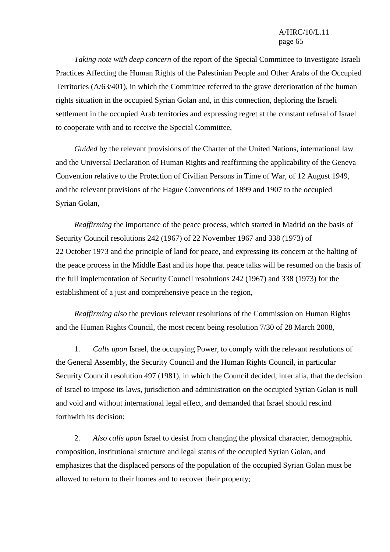*Taking note with deep concern* of the report of the Special Committee to Investigate Israeli Practices Affecting the Human Rights of the Palestinian People and Other Arabs of the Occupied Territories (A/63/401), in which the Committee referred to the grave deterioration of the human rights situation in the occupied Syrian Golan and, in this connection, deploring the Israeli settlement in the occupied Arab territories and expressing regret at the constant refusal of Israel to cooperate with and to receive the Special Committee,

 *Guided* by the relevant provisions of the Charter of the United Nations, international law and the Universal Declaration of Human Rights and reaffirming the applicability of the Geneva Convention relative to the Protection of Civilian Persons in Time of War, of 12 August 1949, and the relevant provisions of the Hague Conventions of 1899 and 1907 to the occupied Syrian Golan,

 *Reaffirming* the importance of the peace process, which started in Madrid on the basis of Security Council resolutions 242 (1967) of 22 November 1967 and 338 (1973) of 22 October 1973 and the principle of land for peace, and expressing its concern at the halting of the peace process in the Middle East and its hope that peace talks will be resumed on the basis of the full implementation of Security Council resolutions 242 (1967) and 338 (1973) for the establishment of a just and comprehensive peace in the region,

 *Reaffirming also* the previous relevant resolutions of the Commission on Human Rights and the Human Rights Council, the most recent being resolution 7/30 of 28 March 2008,

 1. *Calls upon* Israel, the occupying Power, to comply with the relevant resolutions of the General Assembly, the Security Council and the Human Rights Council, in particular Security Council resolution 497 (1981), in which the Council decided, inter alia, that the decision of Israel to impose its laws, jurisdiction and administration on the occupied Syrian Golan is null and void and without international legal effect, and demanded that Israel should rescind forthwith its decision;

 2. *Also calls upon* Israel to desist from changing the physical character, demographic composition, institutional structure and legal status of the occupied Syrian Golan, and emphasizes that the displaced persons of the population of the occupied Syrian Golan must be allowed to return to their homes and to recover their property;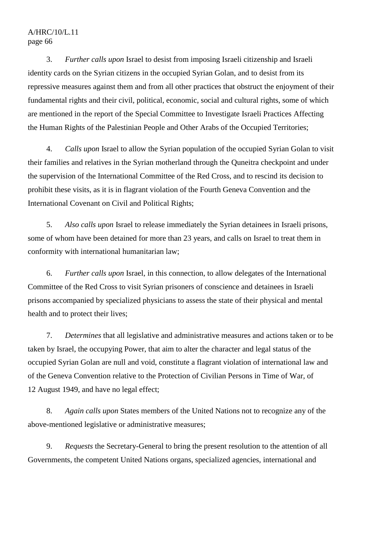3. *Further calls upon* Israel to desist from imposing Israeli citizenship and Israeli identity cards on the Syrian citizens in the occupied Syrian Golan, and to desist from its repressive measures against them and from all other practices that obstruct the enjoyment of their fundamental rights and their civil, political, economic, social and cultural rights, some of which are mentioned in the report of the Special Committee to Investigate Israeli Practices Affecting the Human Rights of the Palestinian People and Other Arabs of the Occupied Territories;

4. *Calls upon* Israel to allow the Syrian population of the occupied Syrian Golan to visit their families and relatives in the Syrian motherland through the Quneitra checkpoint and under the supervision of the International Committee of the Red Cross, and to rescind its decision to prohibit these visits, as it is in flagrant violation of the Fourth Geneva Convention and the International Covenant on Civil and Political Rights;

5. *Also calls upon* Israel to release immediately the Syrian detainees in Israeli prisons, some of whom have been detained for more than 23 years, and calls on Israel to treat them in conformity with international humanitarian law;

6. *Further calls upon* Israel, in this connection, to allow delegates of the International Committee of the Red Cross to visit Syrian prisoners of conscience and detainees in Israeli prisons accompanied by specialized physicians to assess the state of their physical and mental health and to protect their lives;

7. *Determines* that all legislative and administrative measures and actions taken or to be taken by Israel, the occupying Power, that aim to alter the character and legal status of the occupied Syrian Golan are null and void, constitute a flagrant violation of international law and of the Geneva Convention relative to the Protection of Civilian Persons in Time of War, of 12 August 1949, and have no legal effect;

 8. *Again calls upon* States members of the United Nations not to recognize any of the above-mentioned legislative or administrative measures;

 9. *Requests* the Secretary-General to bring the present resolution to the attention of all Governments, the competent United Nations organs, specialized agencies, international and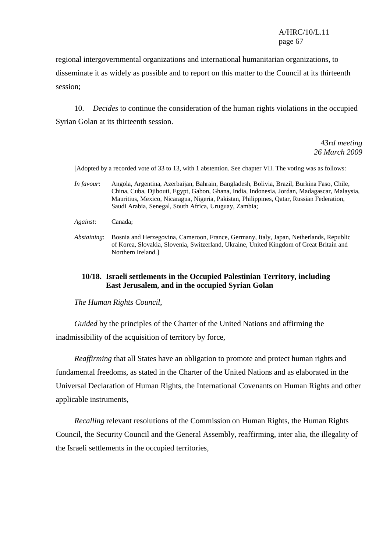regional intergovernmental organizations and international humanitarian organizations, to disseminate it as widely as possible and to report on this matter to the Council at its thirteenth session;

 10. *Decides* to continue the consideration of the human rights violations in the occupied Syrian Golan at its thirteenth session.

> *43rd meeting 26 March 2009*

[Adopted by a recorded vote of 33 to 13, with 1 abstention. See chapter VII. The voting was as follows:

- *In favour*: Angola, Argentina, Azerbaijan, Bahrain, Bangladesh, Bolivia, Brazil, Burkina Faso, Chile, China, Cuba, Djibouti, Egypt, Gabon, Ghana, India, Indonesia, Jordan, Madagascar, Malaysia, Mauritius, Mexico, Nicaragua, Nigeria, Pakistan, Philippines, Qatar, Russian Federation, Saudi Arabia, Senegal, South Africa, Uruguay, Zambia;
- *Against*: Canada;
- *Abstaining*: Bosnia and Herzegovina, Cameroon, France, Germany, Italy, Japan, Netherlands, Republic of Korea, Slovakia, Slovenia, Switzerland, Ukraine, United Kingdom of Great Britain and Northern Ireland.]

#### **10/18. Israeli settlements in the Occupied Palestinian Territory, including East Jerusalem, and in the occupied Syrian Golan**

*The Human Rights Council*,

 *Guided* by the principles of the Charter of the United Nations and affirming the inadmissibility of the acquisition of territory by force,

 *Reaffirming* that all States have an obligation to promote and protect human rights and fundamental freedoms, as stated in the Charter of the United Nations and as elaborated in the Universal Declaration of Human Rights, the International Covenants on Human Rights and other applicable instruments,

 *Recalling* relevant resolutions of the Commission on Human Rights, the Human Rights Council, the Security Council and the General Assembly, reaffirming, inter alia, the illegality of the Israeli settlements in the occupied territories,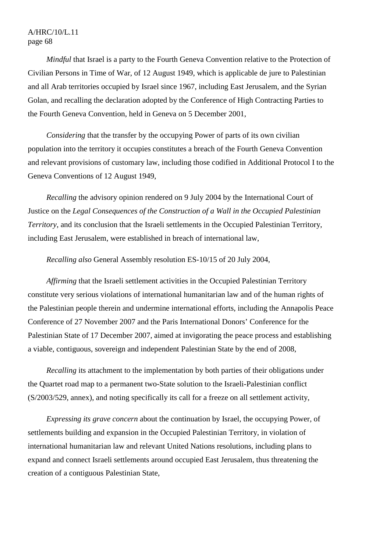*Mindful* that Israel is a party to the Fourth Geneva Convention relative to the Protection of Civilian Persons in Time of War, of 12 August 1949, which is applicable de jure to Palestinian and all Arab territories occupied by Israel since 1967, including East Jerusalem, and the Syrian Golan, and recalling the declaration adopted by the Conference of High Contracting Parties to the Fourth Geneva Convention, held in Geneva on 5 December 2001,

*Considering* that the transfer by the occupying Power of parts of its own civilian population into the territory it occupies constitutes a breach of the Fourth Geneva Convention and relevant provisions of customary law, including those codified in Additional Protocol I to the Geneva Conventions of 12 August 1949,

*Recalling* the advisory opinion rendered on 9 July 2004 by the International Court of Justice on the *Legal Consequences of the Construction of a Wall in the Occupied Palestinian Territory*, and its conclusion that the Israeli settlements in the Occupied Palestinian Territory, including East Jerusalem, were established in breach of international law,

 *Recalling also* General Assembly resolution ES-10/15 of 20 July 2004,

 *Affirming* that the Israeli settlement activities in the Occupied Palestinian Territory constitute very serious violations of international humanitarian law and of the human rights of the Palestinian people therein and undermine international efforts, including the Annapolis Peace Conference of 27 November 2007 and the Paris International Donors' Conference for the Palestinian State of 17 December 2007, aimed at invigorating the peace process and establishing a viable, contiguous, sovereign and independent Palestinian State by the end of 2008,

*Recalling* its attachment to the implementation by both parties of their obligations under the Quartet road map to a permanent two-State solution to the Israeli-Palestinian conflict (S/2003/529, annex), and noting specifically its call for a freeze on all settlement activity,

 *Expressing its grave concern* about the continuation by Israel, the occupying Power, of settlements building and expansion in the Occupied Palestinian Territory, in violation of international humanitarian law and relevant United Nations resolutions, including plans to expand and connect Israeli settlements around occupied East Jerusalem, thus threatening the creation of a contiguous Palestinian State,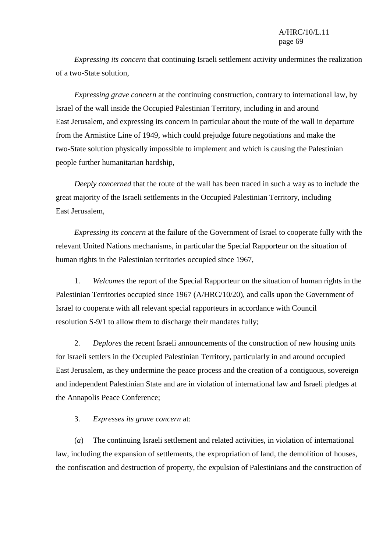*Expressing its concern* that continuing Israeli settlement activity undermines the realization of a two-State solution,

 *Expressing grave concern* at the continuing construction, contrary to international law, by Israel of the wall inside the Occupied Palestinian Territory, including in and around East Jerusalem, and expressing its concern in particular about the route of the wall in departure from the Armistice Line of 1949, which could prejudge future negotiations and make the two-State solution physically impossible to implement and which is causing the Palestinian people further humanitarian hardship,

 *Deeply concerned* that the route of the wall has been traced in such a way as to include the great majority of the Israeli settlements in the Occupied Palestinian Territory, including East Jerusalem,

 *Expressing its concern* at the failure of the Government of Israel to cooperate fully with the relevant United Nations mechanisms, in particular the Special Rapporteur on the situation of human rights in the Palestinian territories occupied since 1967,

 1. *Welcomes* the report of the Special Rapporteur on the situation of human rights in the Palestinian Territories occupied since 1967 (A/HRC/10/20), and calls upon the Government of Israel to cooperate with all relevant special rapporteurs in accordance with Council resolution S-9/1 to allow them to discharge their mandates fully;

 2. *Deplores* the recent Israeli announcements of the construction of new housing units for Israeli settlers in the Occupied Palestinian Territory, particularly in and around occupied East Jerusalem, as they undermine the peace process and the creation of a contiguous, sovereign and independent Palestinian State and are in violation of international law and Israeli pledges at the Annapolis Peace Conference;

3. *Expresses its grave concern* at:

 (*a*) The continuing Israeli settlement and related activities, in violation of international law, including the expansion of settlements, the expropriation of land, the demolition of houses, the confiscation and destruction of property, the expulsion of Palestinians and the construction of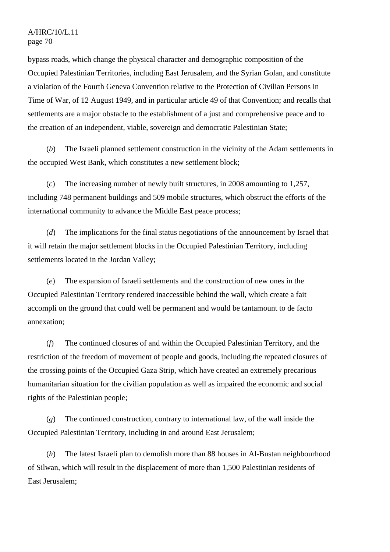bypass roads, which change the physical character and demographic composition of the Occupied Palestinian Territories, including East Jerusalem, and the Syrian Golan, and constitute a violation of the Fourth Geneva Convention relative to the Protection of Civilian Persons in Time of War, of 12 August 1949, and in particular article 49 of that Convention; and recalls that settlements are a major obstacle to the establishment of a just and comprehensive peace and to the creation of an independent, viable, sovereign and democratic Palestinian State;

 (*b*) The Israeli planned settlement construction in the vicinity of the Adam settlements in the occupied West Bank, which constitutes a new settlement block;

 (*c*) The increasing number of newly built structures, in 2008 amounting to 1,257, including 748 permanent buildings and 509 mobile structures, which obstruct the efforts of the international community to advance the Middle East peace process;

 (*d*) The implications for the final status negotiations of the announcement by Israel that it will retain the major settlement blocks in the Occupied Palestinian Territory, including settlements located in the Jordan Valley;

 (*e*) The expansion of Israeli settlements and the construction of new ones in the Occupied Palestinian Territory rendered inaccessible behind the wall, which create a fait accompli on the ground that could well be permanent and would be tantamount to de facto annexation;

 (*f*) The continued closures of and within the Occupied Palestinian Territory, and the restriction of the freedom of movement of people and goods, including the repeated closures of the crossing points of the Occupied Gaza Strip, which have created an extremely precarious humanitarian situation for the civilian population as well as impaired the economic and social rights of the Palestinian people;

 (*g*) The continued construction, contrary to international law, of the wall inside the Occupied Palestinian Territory, including in and around East Jerusalem;

 (*h*) The latest Israeli plan to demolish more than 88 houses in Al-Bustan neighbourhood of Silwan, which will result in the displacement of more than 1,500 Palestinian residents of East Jerusalem;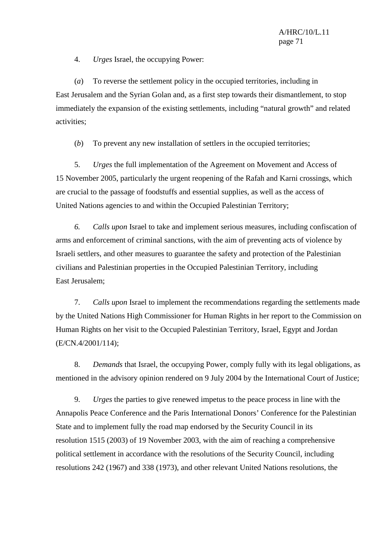4. *Urges* Israel, the occupying Power:

 (*a*) To reverse the settlement policy in the occupied territories, including in East Jerusalem and the Syrian Golan and, as a first step towards their dismantlement, to stop immediately the expansion of the existing settlements, including "natural growth" and related activities;

(*b*) To prevent any new installation of settlers in the occupied territories;

 5. *Urges* the full implementation of the Agreement on Movement and Access of 15 November 2005, particularly the urgent reopening of the Rafah and Karni crossings, which are crucial to the passage of foodstuffs and essential supplies, as well as the access of United Nations agencies to and within the Occupied Palestinian Territory;

 *6. Calls upon* Israel to take and implement serious measures, including confiscation of arms and enforcement of criminal sanctions, with the aim of preventing acts of violence by Israeli settlers, and other measures to guarantee the safety and protection of the Palestinian civilians and Palestinian properties in the Occupied Palestinian Territory, including East Jerusalem;

7. *Calls upon* Israel to implement the recommendations regarding the settlements made by the United Nations High Commissioner for Human Rights in her report to the Commission on Human Rights on her visit to the Occupied Palestinian Territory, Israel, Egypt and Jordan (E/CN.4/2001/114);

 8. *Demands* that Israel, the occupying Power, comply fully with its legal obligations, as mentioned in the advisory opinion rendered on 9 July 2004 by the International Court of Justice;

 9. *Urges* the parties to give renewed impetus to the peace process in line with the Annapolis Peace Conference and the Paris International Donors' Conference for the Palestinian State and to implement fully the road map endorsed by the Security Council in its resolution 1515 (2003) of 19 November 2003, with the aim of reaching a comprehensive political settlement in accordance with the resolutions of the Security Council, including resolutions 242 (1967) and 338 (1973), and other relevant United Nations resolutions, the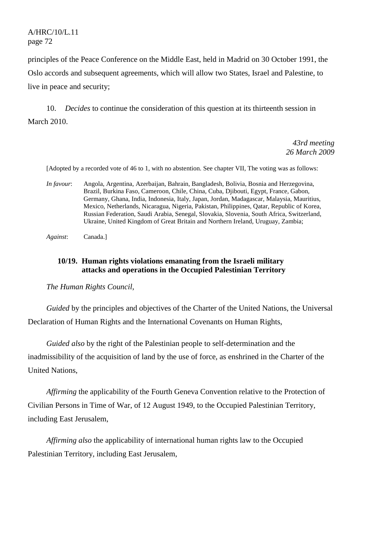principles of the Peace Conference on the Middle East, held in Madrid on 30 October 1991, the Oslo accords and subsequent agreements, which will allow two States, Israel and Palestine, to live in peace and security;

 10. *Decides* to continue the consideration of this question at its thirteenth session in March 2010.

> *43rd meeting 26 March 2009*

[Adopted by a recorded vote of 46 to 1, with no abstention. See chapter VII, The voting was as follows:

*In favour*: Angola, Argentina, Azerbaijan, Bahrain, Bangladesh, Bolivia, Bosnia and Herzegovina, Brazil, Burkina Faso, Cameroon, Chile, China, Cuba, Djibouti, Egypt, France, Gabon, Germany, Ghana, India, Indonesia, Italy, Japan, Jordan, Madagascar, Malaysia, Mauritius, Mexico, Netherlands, Nicaragua, Nigeria, Pakistan, Philippines, Qatar, Republic of Korea, Russian Federation, Saudi Arabia, Senegal, Slovakia, Slovenia, South Africa, Switzerland, Ukraine, United Kingdom of Great Britain and Northern Ireland, Uruguay, Zambia;

*Against*: Canada.]

#### **10/19. Human rights violations emanating from the Israeli military attacks and operations in the Occupied Palestinian Territory**

 *The Human Rights Council*,

 *Guided* by the principles and objectives of the Charter of the United Nations, the Universal Declaration of Human Rights and the International Covenants on Human Rights,

 *Guided also* by the right of the Palestinian people to self-determination and the inadmissibility of the acquisition of land by the use of force, as enshrined in the Charter of the United Nations,

 *Affirming* the applicability of the Fourth Geneva Convention relative to the Protection of Civilian Persons in Time of War, of 12 August 1949, to the Occupied Palestinian Territory, including East Jerusalem,

 *Affirming also* the applicability of international human rights law to the Occupied Palestinian Territory, including East Jerusalem,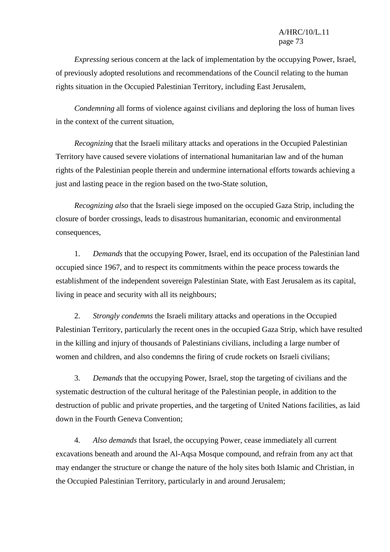*Expressing* serious concern at the lack of implementation by the occupying Power, Israel, of previously adopted resolutions and recommendations of the Council relating to the human rights situation in the Occupied Palestinian Territory, including East Jerusalem,

*Condemning* all forms of violence against civilians and deploring the loss of human lives in the context of the current situation,

*Recognizing* that the Israeli military attacks and operations in the Occupied Palestinian Territory have caused severe violations of international humanitarian law and of the human rights of the Palestinian people therein and undermine international efforts towards achieving a just and lasting peace in the region based on the two-State solution.

*Recognizing also* that the Israeli siege imposed on the occupied Gaza Strip, including the closure of border crossings, leads to disastrous humanitarian, economic and environmental consequences,

 1. *Demands* that the occupying Power, Israel, end its occupation of the Palestinian land occupied since 1967, and to respect its commitments within the peace process towards the establishment of the independent sovereign Palestinian State, with East Jerusalem as its capital, living in peace and security with all its neighbours;

 2. *Strongly condemns* the Israeli military attacks and operations in the Occupied Palestinian Territory, particularly the recent ones in the occupied Gaza Strip, which have resulted in the killing and injury of thousands of Palestinians civilians, including a large number of women and children, and also condemns the firing of crude rockets on Israeli civilians;

 3. *Demands* that the occupying Power, Israel, stop the targeting of civilians and the systematic destruction of the cultural heritage of the Palestinian people, in addition to the destruction of public and private properties, and the targeting of United Nations facilities, as laid down in the Fourth Geneva Convention;

 4. *Also demands* that Israel, the occupying Power, cease immediately all current excavations beneath and around the Al-Aqsa Mosque compound, and refrain from any act that may endanger the structure or change the nature of the holy sites both Islamic and Christian, in the Occupied Palestinian Territory, particularly in and around Jerusalem;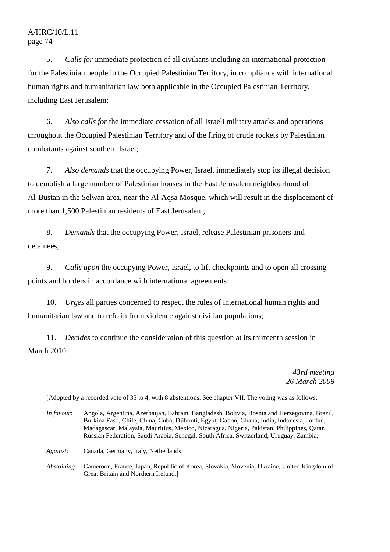5. *Calls for* immediate protection of all civilians including an international protection for the Palestinian people in the Occupied Palestinian Territory, in compliance with international human rights and humanitarian law both applicable in the Occupied Palestinian Territory, including East Jerusalem;

 6. *Also calls for* the immediate cessation of all Israeli military attacks and operations throughout the Occupied Palestinian Territory and of the firing of crude rockets by Palestinian combatants against southern Israel;

 7. *Also demands* that the occupying Power, Israel, immediately stop its illegal decision to demolish a large number of Palestinian houses in the East Jerusalem neighbourhood of Al-Bustan in the Selwan area, near the Al-Aqsa Mosque, which will result in the displacement of more than 1,500 Palestinian residents of East Jerusalem;

 8. *Demands* that the occupying Power, Israel, release Palestinian prisoners and detainees;

 9. *Calls upon* the occupying Power, Israel, to lift checkpoints and to open all crossing points and borders in accordance with international agreements;

 10. *Urges* all parties concerned to respect the rules of international human rights and humanitarian law and to refrain from violence against civilian populations;

 11. *Decides* to continue the consideration of this question at its thirteenth session in March 2010.

> *43rd meeting 26 March 2009*

[Adopted by a recorded vote of 35 to 4, with 8 abstentions. See chapter VII. The voting was as follows:

| In favour: | Angola, Argentina, Azerbaijan, Bahrain, Bangladesh, Bolivia, Bosnia and Herzegovina, Brazil, |
|------------|----------------------------------------------------------------------------------------------|
|            | Burkina Faso, Chile, China, Cuba, Djibouti, Egypt, Gabon, Ghana, India, Indonesia, Jordan,   |
|            | Madagascar, Malaysia, Mauritius, Mexico, Nicaragua, Nigeria, Pakistan, Philippines, Qatar,   |
|            | Russian Federation, Saudi Arabia, Senegal, South Africa, Switzerland, Uruguay, Zambia;       |

*Against*: Canada, Germany, Italy, Netherlands;

*Abstaining*: Cameroon, France, Japan, Republic of Korea, Slovakia, Slovenia, Ukraine, United Kingdom of Great Britain and Northern Ireland.]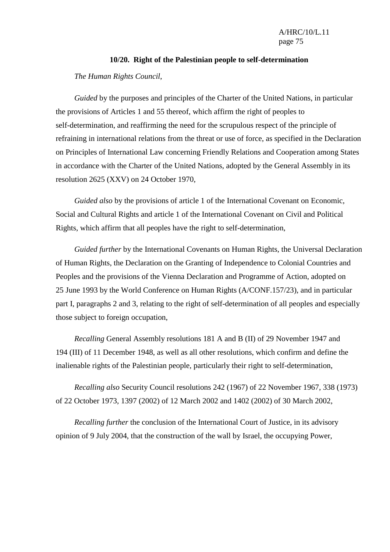#### **10/20. Right of the Palestinian people to self-determination**

*The Human Rights Council*,

*Guided* by the purposes and principles of the Charter of the United Nations, in particular the provisions of Articles 1 and 55 thereof, which affirm the right of peoples to self-determination, and reaffirming the need for the scrupulous respect of the principle of refraining in international relations from the threat or use of force, as specified in the Declaration on Principles of International Law concerning Friendly Relations and Cooperation among States in accordance with the Charter of the United Nations, adopted by the General Assembly in its resolution 2625 (XXV) on 24 October 1970,

*Guided also* by the provisions of article 1 of the International Covenant on Economic, Social and Cultural Rights and article 1 of the International Covenant on Civil and Political Rights, which affirm that all peoples have the right to self-determination,

*Guided further* by the International Covenants on Human Rights, the Universal Declaration of Human Rights, the Declaration on the Granting of Independence to Colonial Countries and Peoples and the provisions of the Vienna Declaration and Programme of Action, adopted on 25 June 1993 by the World Conference on Human Rights (A/CONF.157/23), and in particular part I, paragraphs 2 and 3, relating to the right of self-determination of all peoples and especially those subject to foreign occupation,

*Recalling* General Assembly resolutions 181 A and B (II) of 29 November 1947 and 194 (III) of 11 December 1948, as well as all other resolutions, which confirm and define the inalienable rights of the Palestinian people, particularly their right to self-determination,

*Recalling also* Security Council resolutions 242 (1967) of 22 November 1967, 338 (1973) of 22 October 1973, 1397 (2002) of 12 March 2002 and 1402 (2002) of 30 March 2002,

*Recalling further* the conclusion of the International Court of Justice, in its advisory opinion of 9 July 2004, that the construction of the wall by Israel, the occupying Power,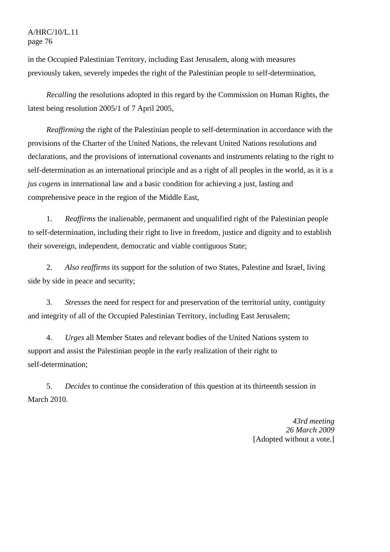in the Occupied Palestinian Territory, including East Jerusalem, along with measures previously taken, severely impedes the right of the Palestinian people to self-determination,

*Recalling* the resolutions adopted in this regard by the Commission on Human Rights, the latest being resolution 2005/1 of 7 April 2005,

*Reaffirming* the right of the Palestinian people to self-determination in accordance with the provisions of the Charter of the United Nations, the relevant United Nations resolutions and declarations, and the provisions of international covenants and instruments relating to the right to self-determination as an international principle and as a right of all peoples in the world, as it is a *jus cogens* in international law and a basic condition for achieving a just, lasting and comprehensive peace in the region of the Middle East,

 1. *Reaffirms* the inalienable, permanent and unqualified right of the Palestinian people to self-determination, including their right to live in freedom, justice and dignity and to establish their sovereign, independent, democratic and viable contiguous State;

 2. *Also reaffirms* its support for the solution of two States, Palestine and Israel, living side by side in peace and security;

 3. *Stresses* the need for respect for and preservation of the territorial unity, contiguity and integrity of all of the Occupied Palestinian Territory, including East Jerusalem;

 4. *Urges* all Member States and relevant bodies of the United Nations system to support and assist the Palestinian people in the early realization of their right to self-determination;

 5. *Decides* to continue the consideration of this question at its thirteenth session in March 2010.

> *43rd meeting 26 March 2009*  [Adopted without a vote.]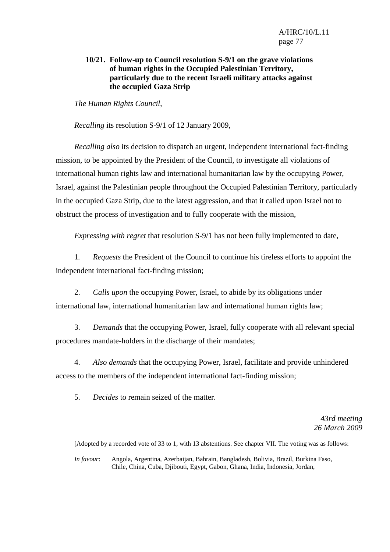# **10/21. Follow-up to Council resolution S-9/1 on the grave violations of human rights in the Occupied Palestinian Territory, particularly due to the recent Israeli military attacks against the occupied Gaza Strip**

*The Human Rights Council*,

*Recalling* its resolution S-9/1 of 12 January 2009,

*Recalling also* its decision to dispatch an urgent, independent international fact-finding mission, to be appointed by the President of the Council, to investigate all violations of international human rights law and international humanitarian law by the occupying Power, Israel, against the Palestinian people throughout the Occupied Palestinian Territory, particularly in the occupied Gaza Strip, due to the latest aggression, and that it called upon Israel not to obstruct the process of investigation and to fully cooperate with the mission,

*Expressing with regret* that resolution S-9/1 has not been fully implemented to date,

 1*. Requests* the President of the Council to continue his tireless efforts to appoint the independent international fact-finding mission;

 2. *Calls upon* the occupying Power, Israel, to abide by its obligations under international law, international humanitarian law and international human rights law;

 3. *Demands* that the occupying Power, Israel, fully cooperate with all relevant special procedures mandate-holders in the discharge of their mandates;

 4. *Also demands* that the occupying Power, Israel, facilitate and provide unhindered access to the members of the independent international fact-finding mission;

5. *Decides* to remain seized of the matter.

*43rd meeting 26 March 2009* 

[Adopted by a recorded vote of 33 to 1, with 13 abstentions. See chapter VII. The voting was as follows:

*In favour*: Angola, Argentina, Azerbaijan, Bahrain, Bangladesh, Bolivia, Brazil, Burkina Faso, Chile, China, Cuba, Djibouti, Egypt, Gabon, Ghana, India, Indonesia, Jordan,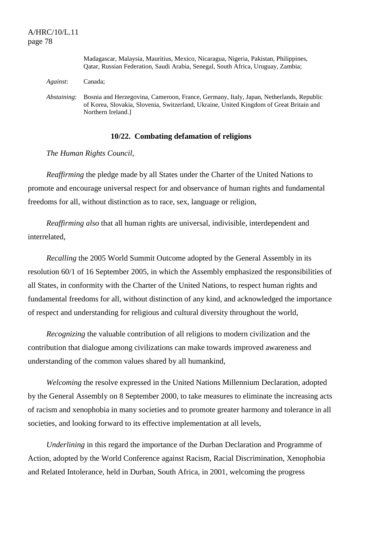|                    | Madagascar, Malaysia, Mauritius, Mexico, Nicaragua, Nigeria, Pakistan, Philippines,<br>Oatar, Russian Federation, Saudi Arabia, Senegal, South Africa, Uruguay, Zambia;                                |
|--------------------|--------------------------------------------------------------------------------------------------------------------------------------------------------------------------------------------------------|
| Against:           | Canada:                                                                                                                                                                                                |
| <i>Abstaining:</i> | Bosnia and Herzegovina, Cameroon, France, Germany, Italy, Japan, Netherlands, Republic<br>of Korea, Slovakia, Slovenia, Switzerland, Ukraine, United Kingdom of Great Britain and<br>Northern Ireland. |

#### **10/22. Combating defamation of religions**

 *The Human Rights Council*,

 *Reaffirming* the pledge made by all States under the Charter of the United Nations to promote and encourage universal respect for and observance of human rights and fundamental freedoms for all, without distinction as to race, sex, language or religion,

 *Reaffirming also* that all human rights are universal, indivisible, interdependent and interrelated,

 *Recalling* the 2005 World Summit Outcome adopted by the General Assembly in its resolution 60/1 of 16 September 2005, in which the Assembly emphasized the responsibilities of all States, in conformity with the Charter of the United Nations, to respect human rights and fundamental freedoms for all, without distinction of any kind, and acknowledged the importance of respect and understanding for religious and cultural diversity throughout the world,

 *Recognizing* the valuable contribution of all religions to modern civilization and the contribution that dialogue among civilizations can make towards improved awareness and understanding of the common values shared by all humankind,

 *Welcoming* the resolve expressed in the United Nations Millennium Declaration, adopted by the General Assembly on 8 September 2000, to take measures to eliminate the increasing acts of racism and xenophobia in many societies and to promote greater harmony and tolerance in all societies, and looking forward to its effective implementation at all levels,

*Underlining* in this regard the importance of the Durban Declaration and Programme of Action, adopted by the World Conference against Racism, Racial Discrimination, Xenophobia and Related Intolerance, held in Durban, South Africa, in 2001, welcoming the progress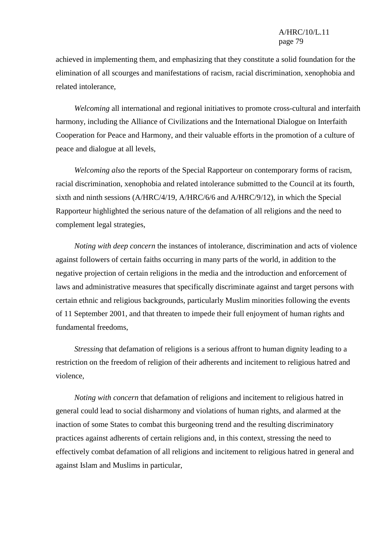achieved in implementing them, and emphasizing that they constitute a solid foundation for the elimination of all scourges and manifestations of racism, racial discrimination, xenophobia and related intolerance,

 *Welcoming* all international and regional initiatives to promote cross-cultural and interfaith harmony, including the Alliance of Civilizations and the International Dialogue on Interfaith Cooperation for Peace and Harmony, and their valuable efforts in the promotion of a culture of peace and dialogue at all levels,

*Welcoming also* the reports of the Special Rapporteur on contemporary forms of racism, racial discrimination, xenophobia and related intolerance submitted to the Council at its fourth, sixth and ninth sessions (A/HRC/4/19, A/HRC/6/6 and A/HRC/9/12), in which the Special Rapporteur highlighted the serious nature of the defamation of all religions and the need to complement legal strategies,

 *Noting with deep concern* the instances of intolerance, discrimination and acts of violence against followers of certain faiths occurring in many parts of the world, in addition to the negative projection of certain religions in the media and the introduction and enforcement of laws and administrative measures that specifically discriminate against and target persons with certain ethnic and religious backgrounds, particularly Muslim minorities following the events of 11 September 2001, and that threaten to impede their full enjoyment of human rights and fundamental freedoms,

*Stressing* that defamation of religions is a serious affront to human dignity leading to a restriction on the freedom of religion of their adherents and incitement to religious hatred and violence,

 *Noting with concern* that defamation of religions and incitement to religious hatred in general could lead to social disharmony and violations of human rights, and alarmed at the inaction of some States to combat this burgeoning trend and the resulting discriminatory practices against adherents of certain religions and, in this context, stressing the need to effectively combat defamation of all religions and incitement to religious hatred in general and against Islam and Muslims in particular,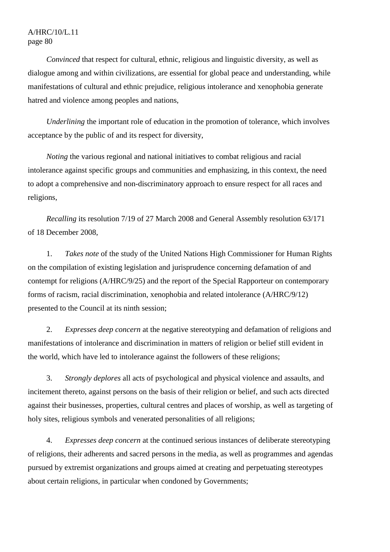*Convinced* that respect for cultural, ethnic, religious and linguistic diversity, as well as dialogue among and within civilizations, are essential for global peace and understanding, while manifestations of cultural and ethnic prejudice, religious intolerance and xenophobia generate hatred and violence among peoples and nations,

*Underlining* the important role of education in the promotion of tolerance, which involves acceptance by the public of and its respect for diversity,

 *Noting* the various regional and national initiatives to combat religious and racial intolerance against specific groups and communities and emphasizing, in this context, the need to adopt a comprehensive and non-discriminatory approach to ensure respect for all races and religions,

 *Recalling* its resolution 7/19 of 27 March 2008 and General Assembly resolution 63/171 of 18 December 2008,

1. *Takes note* of the study of the United Nations High Commissioner for Human Rights on the compilation of existing legislation and jurisprudence concerning defamation of and contempt for religions (A/HRC/9/25) and the report of the Special Rapporteur on contemporary forms of racism, racial discrimination, xenophobia and related intolerance (A/HRC/9/12) presented to the Council at its ninth session;

 2. *Expresses deep concern* at the negative stereotyping and defamation of religions and manifestations of intolerance and discrimination in matters of religion or belief still evident in the world, which have led to intolerance against the followers of these religions;

 3. *Strongly deplores* all acts of psychological and physical violence and assaults, and incitement thereto, against persons on the basis of their religion or belief, and such acts directed against their businesses, properties, cultural centres and places of worship, as well as targeting of holy sites, religious symbols and venerated personalities of all religions;

 4. *Expresses deep concern* at the continued serious instances of deliberate stereotyping of religions, their adherents and sacred persons in the media, as well as programmes and agendas pursued by extremist organizations and groups aimed at creating and perpetuating stereotypes about certain religions, in particular when condoned by Governments;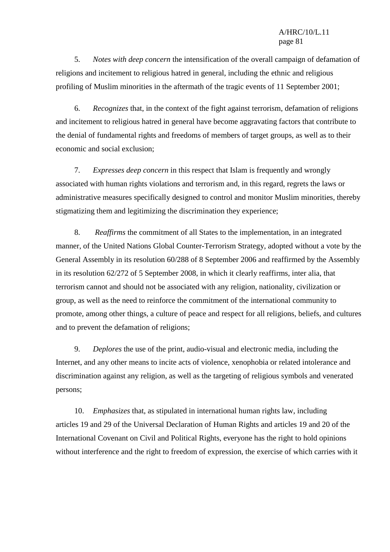5. *Notes with deep concern* the intensification of the overall campaign of defamation of religions and incitement to religious hatred in general, including the ethnic and religious profiling of Muslim minorities in the aftermath of the tragic events of 11 September 2001;

 6. *Recognizes* that, in the context of the fight against terrorism, defamation of religions and incitement to religious hatred in general have become aggravating factors that contribute to the denial of fundamental rights and freedoms of members of target groups, as well as to their economic and social exclusion;

 7. *Expresses deep concern* in this respect that Islam is frequently and wrongly associated with human rights violations and terrorism and, in this regard, regrets the laws or administrative measures specifically designed to control and monitor Muslim minorities, thereby stigmatizing them and legitimizing the discrimination they experience;

 8. *Reaffirms* the commitment of all States to the implementation, in an integrated manner, of the United Nations Global Counter-Terrorism Strategy, adopted without a vote by the General Assembly in its resolution 60/288 of 8 September 2006 and reaffirmed by the Assembly in its resolution 62/272 of 5 September 2008, in which it clearly reaffirms, inter alia, that terrorism cannot and should not be associated with any religion, nationality, civilization or group, as well as the need to reinforce the commitment of the international community to promote, among other things, a culture of peace and respect for all religions, beliefs, and cultures and to prevent the defamation of religions;

 9. *Deplores* the use of the print, audio-visual and electronic media, including the Internet, and any other means to incite acts of violence, xenophobia or related intolerance and discrimination against any religion, as well as the targeting of religious symbols and venerated persons;

 10. *Emphasizes* that, as stipulated in international human rights law, including articles 19 and 29 of the Universal Declaration of Human Rights and articles 19 and 20 of the International Covenant on Civil and Political Rights, everyone has the right to hold opinions without interference and the right to freedom of expression, the exercise of which carries with it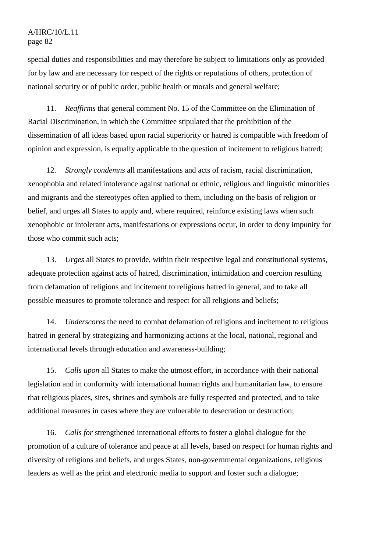special duties and responsibilities and may therefore be subject to limitations only as provided for by law and are necessary for respect of the rights or reputations of others, protection of national security or of public order, public health or morals and general welfare;

 11. *Reaffirms* that general comment No. 15 of the Committee on the Elimination of Racial Discrimination, in which the Committee stipulated that the prohibition of the dissemination of all ideas based upon racial superiority or hatred is compatible with freedom of opinion and expression, is equally applicable to the question of incitement to religious hatred;

 12. *Strongly condemns* all manifestations and acts of racism, racial discrimination, xenophobia and related intolerance against national or ethnic, religious and linguistic minorities and migrants and the stereotypes often applied to them, including on the basis of religion or belief, and urges all States to apply and, where required, reinforce existing laws when such xenophobic or intolerant acts, manifestations or expressions occur, in order to deny impunity for those who commit such acts;

 13. *Urges* all States to provide, within their respective legal and constitutional systems, adequate protection against acts of hatred, discrimination, intimidation and coercion resulting from defamation of religions and incitement to religious hatred in general, and to take all possible measures to promote tolerance and respect for all religions and beliefs;

 14. *Underscores* the need to combat defamation of religions and incitement to religious hatred in general by strategizing and harmonizing actions at the local, national, regional and international levels through education and awareness-building;

 15. *Calls upon* all States to make the utmost effort, in accordance with their national legislation and in conformity with international human rights and humanitarian law, to ensure that religious places, sites, shrines and symbols are fully respected and protected, and to take additional measures in cases where they are vulnerable to desecration or destruction;

 16. *Calls for* strengthened international efforts to foster a global dialogue for the promotion of a culture of tolerance and peace at all levels, based on respect for human rights and diversity of religions and beliefs, and urges States, non-governmental organizations, religious leaders as well as the print and electronic media to support and foster such a dialogue;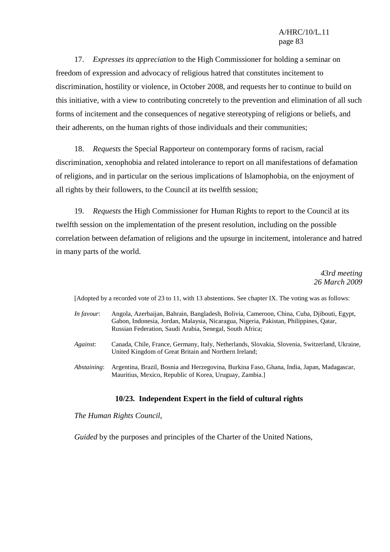17. *Expresses its appreciation* to the High Commissioner for holding a seminar on freedom of expression and advocacy of religious hatred that constitutes incitement to discrimination, hostility or violence, in October 2008, and requests her to continue to build on this initiative, with a view to contributing concretely to the prevention and elimination of all such forms of incitement and the consequences of negative stereotyping of religions or beliefs, and their adherents, on the human rights of those individuals and their communities;

 18. *Requests* the Special Rapporteur on contemporary forms of racism, racial discrimination, xenophobia and related intolerance to report on all manifestations of defamation of religions, and in particular on the serious implications of Islamophobia, on the enjoyment of all rights by their followers, to the Council at its twelfth session;

 19. *Requests* the High Commissioner for Human Rights to report to the Council at its twelfth session on the implementation of the present resolution, including on the possible correlation between defamation of religions and the upsurge in incitement, intolerance and hatred in many parts of the world.

> *43rd meeting 26 March 2009*

[Adopted by a recorded vote of 23 to 11, with 13 abstentions. See chapter IX. The voting was as follows:

- *In favour*: Angola, Azerbaijan, Bahrain, Bangladesh, Bolivia, Cameroon, China, Cuba, Djibouti, Egypt, Gabon, Indonesia, Jordan, Malaysia, Nicaragua, Nigeria, Pakistan, Philippines, Qatar, Russian Federation, Saudi Arabia, Senegal, South Africa;
- *Against*: Canada, Chile, France, Germany, Italy, Netherlands, Slovakia, Slovenia, Switzerland, Ukraine, United Kingdom of Great Britain and Northern Ireland;
- *Abstaining*: Argentina, Brazil, Bosnia and Herzegovina, Burkina Faso, Ghana, India, Japan, Madagascar, Mauritius, Mexico, Republic of Korea, Uruguay, Zambia.]

#### **10/23. Independent Expert in the field of cultural rights**

 *The Human Rights Council*,

 *Guided* by the purposes and principles of the Charter of the United Nations,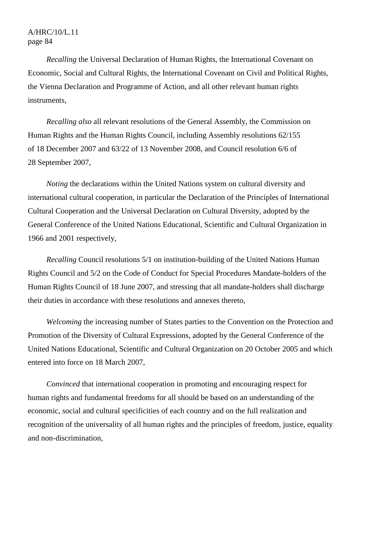*Recalling* the Universal Declaration of Human Rights, the International Covenant on Economic, Social and Cultural Rights, the International Covenant on Civil and Political Rights, the Vienna Declaration and Programme of Action, and all other relevant human rights instruments,

 *Recalling also* all relevant resolutions of the General Assembly, the Commission on Human Rights and the Human Rights Council, including Assembly resolutions 62/155 of 18 December 2007 and 63/22 of 13 November 2008, and Council resolution 6/6 of 28 September 2007,

 *Noting* the declarations within the United Nations system on cultural diversity and international cultural cooperation, in particular the Declaration of the Principles of International Cultural Cooperation and the Universal Declaration on Cultural Diversity, adopted by the General Conference of the United Nations Educational, Scientific and Cultural Organization in 1966 and 2001 respectively,

 *Recalling* Council resolutions 5/1 on institution-building of the United Nations Human Rights Council and 5/2 on the Code of Conduct for Special Procedures Mandate-holders of the Human Rights Council of 18 June 2007, and stressing that all mandate-holders shall discharge their duties in accordance with these resolutions and annexes thereto,

 *Welcoming* the increasing number of States parties to the Convention on the Protection and Promotion of the Diversity of Cultural Expressions, adopted by the General Conference of the United Nations Educational, Scientific and Cultural Organization on 20 October 2005 and which entered into force on 18 March 2007,

 *Convinced* that international cooperation in promoting and encouraging respect for human rights and fundamental freedoms for all should be based on an understanding of the economic, social and cultural specificities of each country and on the full realization and recognition of the universality of all human rights and the principles of freedom, justice, equality and non-discrimination,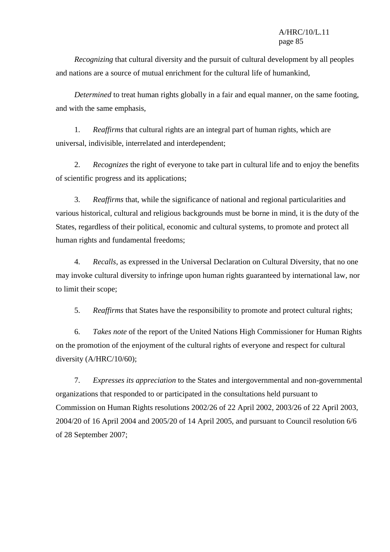*Recognizing* that cultural diversity and the pursuit of cultural development by all peoples and nations are a source of mutual enrichment for the cultural life of humankind,

 *Determined* to treat human rights globally in a fair and equal manner, on the same footing, and with the same emphasis,

 1. *Reaffirms* that cultural rights are an integral part of human rights, which are universal, indivisible, interrelated and interdependent;

 2. *Recognizes* the right of everyone to take part in cultural life and to enjoy the benefits of scientific progress and its applications;

 3. *Reaffirms* that, while the significance of national and regional particularities and various historical, cultural and religious backgrounds must be borne in mind, it is the duty of the States, regardless of their political, economic and cultural systems, to promote and protect all human rights and fundamental freedoms;

 4. *Recalls*, as expressed in the Universal Declaration on Cultural Diversity, that no one may invoke cultural diversity to infringe upon human rights guaranteed by international law, nor to limit their scope;

5. *Reaffirms* that States have the responsibility to promote and protect cultural rights;

 6. *Takes note* of the report of the United Nations High Commissioner for Human Rights on the promotion of the enjoyment of the cultural rights of everyone and respect for cultural diversity (A/HRC/10/60);

 7. *Expresses its appreciation* to the States and intergovernmental and non-governmental organizations that responded to or participated in the consultations held pursuant to Commission on Human Rights resolutions 2002/26 of 22 April 2002, 2003/26 of 22 April 2003, 2004/20 of 16 April 2004 and 2005/20 of 14 April 2005, and pursuant to Council resolution 6/6 of 28 September 2007;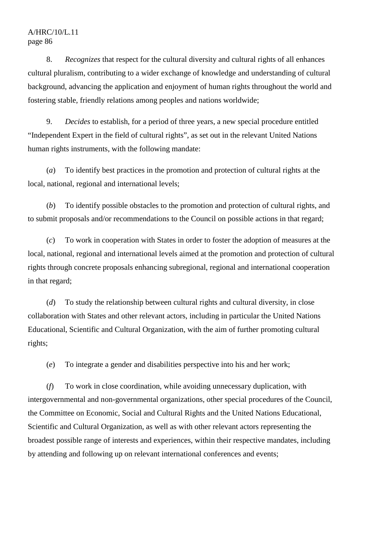8. *Recognizes* that respect for the cultural diversity and cultural rights of all enhances cultural pluralism, contributing to a wider exchange of knowledge and understanding of cultural background, advancing the application and enjoyment of human rights throughout the world and fostering stable, friendly relations among peoples and nations worldwide;

 9. *Decides* to establish, for a period of three years, a new special procedure entitled "Independent Expert in the field of cultural rights", as set out in the relevant United Nations human rights instruments, with the following mandate:

 (*a*) To identify best practices in the promotion and protection of cultural rights at the local, national, regional and international levels;

 (*b*) To identify possible obstacles to the promotion and protection of cultural rights, and to submit proposals and/or recommendations to the Council on possible actions in that regard;

 (*c*) To work in cooperation with States in order to foster the adoption of measures at the local, national, regional and international levels aimed at the promotion and protection of cultural rights through concrete proposals enhancing subregional, regional and international cooperation in that regard;

 (*d*) To study the relationship between cultural rights and cultural diversity, in close collaboration with States and other relevant actors, including in particular the United Nations Educational, Scientific and Cultural Organization, with the aim of further promoting cultural rights;

(*e*) To integrate a gender and disabilities perspective into his and her work;

 (*f*) To work in close coordination, while avoiding unnecessary duplication, with intergovernmental and non-governmental organizations, other special procedures of the Council, the Committee on Economic, Social and Cultural Rights and the United Nations Educational, Scientific and Cultural Organization, as well as with other relevant actors representing the broadest possible range of interests and experiences, within their respective mandates, including by attending and following up on relevant international conferences and events;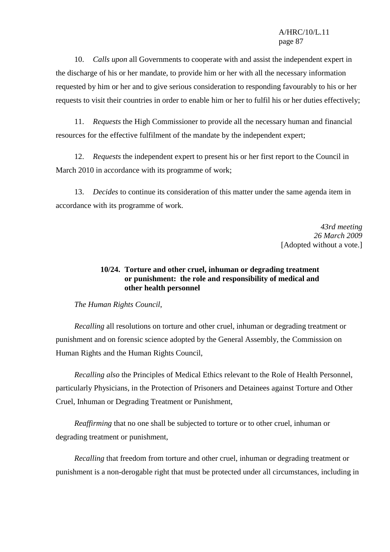10. *Calls upon* all Governments to cooperate with and assist the independent expert in the discharge of his or her mandate, to provide him or her with all the necessary information requested by him or her and to give serious consideration to responding favourably to his or her requests to visit their countries in order to enable him or her to fulfil his or her duties effectively;

11. *Requests* the High Commissioner to provide all the necessary human and financial resources for the effective fulfilment of the mandate by the independent expert;

 12. *Requests* the independent expert to present his or her first report to the Council in March 2010 in accordance with its programme of work;

 13. *Decides* to continue its consideration of this matter under the same agenda item in accordance with its programme of work.

> *43rd meeting 26 March 2009*  [Adopted without a vote.]

# **10/24. Torture and other cruel, inhuman or degrading treatment or punishment: the role and responsibility of medical and other health personnel**

*The Human Rights Council*,

*Recalling* all resolutions on torture and other cruel, inhuman or degrading treatment or punishment and on forensic science adopted by the General Assembly, the Commission on Human Rights and the Human Rights Council,

*Recalling also* the Principles of Medical Ethics relevant to the Role of Health Personnel, particularly Physicians, in the Protection of Prisoners and Detainees against Torture and Other Cruel, Inhuman or Degrading Treatment or Punishment,

*Reaffirming* that no one shall be subjected to torture or to other cruel, inhuman or degrading treatment or punishment,

*Recalling* that freedom from torture and other cruel, inhuman or degrading treatment or punishment is a non-derogable right that must be protected under all circumstances, including in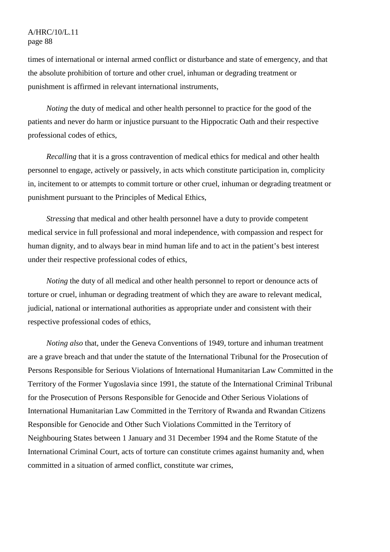times of international or internal armed conflict or disturbance and state of emergency, and that the absolute prohibition of torture and other cruel, inhuman or degrading treatment or punishment is affirmed in relevant international instruments,

*Noting* the duty of medical and other health personnel to practice for the good of the patients and never do harm or injustice pursuant to the Hippocratic Oath and their respective professional codes of ethics,

*Recalling* that it is a gross contravention of medical ethics for medical and other health personnel to engage, actively or passively, in acts which constitute participation in, complicity in, incitement to or attempts to commit torture or other cruel, inhuman or degrading treatment or punishment pursuant to the Principles of Medical Ethics,

*Stressing* that medical and other health personnel have a duty to provide competent medical service in full professional and moral independence, with compassion and respect for human dignity, and to always bear in mind human life and to act in the patient's best interest under their respective professional codes of ethics,

*Noting* the duty of all medical and other health personnel to report or denounce acts of torture or cruel, inhuman or degrading treatment of which they are aware to relevant medical, judicial, national or international authorities as appropriate under and consistent with their respective professional codes of ethics,

*Noting also* that, under the Geneva Conventions of 1949, torture and inhuman treatment are a grave breach and that under the statute of the International Tribunal for the Prosecution of Persons Responsible for Serious Violations of International Humanitarian Law Committed in the Territory of the Former Yugoslavia since 1991, the statute of the International Criminal Tribunal for the Prosecution of Persons Responsible for Genocide and Other Serious Violations of International Humanitarian Law Committed in the Territory of Rwanda and Rwandan Citizens Responsible for Genocide and Other Such Violations Committed in the Territory of Neighbouring States between 1 January and 31 December 1994 and the Rome Statute of the International Criminal Court, acts of torture can constitute crimes against humanity and, when committed in a situation of armed conflict, constitute war crimes,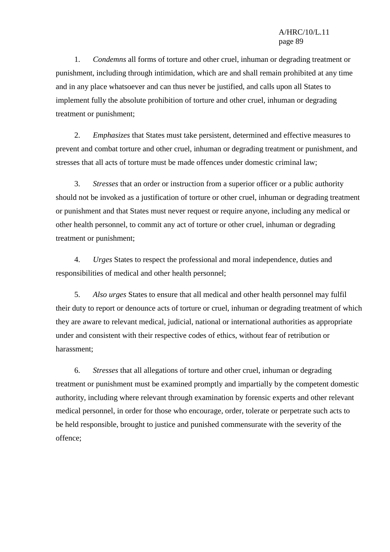1. *Condemns* all forms of torture and other cruel, inhuman or degrading treatment or punishment, including through intimidation, which are and shall remain prohibited at any time and in any place whatsoever and can thus never be justified, and calls upon all States to implement fully the absolute prohibition of torture and other cruel, inhuman or degrading treatment or punishment;

 2. *Emphasizes* that States must take persistent, determined and effective measures to prevent and combat torture and other cruel, inhuman or degrading treatment or punishment, and stresses that all acts of torture must be made offences under domestic criminal law;

 3. *Stresses* that an order or instruction from a superior officer or a public authority should not be invoked as a justification of torture or other cruel, inhuman or degrading treatment or punishment and that States must never request or require anyone, including any medical or other health personnel, to commit any act of torture or other cruel, inhuman or degrading treatment or punishment;

 4. *Urges* States to respect the professional and moral independence, duties and responsibilities of medical and other health personnel;

 5. *Also urges* States to ensure that all medical and other health personnel may fulfil their duty to report or denounce acts of torture or cruel, inhuman or degrading treatment of which they are aware to relevant medical, judicial, national or international authorities as appropriate under and consistent with their respective codes of ethics, without fear of retribution or harassment;

 6. *Stresses* that all allegations of torture and other cruel, inhuman or degrading treatment or punishment must be examined promptly and impartially by the competent domestic authority, including where relevant through examination by forensic experts and other relevant medical personnel, in order for those who encourage, order, tolerate or perpetrate such acts to be held responsible, brought to justice and punished commensurate with the severity of the offence;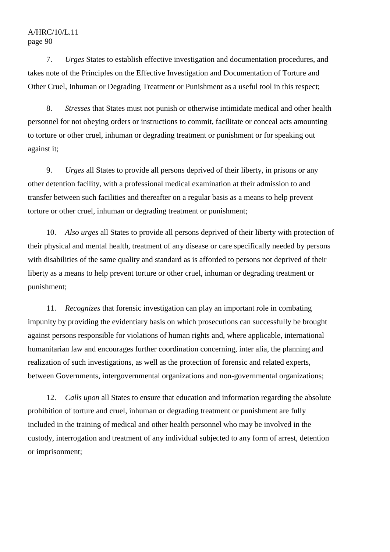7. *Urges* States to establish effective investigation and documentation procedures, and takes note of the Principles on the Effective Investigation and Documentation of Torture and Other Cruel, Inhuman or Degrading Treatment or Punishment as a useful tool in this respect;

 8. *Stresses* that States must not punish or otherwise intimidate medical and other health personnel for not obeying orders or instructions to commit, facilitate or conceal acts amounting to torture or other cruel, inhuman or degrading treatment or punishment or for speaking out against it;

 9. *Urges* all States to provide all persons deprived of their liberty, in prisons or any other detention facility, with a professional medical examination at their admission to and transfer between such facilities and thereafter on a regular basis as a means to help prevent torture or other cruel, inhuman or degrading treatment or punishment;

 10. *Also urges* all States to provide all persons deprived of their liberty with protection of their physical and mental health, treatment of any disease or care specifically needed by persons with disabilities of the same quality and standard as is afforded to persons not deprived of their liberty as a means to help prevent torture or other cruel, inhuman or degrading treatment or punishment;

 11. *Recognizes* that forensic investigation can play an important role in combating impunity by providing the evidentiary basis on which prosecutions can successfully be brought against persons responsible for violations of human rights and, where applicable, international humanitarian law and encourages further coordination concerning, inter alia, the planning and realization of such investigations, as well as the protection of forensic and related experts, between Governments, intergovernmental organizations and non-governmental organizations;

 12. *Calls upon* all States to ensure that education and information regarding the absolute prohibition of torture and cruel, inhuman or degrading treatment or punishment are fully included in the training of medical and other health personnel who may be involved in the custody, interrogation and treatment of any individual subjected to any form of arrest, detention or imprisonment;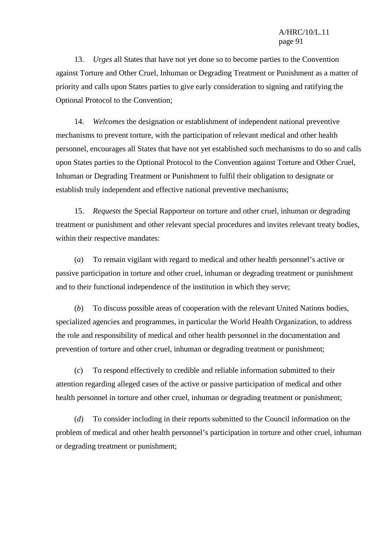13. *Urges* all States that have not yet done so to become parties to the Convention against Torture and Other Cruel, Inhuman or Degrading Treatment or Punishment as a matter of priority and calls upon States parties to give early consideration to signing and ratifying the Optional Protocol to the Convention;

 14. *Welcomes* the designation or establishment of independent national preventive mechanisms to prevent torture, with the participation of relevant medical and other health personnel, encourages all States that have not yet established such mechanisms to do so and calls upon States parties to the Optional Protocol to the Convention against Torture and Other Cruel, Inhuman or Degrading Treatment or Punishment to fulfil their obligation to designate or establish truly independent and effective national preventive mechanisms;

 15. *Requests* the Special Rapporteur on torture and other cruel, inhuman or degrading treatment or punishment and other relevant special procedures and invites relevant treaty bodies, within their respective mandates:

 (*a*) To remain vigilant with regard to medical and other health personnel's active or passive participation in torture and other cruel, inhuman or degrading treatment or punishment and to their functional independence of the institution in which they serve;

 (*b*) To discuss possible areas of cooperation with the relevant United Nations bodies, specialized agencies and programmes, in particular the World Health Organization, to address the role and responsibility of medical and other health personnel in the documentation and prevention of torture and other cruel, inhuman or degrading treatment or punishment;

 (*c*) To respond effectively to credible and reliable information submitted to their attention regarding alleged cases of the active or passive participation of medical and other health personnel in torture and other cruel, inhuman or degrading treatment or punishment;

 (*d*) To consider including in their reports submitted to the Council information on the problem of medical and other health personnel's participation in torture and other cruel, inhuman or degrading treatment or punishment;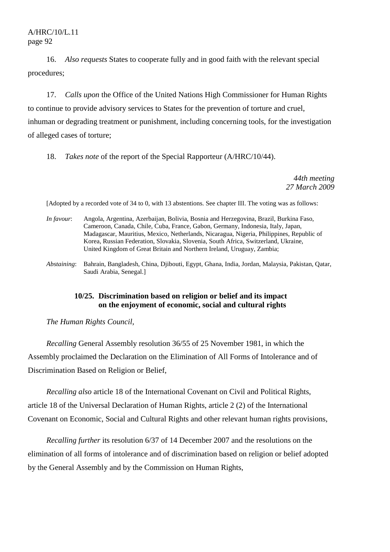16. *Also requests* States to cooperate fully and in good faith with the relevant special procedures;

 17. *Calls upon* the Office of the United Nations High Commissioner for Human Rights to continue to provide advisory services to States for the prevention of torture and cruel, inhuman or degrading treatment or punishment, including concerning tools, for the investigation of alleged cases of torture;

18. *Takes note* of the report of the Special Rapporteur (A/HRC/10/44).

*44th meeting 27 March 2009*

[Adopted by a recorded vote of 34 to 0, with 13 abstentions. See chapter III. The voting was as follows:

- *In favour*: Angola, Argentina, Azerbaijan, Bolivia, Bosnia and Herzegovina, Brazil, Burkina Faso, Cameroon, Canada, Chile, Cuba, France, Gabon, Germany, Indonesia, Italy, Japan, Madagascar, Mauritius, Mexico, Netherlands, Nicaragua, Nigeria, Philippines, Republic of Korea, Russian Federation, Slovakia, Slovenia, South Africa, Switzerland, Ukraine, United Kingdom of Great Britain and Northern Ireland, Uruguay, Zambia;
- *Abstaining*: Bahrain, Bangladesh, China, Djibouti, Egypt, Ghana, India, Jordan, Malaysia, Pakistan, Qatar, Saudi Arabia, Senegal.]

#### **10/25. Discrimination based on religion or belief and its impact on the enjoyment of economic, social and cultural rights**

*The Human Rights Council*,

*Recalling* General Assembly resolution 36/55 of 25 November 1981, in which the Assembly proclaimed the Declaration on the Elimination of All Forms of Intolerance and of Discrimination Based on Religion or Belief,

*Recalling also* article 18 of the International Covenant on Civil and Political Rights, article 18 of the Universal Declaration of Human Rights, article 2 (2) of the International Covenant on Economic, Social and Cultural Rights and other relevant human rights provisions,

*Recalling further* its resolution 6/37 of 14 December 2007 and the resolutions on the elimination of all forms of intolerance and of discrimination based on religion or belief adopted by the General Assembly and by the Commission on Human Rights,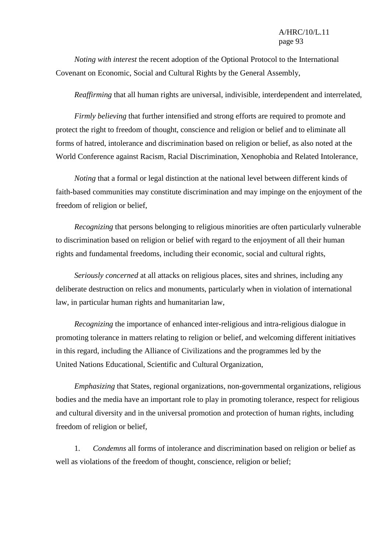*Noting with interest* the recent adoption of the Optional Protocol to the International Covenant on Economic, Social and Cultural Rights by the General Assembly,

*Reaffirming* that all human rights are universal, indivisible, interdependent and interrelated,

*Firmly believing* that further intensified and strong efforts are required to promote and protect the right to freedom of thought, conscience and religion or belief and to eliminate all forms of hatred, intolerance and discrimination based on religion or belief, as also noted at the World Conference against Racism, Racial Discrimination, Xenophobia and Related Intolerance,

*Noting* that a formal or legal distinction at the national level between different kinds of faith-based communities may constitute discrimination and may impinge on the enjoyment of the freedom of religion or belief,

*Recognizing* that persons belonging to religious minorities are often particularly vulnerable to discrimination based on religion or belief with regard to the enjoyment of all their human rights and fundamental freedoms, including their economic, social and cultural rights,

*Seriously concerned* at all attacks on religious places, sites and shrines, including any deliberate destruction on relics and monuments, particularly when in violation of international law, in particular human rights and humanitarian law,

*Recognizing* the importance of enhanced inter-religious and intra-religious dialogue in promoting tolerance in matters relating to religion or belief, and welcoming different initiatives in this regard, including the Alliance of Civilizations and the programmes led by the United Nations Educational, Scientific and Cultural Organization,

*Emphasizing* that States, regional organizations, non-governmental organizations, religious bodies and the media have an important role to play in promoting tolerance, respect for religious and cultural diversity and in the universal promotion and protection of human rights, including freedom of religion or belief,

 1. *Condemns* all forms of intolerance and discrimination based on religion or belief as well as violations of the freedom of thought, conscience, religion or belief;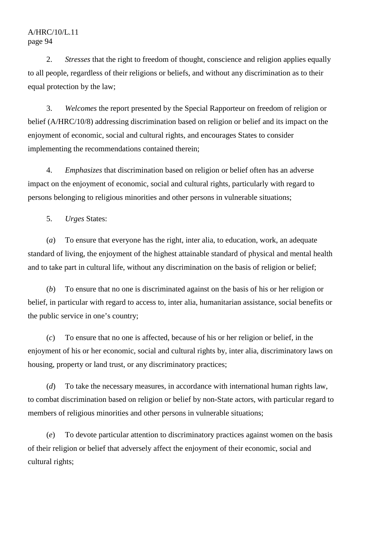2. *Stresses* that the right to freedom of thought, conscience and religion applies equally to all people, regardless of their religions or beliefs, and without any discrimination as to their equal protection by the law;

 3. *Welcomes* the report presented by the Special Rapporteur on freedom of religion or belief (A/HRC/10/8) addressing discrimination based on religion or belief and its impact on the enjoyment of economic, social and cultural rights, and encourages States to consider implementing the recommendations contained therein;

 4. *Emphasizes* that discrimination based on religion or belief often has an adverse impact on the enjoyment of economic, social and cultural rights, particularly with regard to persons belonging to religious minorities and other persons in vulnerable situations;

5. *Urges* States:

 (*a*) To ensure that everyone has the right, inter alia, to education, work, an adequate standard of living, the enjoyment of the highest attainable standard of physical and mental health and to take part in cultural life, without any discrimination on the basis of religion or belief;

 (*b*) To ensure that no one is discriminated against on the basis of his or her religion or belief, in particular with regard to access to, inter alia, humanitarian assistance, social benefits or the public service in one's country;

 (*c*) To ensure that no one is affected, because of his or her religion or belief, in the enjoyment of his or her economic, social and cultural rights by, inter alia, discriminatory laws on housing, property or land trust, or any discriminatory practices;

 (*d*) To take the necessary measures, in accordance with international human rights law, to combat discrimination based on religion or belief by non-State actors, with particular regard to members of religious minorities and other persons in vulnerable situations;

 (*e*) To devote particular attention to discriminatory practices against women on the basis of their religion or belief that adversely affect the enjoyment of their economic, social and cultural rights;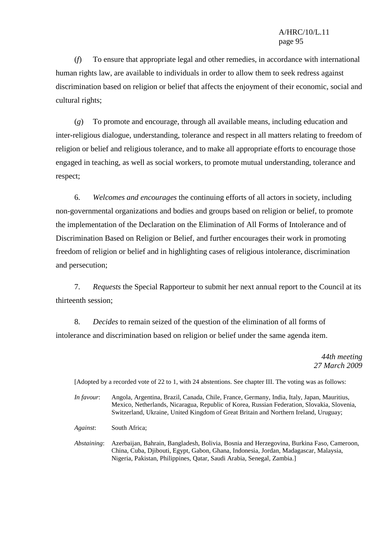(*f*) To ensure that appropriate legal and other remedies, in accordance with international human rights law, are available to individuals in order to allow them to seek redress against discrimination based on religion or belief that affects the enjoyment of their economic, social and cultural rights;

 (*g*) To promote and encourage, through all available means, including education and inter-religious dialogue, understanding, tolerance and respect in all matters relating to freedom of religion or belief and religious tolerance, and to make all appropriate efforts to encourage those engaged in teaching, as well as social workers, to promote mutual understanding, tolerance and respect;

 6. *Welcomes and encourages* the continuing efforts of all actors in society, including non-governmental organizations and bodies and groups based on religion or belief, to promote the implementation of the Declaration on the Elimination of All Forms of Intolerance and of Discrimination Based on Religion or Belief, and further encourages their work in promoting freedom of religion or belief and in highlighting cases of religious intolerance, discrimination and persecution;

 7. *Requests* the Special Rapporteur to submit her next annual report to the Council at its thirteenth session;

 8. *Decides* to remain seized of the question of the elimination of all forms of intolerance and discrimination based on religion or belief under the same agenda item.

> *44th meeting 27 March 2009*

[Adopted by a recorded vote of 22 to 1, with 24 abstentions. See chapter III. The voting was as follows:

- *In favour*: Angola, Argentina, Brazil, Canada, Chile, France, Germany, India, Italy, Japan, Mauritius, Mexico, Netherlands, Nicaragua, Republic of Korea, Russian Federation, Slovakia, Slovenia, Switzerland, Ukraine, United Kingdom of Great Britain and Northern Ireland, Uruguay;
- *Against*: South Africa;
- *Abstaining*: Azerbaijan, Bahrain, Bangladesh, Bolivia, Bosnia and Herzegovina, Burkina Faso, Cameroon, China, Cuba, Djibouti, Egypt, Gabon, Ghana, Indonesia, Jordan, Madagascar, Malaysia, Nigeria, Pakistan, Philippines, Qatar, Saudi Arabia, Senegal, Zambia.]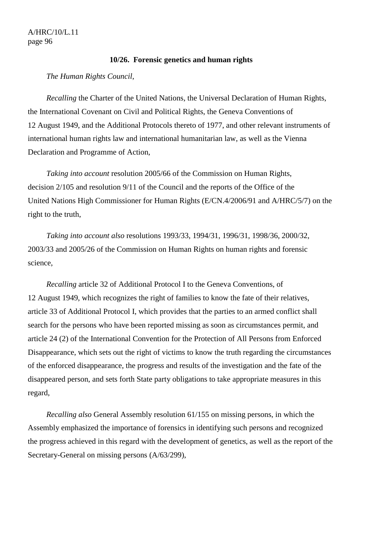#### **10/26. Forensic genetics and human rights**

*The Human Rights Council*,

*Recalling* the Charter of the United Nations, the Universal Declaration of Human Rights, the International Covenant on Civil and Political Rights, the Geneva Conventions of 12 August 1949, and the Additional Protocols thereto of 1977, and other relevant instruments of international human rights law and international humanitarian law, as well as the Vienna Declaration and Programme of Action,

*Taking into account* resolution 2005/66 of the Commission on Human Rights, decision 2/105 and resolution 9/11 of the Council and the reports of the Office of the United Nations High Commissioner for Human Rights (E/CN.4/2006/91 and A/HRC/5/7) on the right to the truth,

*Taking into account also* resolutions 1993/33, 1994/31, 1996/31, 1998/36, 2000/32, 2003/33 and 2005/26 of the Commission on Human Rights on human rights and forensic science,

*Recalling* article 32 of Additional Protocol I to the Geneva Conventions, of 12 August 1949, which recognizes the right of families to know the fate of their relatives, article 33 of Additional Protocol I, which provides that the parties to an armed conflict shall search for the persons who have been reported missing as soon as circumstances permit, and article 24 (2) of the International Convention for the Protection of All Persons from Enforced Disappearance, which sets out the right of victims to know the truth regarding the circumstances of the enforced disappearance, the progress and results of the investigation and the fate of the disappeared person, and sets forth State party obligations to take appropriate measures in this regard,

*Recalling also* General Assembly resolution 61/155 on missing persons, in which the Assembly emphasized the importance of forensics in identifying such persons and recognized the progress achieved in this regard with the development of genetics, as well as the report of the Secretary-General on missing persons (A/63/299),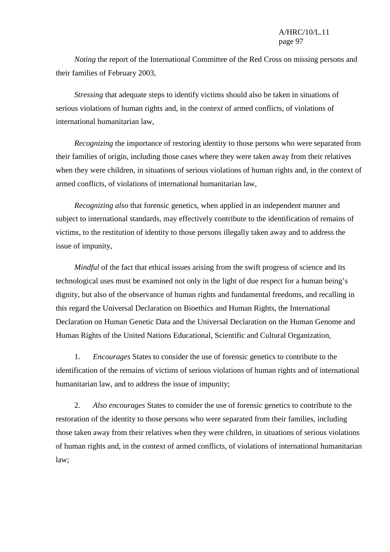*Noting* the report of the International Committee of the Red Cross on missing persons and their families of February 2003,

*Stressing* that adequate steps to identify victims should also be taken in situations of serious violations of human rights and, in the context of armed conflicts, of violations of international humanitarian law,

*Recognizing* the importance of restoring identity to those persons who were separated from their families of origin, including those cases where they were taken away from their relatives when they were children, in situations of serious violations of human rights and, in the context of armed conflicts, of violations of international humanitarian law,

*Recognizing also* that forensic genetics, when applied in an independent manner and subject to international standards, may effectively contribute to the identification of remains of victims, to the restitution of identity to those persons illegally taken away and to address the issue of impunity,

*Mindful* of the fact that ethical issues arising from the swift progress of science and its technological uses must be examined not only in the light of due respect for a human being's dignity, but also of the observance of human rights and fundamental freedoms, and recalling in this regard the Universal Declaration on Bioethics and Human Rights, the International Declaration on Human Genetic Data and the Universal Declaration on the Human Genome and Human Rights of the United Nations Educational, Scientific and Cultural Organization,

 1. *Encourages* States to consider the use of forensic genetics to contribute to the identification of the remains of victims of serious violations of human rights and of international humanitarian law, and to address the issue of impunity;

 2. *Also encourages* States to consider the use of forensic genetics to contribute to the restoration of the identity to those persons who were separated from their families, including those taken away from their relatives when they were children, in situations of serious violations of human rights and, in the context of armed conflicts, of violations of international humanitarian law;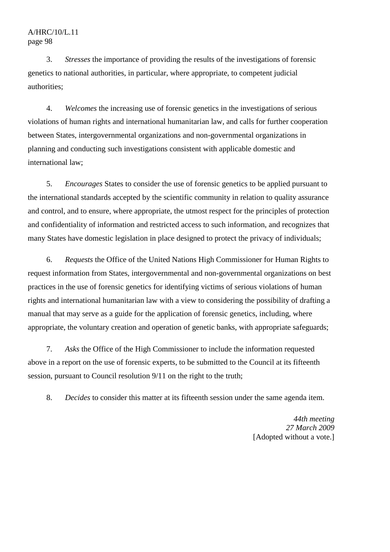3. *Stresses* the importance of providing the results of the investigations of forensic genetics to national authorities, in particular, where appropriate, to competent judicial authorities;

 4. *Welcomes* the increasing use of forensic genetics in the investigations of serious violations of human rights and international humanitarian law, and calls for further cooperation between States, intergovernmental organizations and non-governmental organizations in planning and conducting such investigations consistent with applicable domestic and international law;

 5. *Encourages* States to consider the use of forensic genetics to be applied pursuant to the international standards accepted by the scientific community in relation to quality assurance and control, and to ensure, where appropriate, the utmost respect for the principles of protection and confidentiality of information and restricted access to such information, and recognizes that many States have domestic legislation in place designed to protect the privacy of individuals;

 6. *Requests* the Office of the United Nations High Commissioner for Human Rights to request information from States, intergovernmental and non-governmental organizations on best practices in the use of forensic genetics for identifying victims of serious violations of human rights and international humanitarian law with a view to considering the possibility of drafting a manual that may serve as a guide for the application of forensic genetics, including, where appropriate, the voluntary creation and operation of genetic banks, with appropriate safeguards;

 7. *Asks* the Office of the High Commissioner to include the information requested above in a report on the use of forensic experts, to be submitted to the Council at its fifteenth session, pursuant to Council resolution 9/11 on the right to the truth;

8. *Decides* to consider this matter at its fifteenth session under the same agenda item.

*44th meeting 27 March 2009*  [Adopted without a vote.]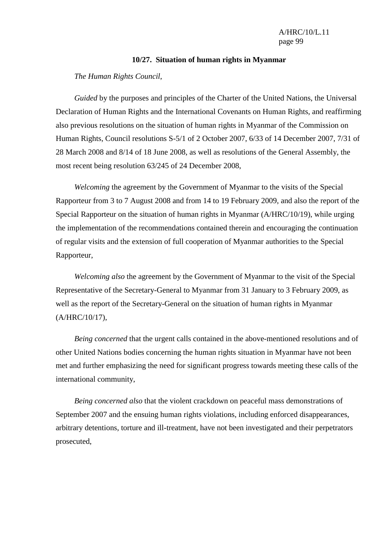#### **10/27. Situation of human rights in Myanmar**

*The Human Rights Council*,

*Guided* by the purposes and principles of the Charter of the United Nations, the Universal Declaration of Human Rights and the International Covenants on Human Rights, and reaffirming also previous resolutions on the situation of human rights in Myanmar of the Commission on Human Rights, Council resolutions S-5/1 of 2 October 2007, 6/33 of 14 December 2007, 7/31 of 28 March 2008 and 8/14 of 18 June 2008, as well as resolutions of the General Assembly, the most recent being resolution 63/245 of 24 December 2008,

*Welcoming* the agreement by the Government of Myanmar to the visits of the Special Rapporteur from 3 to 7 August 2008 and from 14 to 19 February 2009, and also the report of the Special Rapporteur on the situation of human rights in Myanmar (A/HRC/10/19), while urging the implementation of the recommendations contained therein and encouraging the continuation of regular visits and the extension of full cooperation of Myanmar authorities to the Special Rapporteur,

*Welcoming also* the agreement by the Government of Myanmar to the visit of the Special Representative of the Secretary-General to Myanmar from 31 January to 3 February 2009, as well as the report of the Secretary-General on the situation of human rights in Myanmar (A/HRC/10/17),

*Being concerned* that the urgent calls contained in the above-mentioned resolutions and of other United Nations bodies concerning the human rights situation in Myanmar have not been met and further emphasizing the need for significant progress towards meeting these calls of the international community,

*Being concerned also* that the violent crackdown on peaceful mass demonstrations of September 2007 and the ensuing human rights violations, including enforced disappearances, arbitrary detentions, torture and ill-treatment, have not been investigated and their perpetrators prosecuted,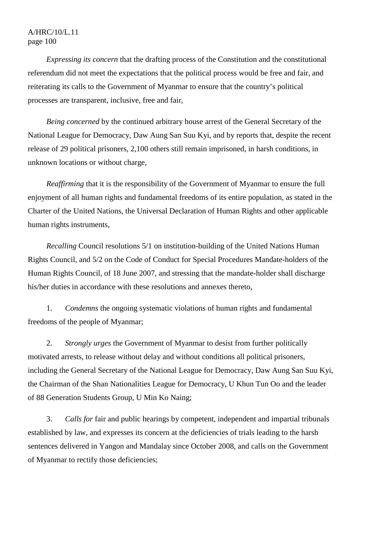*Expressing its concern* that the drafting process of the Constitution and the constitutional referendum did not meet the expectations that the political process would be free and fair, and reiterating its calls to the Government of Myanmar to ensure that the country's political processes are transparent, inclusive, free and fair,

*Being concerned* by the continued arbitrary house arrest of the General Secretary of the National League for Democracy, Daw Aung San Suu Kyi, and by reports that, despite the recent release of 29 political prisoners, 2,100 others still remain imprisoned, in harsh conditions, in unknown locations or without charge,

*Reaffirming* that it is the responsibility of the Government of Myanmar to ensure the full enjoyment of all human rights and fundamental freedoms of its entire population, as stated in the Charter of the United Nations, the Universal Declaration of Human Rights and other applicable human rights instruments,

*Recalling* Council resolutions 5/1 on institution-building of the United Nations Human Rights Council, and 5/2 on the Code of Conduct for Special Procedures Mandate-holders of the Human Rights Council, of 18 June 2007, and stressing that the mandate-holder shall discharge his/her duties in accordance with these resolutions and annexes thereto,

 1. *Condemns* the ongoing systematic violations of human rights and fundamental freedoms of the people of Myanmar;

 2. *Strongly urges* the Government of Myanmar to desist from further politically motivated arrests, to release without delay and without conditions all political prisoners, including the General Secretary of the National League for Democracy, Daw Aung San Suu Kyi, the Chairman of the Shan Nationalities League for Democracy, U Khun Tun Oo and the leader of 88 Generation Students Group, U Min Ko Naing;

 3. *Calls for* fair and public hearings by competent, independent and impartial tribunals established by law, and expresses its concern at the deficiencies of trials leading to the harsh sentences delivered in Yangon and Mandalay since October 2008, and calls on the Government of Myanmar to rectify those deficiencies;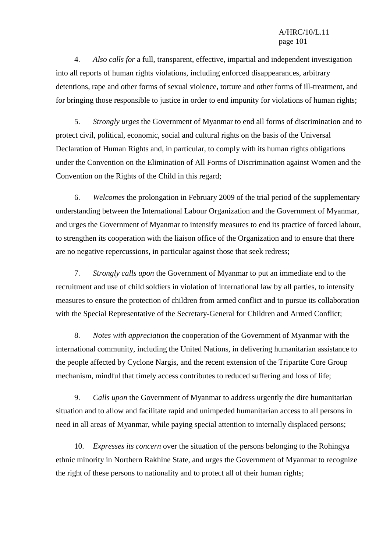4. *Also calls for* a full, transparent, effective, impartial and independent investigation into all reports of human rights violations, including enforced disappearances, arbitrary detentions, rape and other forms of sexual violence, torture and other forms of ill-treatment, and for bringing those responsible to justice in order to end impunity for violations of human rights;

 5. *Strongly urges* the Government of Myanmar to end all forms of discrimination and to protect civil, political, economic, social and cultural rights on the basis of the Universal Declaration of Human Rights and, in particular, to comply with its human rights obligations under the Convention on the Elimination of All Forms of Discrimination against Women and the Convention on the Rights of the Child in this regard;

 6. *Welcomes* the prolongation in February 2009 of the trial period of the supplementary understanding between the International Labour Organization and the Government of Myanmar, and urges the Government of Myanmar to intensify measures to end its practice of forced labour, to strengthen its cooperation with the liaison office of the Organization and to ensure that there are no negative repercussions, in particular against those that seek redress;

 7. *Strongly calls upon* the Government of Myanmar to put an immediate end to the recruitment and use of child soldiers in violation of international law by all parties, to intensify measures to ensure the protection of children from armed conflict and to pursue its collaboration with the Special Representative of the Secretary-General for Children and Armed Conflict;

 8. *Notes with appreciation* the cooperation of the Government of Myanmar with the international community, including the United Nations, in delivering humanitarian assistance to the people affected by Cyclone Nargis, and the recent extension of the Tripartite Core Group mechanism, mindful that timely access contributes to reduced suffering and loss of life;

 9. *Calls upon* the Government of Myanmar to address urgently the dire humanitarian situation and to allow and facilitate rapid and unimpeded humanitarian access to all persons in need in all areas of Myanmar, while paying special attention to internally displaced persons;

 10. *Expresses its concern* over the situation of the persons belonging to the Rohingya ethnic minority in Northern Rakhine State, and urges the Government of Myanmar to recognize the right of these persons to nationality and to protect all of their human rights;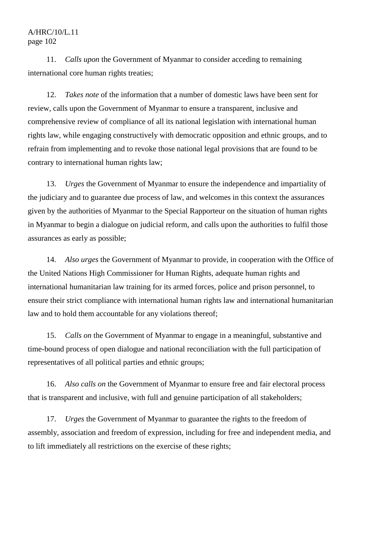11. *Calls upon* the Government of Myanmar to consider acceding to remaining international core human rights treaties;

 12. *Takes note* of the information that a number of domestic laws have been sent for review, calls upon the Government of Myanmar to ensure a transparent, inclusive and comprehensive review of compliance of all its national legislation with international human rights law, while engaging constructively with democratic opposition and ethnic groups, and to refrain from implementing and to revoke those national legal provisions that are found to be contrary to international human rights law;

 13. *Urges* the Government of Myanmar to ensure the independence and impartiality of the judiciary and to guarantee due process of law, and welcomes in this context the assurances given by the authorities of Myanmar to the Special Rapporteur on the situation of human rights in Myanmar to begin a dialogue on judicial reform, and calls upon the authorities to fulfil those assurances as early as possible;

 14. *Also urges* the Government of Myanmar to provide, in cooperation with the Office of the United Nations High Commissioner for Human Rights, adequate human rights and international humanitarian law training for its armed forces, police and prison personnel, to ensure their strict compliance with international human rights law and international humanitarian law and to hold them accountable for any violations thereof;

 15. *Calls on* the Government of Myanmar to engage in a meaningful, substantive and time-bound process of open dialogue and national reconciliation with the full participation of representatives of all political parties and ethnic groups;

 16. *Also calls on* the Government of Myanmar to ensure free and fair electoral process that is transparent and inclusive, with full and genuine participation of all stakeholders;

 17. *Urges* the Government of Myanmar to guarantee the rights to the freedom of assembly, association and freedom of expression, including for free and independent media, and to lift immediately all restrictions on the exercise of these rights;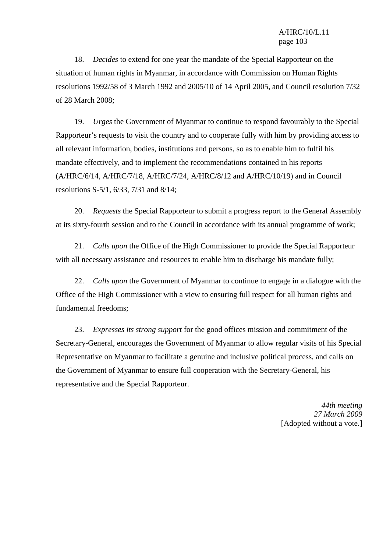18. *Decides* to extend for one year the mandate of the Special Rapporteur on the situation of human rights in Myanmar, in accordance with Commission on Human Rights resolutions 1992/58 of 3 March 1992 and 2005/10 of 14 April 2005, and Council resolution 7/32 of 28 March 2008;

 19. *Urges* the Government of Myanmar to continue to respond favourably to the Special Rapporteur's requests to visit the country and to cooperate fully with him by providing access to all relevant information, bodies, institutions and persons, so as to enable him to fulfil his mandate effectively, and to implement the recommendations contained in his reports (A/HRC/6/14, A/HRC/7/18, A/HRC/7/24, A/HRC/8/12 and A/HRC/10/19) and in Council resolutions S-5/1, 6/33, 7/31 and 8/14;

 20. *Requests* the Special Rapporteur to submit a progress report to the General Assembly at its sixty-fourth session and to the Council in accordance with its annual programme of work;

 21. *Calls upon* the Office of the High Commissioner to provide the Special Rapporteur with all necessary assistance and resources to enable him to discharge his mandate fully;

 22. *Calls upon* the Government of Myanmar to continue to engage in a dialogue with the Office of the High Commissioner with a view to ensuring full respect for all human rights and fundamental freedoms;

 23. *Expresses its strong support* for the good offices mission and commitment of the Secretary-General, encourages the Government of Myanmar to allow regular visits of his Special Representative on Myanmar to facilitate a genuine and inclusive political process, and calls on the Government of Myanmar to ensure full cooperation with the Secretary-General, his representative and the Special Rapporteur.

> *44th meeting 27 March 2009*  [Adopted without a vote.]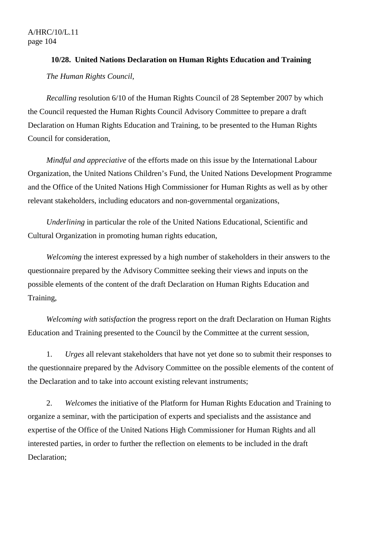# **10/28. United Nations Declaration on Human Rights Education and Training**  *The Human Rights Council*,

*Recalling* resolution 6/10 of the Human Rights Council of 28 September 2007 by which the Council requested the Human Rights Council Advisory Committee to prepare a draft Declaration on Human Rights Education and Training, to be presented to the Human Rights Council for consideration,

*Mindful and appreciative* of the efforts made on this issue by the International Labour Organization, the United Nations Children's Fund, the United Nations Development Programme and the Office of the United Nations High Commissioner for Human Rights as well as by other relevant stakeholders, including educators and non-governmental organizations,

*Underlining* in particular the role of the United Nations Educational, Scientific and Cultural Organization in promoting human rights education,

*Welcoming* the interest expressed by a high number of stakeholders in their answers to the questionnaire prepared by the Advisory Committee seeking their views and inputs on the possible elements of the content of the draft Declaration on Human Rights Education and Training,

*Welcoming with satisfaction* the progress report on the draft Declaration on Human Rights Education and Training presented to the Council by the Committee at the current session,

 1. *Urges* all relevant stakeholders that have not yet done so to submit their responses to the questionnaire prepared by the Advisory Committee on the possible elements of the content of the Declaration and to take into account existing relevant instruments;

 2. *Welcomes* the initiative of the Platform for Human Rights Education and Training to organize a seminar, with the participation of experts and specialists and the assistance and expertise of the Office of the United Nations High Commissioner for Human Rights and all interested parties, in order to further the reflection on elements to be included in the draft Declaration;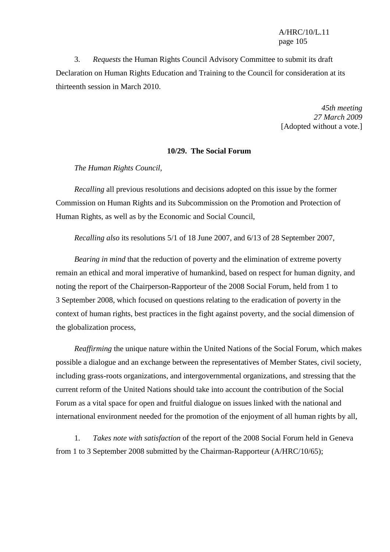3. *Requests* the Human Rights Council Advisory Committee to submit its draft Declaration on Human Rights Education and Training to the Council for consideration at its thirteenth session in March 2010.

> *45th meeting 27 March 2009*  [Adopted without a vote.]

#### **10/29. The Social Forum**

 *The Human Rights Council*,

*Recalling* all previous resolutions and decisions adopted on this issue by the former Commission on Human Rights and its Subcommission on the Promotion and Protection of Human Rights, as well as by the Economic and Social Council,

*Recalling also* its resolutions 5/1 of 18 June 2007, and 6/13 of 28 September 2007,

*Bearing in mind* that the reduction of poverty and the elimination of extreme poverty remain an ethical and moral imperative of humankind, based on respect for human dignity, and noting the report of the Chairperson-Rapporteur of the 2008 Social Forum, held from 1 to 3 September 2008, which focused on questions relating to the eradication of poverty in the context of human rights, best practices in the fight against poverty, and the social dimension of the globalization process,

*Reaffirming* the unique nature within the United Nations of the Social Forum, which makes possible a dialogue and an exchange between the representatives of Member States, civil society, including grass-roots organizations, and intergovernmental organizations, and stressing that the current reform of the United Nations should take into account the contribution of the Social Forum as a vital space for open and fruitful dialogue on issues linked with the national and international environment needed for the promotion of the enjoyment of all human rights by all,

 1. *Takes note with satisfaction* of the report of the 2008 Social Forum held in Geneva from 1 to 3 September 2008 submitted by the Chairman-Rapporteur (A/HRC/10/65);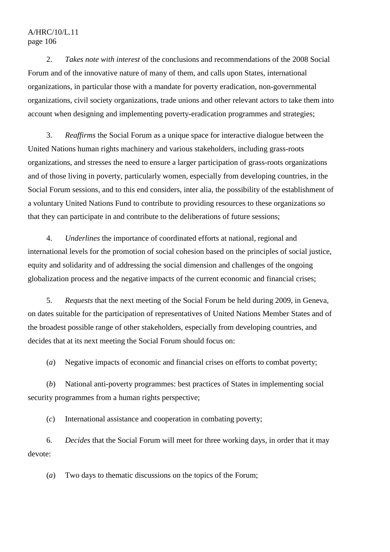2. *Takes note with interest* of the conclusions and recommendations of the 2008 Social Forum and of the innovative nature of many of them, and calls upon States, international organizations, in particular those with a mandate for poverty eradication, non-governmental organizations, civil society organizations, trade unions and other relevant actors to take them into account when designing and implementing poverty-eradication programmes and strategies;

 3. *Reaffirms* the Social Forum as a unique space for interactive dialogue between the United Nations human rights machinery and various stakeholders, including grass-roots organizations, and stresses the need to ensure a larger participation of grass-roots organizations and of those living in poverty, particularly women, especially from developing countries, in the Social Forum sessions, and to this end considers, inter alia, the possibility of the establishment of a voluntary United Nations Fund to contribute to providing resources to these organizations so that they can participate in and contribute to the deliberations of future sessions;

 4. *Underlines* the importance of coordinated efforts at national, regional and international levels for the promotion of social cohesion based on the principles of social justice, equity and solidarity and of addressing the social dimension and challenges of the ongoing globalization process and the negative impacts of the current economic and financial crises;

 5. *Requests* that the next meeting of the Social Forum be held during 2009, in Geneva, on dates suitable for the participation of representatives of United Nations Member States and of the broadest possible range of other stakeholders, especially from developing countries, and decides that at its next meeting the Social Forum should focus on:

(*a*) Negative impacts of economic and financial crises on efforts to combat poverty;

 (*b*) National anti-poverty programmes: best practices of States in implementing social security programmes from a human rights perspective;

(*c*) International assistance and cooperation in combating poverty;

 6. *Decides* that the Social Forum will meet for three working days, in order that it may devote:

(*a*) Two days to thematic discussions on the topics of the Forum;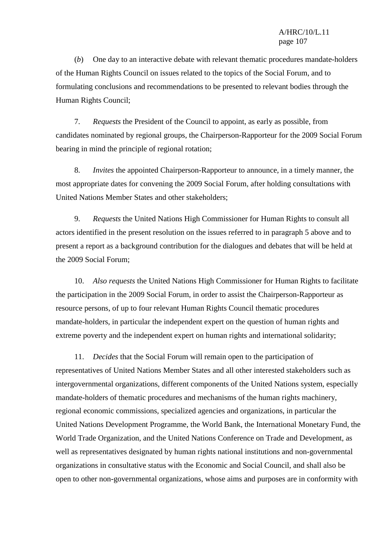(*b*) One day to an interactive debate with relevant thematic procedures mandate-holders of the Human Rights Council on issues related to the topics of the Social Forum, and to formulating conclusions and recommendations to be presented to relevant bodies through the Human Rights Council;

 7. *Requests* the President of the Council to appoint, as early as possible, from candidates nominated by regional groups, the Chairperson-Rapporteur for the 2009 Social Forum bearing in mind the principle of regional rotation;

 8. *Invites* the appointed Chairperson-Rapporteur to announce, in a timely manner, the most appropriate dates for convening the 2009 Social Forum, after holding consultations with United Nations Member States and other stakeholders;

 9. *Requests* the United Nations High Commissioner for Human Rights to consult all actors identified in the present resolution on the issues referred to in paragraph 5 above and to present a report as a background contribution for the dialogues and debates that will be held at the 2009 Social Forum;

 10. *Also requests* the United Nations High Commissioner for Human Rights to facilitate the participation in the 2009 Social Forum, in order to assist the Chairperson-Rapporteur as resource persons, of up to four relevant Human Rights Council thematic procedures mandate-holders, in particular the independent expert on the question of human rights and extreme poverty and the independent expert on human rights and international solidarity;

 11. *Decides* that the Social Forum will remain open to the participation of representatives of United Nations Member States and all other interested stakeholders such as intergovernmental organizations, different components of the United Nations system, especially mandate-holders of thematic procedures and mechanisms of the human rights machinery, regional economic commissions, specialized agencies and organizations, in particular the United Nations Development Programme, the World Bank, the International Monetary Fund, the World Trade Organization, and the United Nations Conference on Trade and Development, as well as representatives designated by human rights national institutions and non-governmental organizations in consultative status with the Economic and Social Council, and shall also be open to other non-governmental organizations, whose aims and purposes are in conformity with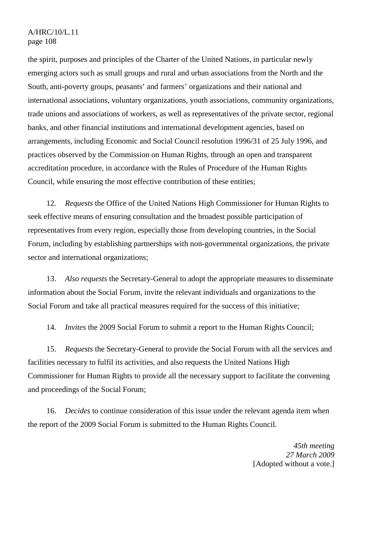the spirit, purposes and principles of the Charter of the United Nations, in particular newly emerging actors such as small groups and rural and urban associations from the North and the South, anti-poverty groups, peasants' and farmers' organizations and their national and international associations, voluntary organizations, youth associations, community organizations, trade unions and associations of workers, as well as representatives of the private sector, regional banks, and other financial institutions and international development agencies, based on arrangements, including Economic and Social Council resolution 1996/31 of 25 July 1996, and practices observed by the Commission on Human Rights, through an open and transparent accreditation procedure, in accordance with the Rules of Procedure of the Human Rights Council, while ensuring the most effective contribution of these entities;

 12. *Requests* the Office of the United Nations High Commissioner for Human Rights to seek effective means of ensuring consultation and the broadest possible participation of representatives from every region, especially those from developing countries, in the Social Forum, including by establishing partnerships with non-governmental organizations, the private sector and international organizations;

 13. *Also requests* the Secretary-General to adopt the appropriate measures to disseminate information about the Social Forum, invite the relevant individuals and organizations to the Social Forum and take all practical measures required for the success of this initiative;

14. *Invites* the 2009 Social Forum to submit a report to the Human Rights Council;

 15. *Requests* the Secretary-General to provide the Social Forum with all the services and facilities necessary to fulfil its activities, and also requests the United Nations High Commissioner for Human Rights to provide all the necessary support to facilitate the convening and proceedings of the Social Forum;

 16. *Decides* to continue consideration of this issue under the relevant agenda item when the report of the 2009 Social Forum is submitted to the Human Rights Council.

> *45th meeting 27 March 2009*  [Adopted without a vote.]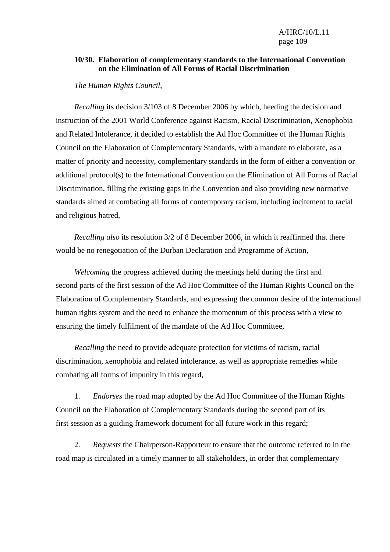#### **10/30. Elaboration of complementary standards to the International Convention on the Elimination of All Forms of Racial Discrimination**

#### *The Human Rights Council*,

*Recalling* its decision 3/103 of 8 December 2006 by which, heeding the decision and instruction of the 2001 World Conference against Racism, Racial Discrimination, Xenophobia and Related Intolerance, it decided to establish the Ad Hoc Committee of the Human Rights Council on the Elaboration of Complementary Standards, with a mandate to elaborate, as a matter of priority and necessity, complementary standards in the form of either a convention or additional protocol(s) to the International Convention on the Elimination of All Forms of Racial Discrimination, filling the existing gaps in the Convention and also providing new normative standards aimed at combating all forms of contemporary racism, including incitement to racial and religious hatred,

*Recalling also* its resolution 3/2 of 8 December 2006, in which it reaffirmed that there would be no renegotiation of the Durban Declaration and Programme of Action,

*Welcoming* the progress achieved during the meetings held during the first and second parts of the first session of the Ad Hoc Committee of the Human Rights Council on the Elaboration of Complementary Standards, and expressing the common desire of the international human rights system and the need to enhance the momentum of this process with a view to ensuring the timely fulfilment of the mandate of the Ad Hoc Committee,

*Recalling* the need to provide adequate protection for victims of racism, racial discrimination, xenophobia and related intolerance, as well as appropriate remedies while combating all forms of impunity in this regard,

 1. *Endorses* the road map adopted by the Ad Hoc Committee of the Human Rights Council on the Elaboration of Complementary Standards during the second part of its first session as a guiding framework document for all future work in this regard;

 2. *Requests* the Chairperson-Rapporteur to ensure that the outcome referred to in the road map is circulated in a timely manner to all stakeholders, in order that complementary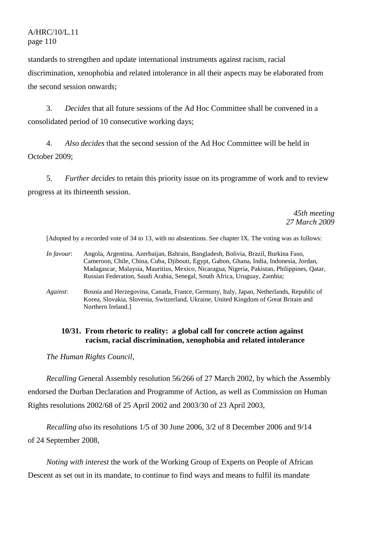standards to strengthen and update international instruments against racism, racial discrimination, xenophobia and related intolerance in all their aspects may be elaborated from the second session onwards;

 3. *Decides* that all future sessions of the Ad Hoc Committee shall be convened in a consolidated period of 10 consecutive working days;

 4. *Also decides* that the second session of the Ad Hoc Committee will be held in October 2009;

 5. *Further decides* to retain this priority issue on its programme of work and to review progress at its thirteenth session.

> *45th meeting 27 March 2009*

[Adopted by a recorded vote of 34 to 13, with no abstentions. See chapter IX. The voting was as follows:

| In favour: | Angola, Argentina, Azerbaijan, Bahrain, Bangladesh, Bolivia, Brazil, Burkina Faso,<br>Cameroon, Chile, China, Cuba, Djibouti, Egypt, Gabon, Ghana, India, Indonesia, Jordan,<br>Madagascar, Malaysia, Mauritius, Mexico, Nicaragua, Nigeria, Pakistan, Philippines, Qatar,<br>Russian Federation, Saudi Arabia, Senegal, South Africa, Uruguay, Zambia; |
|------------|---------------------------------------------------------------------------------------------------------------------------------------------------------------------------------------------------------------------------------------------------------------------------------------------------------------------------------------------------------|
|            | $\mathbf{r}$ , $\mathbf{r}$ , $\mathbf{r}$ , $\mathbf{r}$ , $\mathbf{r}$ , $\mathbf{r}$ , $\mathbf{r}$ , $\mathbf{r}$ , $\mathbf{r}$ , $\mathbf{r}$ , $\mathbf{r}$ , $\mathbf{r}$ , $\mathbf{r}$ , $\mathbf{r}$ , $\mathbf{r}$ , $\mathbf{r}$ , $\mathbf{r}$ , $\mathbf{r}$ , $\mathbf{r}$ , $\mathbf{r}$ , $\$                                         |

*Against*: Bosnia and Herzegovina, Canada, France, Germany, Italy, Japan, Netherlands, Republic of Korea, Slovakia, Slovenia, Switzerland, Ukraine, United Kingdom of Great Britain and Northern Ireland.]

# **10/31. From rhetoric to reality: a global call for concrete action against racism, racial discrimination, xenophobia and related intolerance**

*The Human Rights Council*,

*Recalling* General Assembly resolution 56/266 of 27 March 2002, by which the Assembly endorsed the Durban Declaration and Programme of Action, as well as Commission on Human Rights resolutions 2002/68 of 25 April 2002 and 2003/30 of 23 April 2003,

*Recalling also* its resolutions 1/5 of 30 June 2006, 3/2 of 8 December 2006 and 9/14 of 24 September 2008,

*Noting with interest* the work of the Working Group of Experts on People of African Descent as set out in its mandate, to continue to find ways and means to fulfil its mandate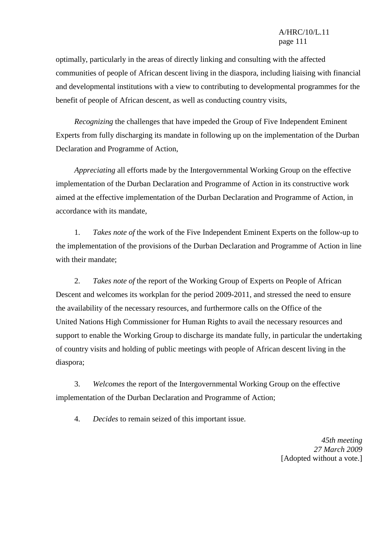optimally, particularly in the areas of directly linking and consulting with the affected communities of people of African descent living in the diaspora, including liaising with financial and developmental institutions with a view to contributing to developmental programmes for the benefit of people of African descent, as well as conducting country visits,

*Recognizing* the challenges that have impeded the Group of Five Independent Eminent Experts from fully discharging its mandate in following up on the implementation of the Durban Declaration and Programme of Action,

*Appreciating* all efforts made by the Intergovernmental Working Group on the effective implementation of the Durban Declaration and Programme of Action in its constructive work aimed at the effective implementation of the Durban Declaration and Programme of Action, in accordance with its mandate,

 1. *Takes note of* the work of the Five Independent Eminent Experts on the follow-up to the implementation of the provisions of the Durban Declaration and Programme of Action in line with their mandate;

 2. *Takes note of* the report of the Working Group of Experts on People of African Descent and welcomes its workplan for the period 2009-2011, and stressed the need to ensure the availability of the necessary resources, and furthermore calls on the Office of the United Nations High Commissioner for Human Rights to avail the necessary resources and support to enable the Working Group to discharge its mandate fully, in particular the undertaking of country visits and holding of public meetings with people of African descent living in the diaspora;

 3. *Welcomes* the report of the Intergovernmental Working Group on the effective implementation of the Durban Declaration and Programme of Action;

4. *Decides* to remain seized of this important issue.

*45th meeting 27 March 2009*  [Adopted without a vote.]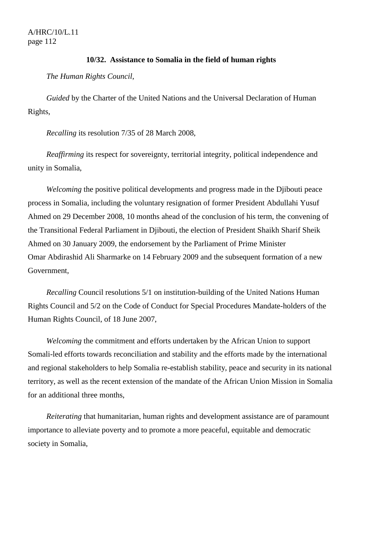#### **10/32. Assistance to Somalia in the field of human rights**

*The Human Rights Council*,

*Guided* by the Charter of the United Nations and the Universal Declaration of Human Rights,

*Recalling* its resolution 7/35 of 28 March 2008,

*Reaffirming* its respect for sovereignty, territorial integrity, political independence and unity in Somalia,

*Welcoming* the positive political developments and progress made in the Djibouti peace process in Somalia, including the voluntary resignation of former President Abdullahi Yusuf Ahmed on 29 December 2008, 10 months ahead of the conclusion of his term, the convening of the Transitional Federal Parliament in Djibouti, the election of President Shaikh Sharif Sheik Ahmed on 30 January 2009, the endorsement by the Parliament of Prime Minister Omar Abdirashid Ali Sharmarke on 14 February 2009 and the subsequent formation of a new Government,

*Recalling* Council resolutions 5/1 on institution-building of the United Nations Human Rights Council and 5/2 on the Code of Conduct for Special Procedures Mandate-holders of the Human Rights Council, of 18 June 2007,

*Welcoming* the commitment and efforts undertaken by the African Union to support Somali-led efforts towards reconciliation and stability and the efforts made by the international and regional stakeholders to help Somalia re-establish stability, peace and security in its national territory, as well as the recent extension of the mandate of the African Union Mission in Somalia for an additional three months,

*Reiterating* that humanitarian, human rights and development assistance are of paramount importance to alleviate poverty and to promote a more peaceful, equitable and democratic society in Somalia,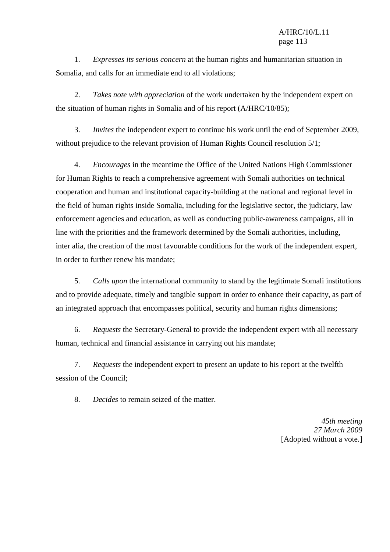1. *Expresses its serious concern* at the human rights and humanitarian situation in Somalia, and calls for an immediate end to all violations;

 2. *Takes note with appreciation* of the work undertaken by the independent expert on the situation of human rights in Somalia and of his report (A/HRC/10/85);

 3. *Invites* the independent expert to continue his work until the end of September 2009, without prejudice to the relevant provision of Human Rights Council resolution 5/1;

 4. *Encourages* in the meantime the Office of the United Nations High Commissioner for Human Rights to reach a comprehensive agreement with Somali authorities on technical cooperation and human and institutional capacity-building at the national and regional level in the field of human rights inside Somalia, including for the legislative sector, the judiciary, law enforcement agencies and education, as well as conducting public-awareness campaigns, all in line with the priorities and the framework determined by the Somali authorities, including, inter alia, the creation of the most favourable conditions for the work of the independent expert, in order to further renew his mandate;

 5. *Calls upon* the international community to stand by the legitimate Somali institutions and to provide adequate, timely and tangible support in order to enhance their capacity, as part of an integrated approach that encompasses political, security and human rights dimensions;

 6. *Requests* the Secretary-General to provide the independent expert with all necessary human, technical and financial assistance in carrying out his mandate;

 7. *Requests* the independent expert to present an update to his report at the twelfth session of the Council;

8. *Decides* to remain seized of the matter.

*45th meeting 27 March 2009*  [Adopted without a vote.]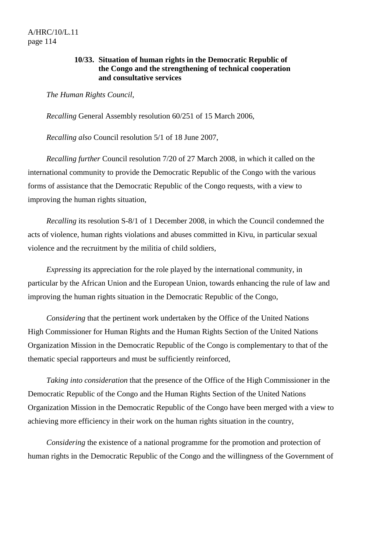## **10/33. Situation of human rights in the Democratic Republic of the Congo and the strengthening of technical cooperation and consultative services**

*The Human Rights Council*,

*Recalling* General Assembly resolution 60/251 of 15 March 2006,

*Recalling also* Council resolution 5/1 of 18 June 2007,

*Recalling further* Council resolution 7/20 of 27 March 2008, in which it called on the international community to provide the Democratic Republic of the Congo with the various forms of assistance that the Democratic Republic of the Congo requests, with a view to improving the human rights situation,

*Recalling* its resolution S-8/1 of 1 December 2008, in which the Council condemned the acts of violence, human rights violations and abuses committed in Kivu, in particular sexual violence and the recruitment by the militia of child soldiers,

*Expressing* its appreciation for the role played by the international community, in particular by the African Union and the European Union, towards enhancing the rule of law and improving the human rights situation in the Democratic Republic of the Congo,

*Considering* that the pertinent work undertaken by the Office of the United Nations High Commissioner for Human Rights and the Human Rights Section of the United Nations Organization Mission in the Democratic Republic of the Congo is complementary to that of the thematic special rapporteurs and must be sufficiently reinforced,

*Taking into consideration* that the presence of the Office of the High Commissioner in the Democratic Republic of the Congo and the Human Rights Section of the United Nations Organization Mission in the Democratic Republic of the Congo have been merged with a view to achieving more efficiency in their work on the human rights situation in the country,

*Considering* the existence of a national programme for the promotion and protection of human rights in the Democratic Republic of the Congo and the willingness of the Government of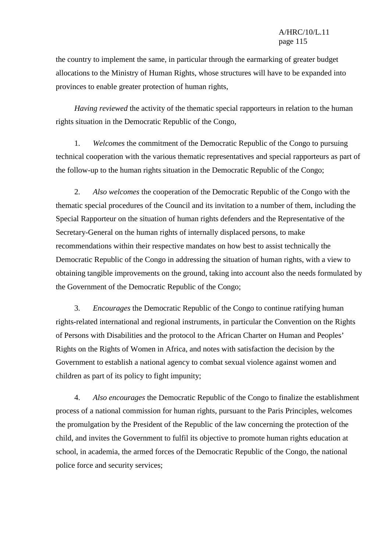the country to implement the same, in particular through the earmarking of greater budget allocations to the Ministry of Human Rights, whose structures will have to be expanded into provinces to enable greater protection of human rights,

*Having reviewed* the activity of the thematic special rapporteurs in relation to the human rights situation in the Democratic Republic of the Congo,

 1. *Welcomes* the commitment of the Democratic Republic of the Congo to pursuing technical cooperation with the various thematic representatives and special rapporteurs as part of the follow-up to the human rights situation in the Democratic Republic of the Congo;

 2. *Also welcomes* the cooperation of the Democratic Republic of the Congo with the thematic special procedures of the Council and its invitation to a number of them, including the Special Rapporteur on the situation of human rights defenders and the Representative of the Secretary-General on the human rights of internally displaced persons, to make recommendations within their respective mandates on how best to assist technically the Democratic Republic of the Congo in addressing the situation of human rights, with a view to obtaining tangible improvements on the ground, taking into account also the needs formulated by the Government of the Democratic Republic of the Congo;

 3. *Encourages* the Democratic Republic of the Congo to continue ratifying human rights-related international and regional instruments, in particular the Convention on the Rights of Persons with Disabilities and the protocol to the African Charter on Human and Peoples' Rights on the Rights of Women in Africa, and notes with satisfaction the decision by the Government to establish a national agency to combat sexual violence against women and children as part of its policy to fight impunity;

 4. *Also encourages* the Democratic Republic of the Congo to finalize the establishment process of a national commission for human rights, pursuant to the Paris Principles, welcomes the promulgation by the President of the Republic of the law concerning the protection of the child, and invites the Government to fulfil its objective to promote human rights education at school, in academia, the armed forces of the Democratic Republic of the Congo, the national police force and security services;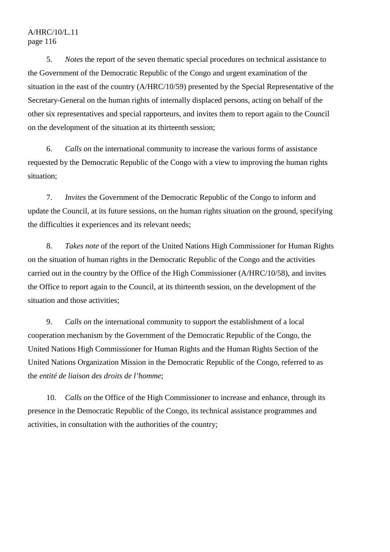5. *Notes* the report of the seven thematic special procedures on technical assistance to the Government of the Democratic Republic of the Congo and urgent examination of the situation in the east of the country (A/HRC/10/59) presented by the Special Representative of the Secretary-General on the human rights of internally displaced persons, acting on behalf of the other six representatives and special rapporteurs, and invites them to report again to the Council on the development of the situation at its thirteenth session;

 6. *Calls on* the international community to increase the various forms of assistance requested by the Democratic Republic of the Congo with a view to improving the human rights situation;

 7. *Invites* the Government of the Democratic Republic of the Congo to inform and update the Council, at its future sessions, on the human rights situation on the ground, specifying the difficulties it experiences and its relevant needs;

 8. *Takes note* of the report of the United Nations High Commissioner for Human Rights on the situation of human rights in the Democratic Republic of the Congo and the activities carried out in the country by the Office of the High Commissioner (A/HRC/10/58), and invites the Office to report again to the Council, at its thirteenth session, on the development of the situation and those activities;

 9. *Calls on* the international community to support the establishment of a local cooperation mechanism by the Government of the Democratic Republic of the Congo, the United Nations High Commissioner for Human Rights and the Human Rights Section of the United Nations Organization Mission in the Democratic Republic of the Congo, referred to as the *entité de liaison des droits de l'homme*;

 10. *Calls on* the Office of the High Commissioner to increase and enhance, through its presence in the Democratic Republic of the Congo, its technical assistance programmes and activities, in consultation with the authorities of the country;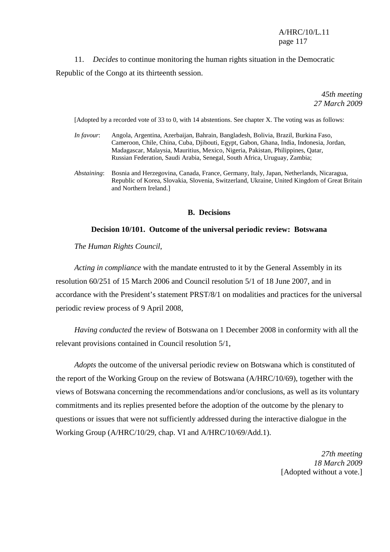11. *Decides* to continue monitoring the human rights situation in the Democratic

Republic of the Congo at its thirteenth session.

*45th meeting 27 March 2009* 

[Adopted by a recorded vote of 33 to 0, with 14 abstentions. See chapter X. The voting was as follows:

| In favour: | Angola, Argentina, Azerbaijan, Bahrain, Bangladesh, Bolivia, Brazil, Burkina Faso,     |
|------------|----------------------------------------------------------------------------------------|
|            | Cameroon, Chile, China, Cuba, Djibouti, Egypt, Gabon, Ghana, India, Indonesia, Jordan, |
|            | Madagascar, Malaysia, Mauritius, Mexico, Nigeria, Pakistan, Philippines, Qatar,        |
|            | Russian Federation, Saudi Arabia, Senegal, South Africa, Uruguay, Zambia;              |

*Abstaining*: Bosnia and Herzegovina, Canada, France, Germany, Italy, Japan, Netherlands, Nicaragua, Republic of Korea, Slovakia, Slovenia, Switzerland, Ukraine, United Kingdom of Great Britain and Northern Ireland.]

#### **B. Decisions**

#### **Decision 10/101. Outcome of the universal periodic review: Botswana**

 *The Human Rights Council*,

 *Acting in compliance* with the mandate entrusted to it by the General Assembly in its resolution 60/251 of 15 March 2006 and Council resolution 5/1 of 18 June 2007, and in accordance with the President's statement PRST/8/1 on modalities and practices for the universal periodic review process of 9 April 2008,

 *Having conducted* the review of Botswana on 1 December 2008 in conformity with all the relevant provisions contained in Council resolution 5/1,

 *Adopts* the outcome of the universal periodic review on Botswana which is constituted of the report of the Working Group on the review of Botswana (A/HRC/10/69), together with the views of Botswana concerning the recommendations and/or conclusions, as well as its voluntary commitments and its replies presented before the adoption of the outcome by the plenary to questions or issues that were not sufficiently addressed during the interactive dialogue in the Working Group (A/HRC/10/29, chap. VI and A/HRC/10/69/Add.1).

> *27th meeting 18 March 2009*  [Adopted without a vote.]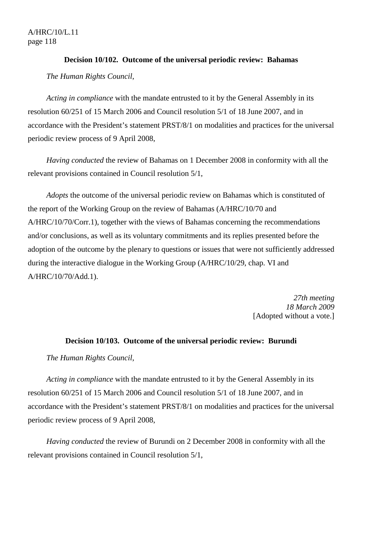# **Decision 10/102. Outcome of the universal periodic review: Bahamas**

 *The Human Rights Council*,

 *Acting in compliance* with the mandate entrusted to it by the General Assembly in its resolution 60/251 of 15 March 2006 and Council resolution 5/1 of 18 June 2007, and in accordance with the President's statement PRST/8/1 on modalities and practices for the universal periodic review process of 9 April 2008,

 *Having conducted* the review of Bahamas on 1 December 2008 in conformity with all the relevant provisions contained in Council resolution 5/1,

 *Adopts* the outcome of the universal periodic review on Bahamas which is constituted of the report of the Working Group on the review of Bahamas (A/HRC/10/70 and A/HRC/10/70/Corr.1), together with the views of Bahamas concerning the recommendations and/or conclusions, as well as its voluntary commitments and its replies presented before the adoption of the outcome by the plenary to questions or issues that were not sufficiently addressed during the interactive dialogue in the Working Group (A/HRC/10/29, chap. VI and A/HRC/10/70/Add.1).

> *27th meeting 18 March 2009*  [Adopted without a vote.]

#### **Decision 10/103. Outcome of the universal periodic review: Burundi**

 *The Human Rights Council*,

 *Acting in compliance* with the mandate entrusted to it by the General Assembly in its resolution 60/251 of 15 March 2006 and Council resolution 5/1 of 18 June 2007, and in accordance with the President's statement PRST/8/1 on modalities and practices for the universal periodic review process of 9 April 2008,

 *Having conducted* the review of Burundi on 2 December 2008 in conformity with all the relevant provisions contained in Council resolution 5/1,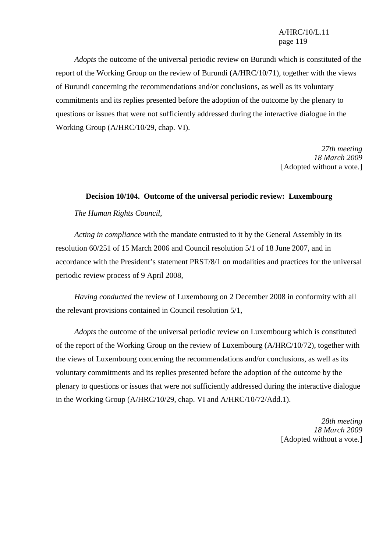*Adopts* the outcome of the universal periodic review on Burundi which is constituted of the report of the Working Group on the review of Burundi (A/HRC/10/71), together with the views of Burundi concerning the recommendations and/or conclusions, as well as its voluntary commitments and its replies presented before the adoption of the outcome by the plenary to questions or issues that were not sufficiently addressed during the interactive dialogue in the Working Group (A/HRC/10/29, chap. VI).

> *27th meeting 18 March 2009*  [Adopted without a vote.]

# **Decision 10/104. Outcome of the universal periodic review: Luxembourg**

 *The Human Rights Council*,

 *Acting in compliance* with the mandate entrusted to it by the General Assembly in its resolution 60/251 of 15 March 2006 and Council resolution 5/1 of 18 June 2007, and in accordance with the President's statement PRST/8/1 on modalities and practices for the universal periodic review process of 9 April 2008,

 *Having conducted* the review of Luxembourg on 2 December 2008 in conformity with all the relevant provisions contained in Council resolution 5/1,

 *Adopts* the outcome of the universal periodic review on Luxembourg which is constituted of the report of the Working Group on the review of Luxembourg (A/HRC/10/72), together with the views of Luxembourg concerning the recommendations and/or conclusions, as well as its voluntary commitments and its replies presented before the adoption of the outcome by the plenary to questions or issues that were not sufficiently addressed during the interactive dialogue in the Working Group (A/HRC/10/29, chap. VI and A/HRC/10/72/Add.1).

> *28th meeting 18 March 2009*  [Adopted without a vote.]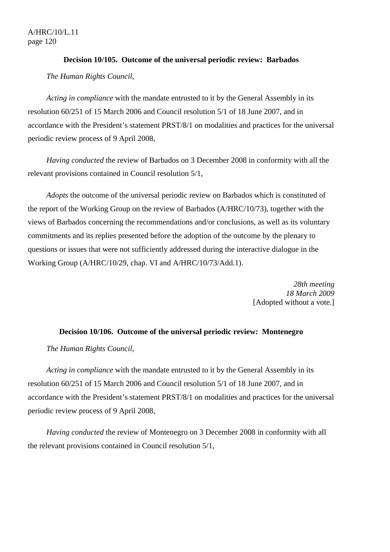#### **Decision 10/105. Outcome of the universal periodic review: Barbados**

 *The Human Rights Council*,

 *Acting in compliance* with the mandate entrusted to it by the General Assembly in its resolution 60/251 of 15 March 2006 and Council resolution 5/1 of 18 June 2007, and in accordance with the President's statement PRST/8/1 on modalities and practices for the universal periodic review process of 9 April 2008,

 *Having conducted* the review of Barbados on 3 December 2008 in conformity with all the relevant provisions contained in Council resolution 5/1,

 *Adopts* the outcome of the universal periodic review on Barbados which is constituted of the report of the Working Group on the review of Barbados (A/HRC/10/73), together with the views of Barbados concerning the recommendations and/or conclusions, as well as its voluntary commitments and its replies presented before the adoption of the outcome by the plenary to questions or issues that were not sufficiently addressed during the interactive dialogue in the Working Group (A/HRC/10/29, chap. VI and A/HRC/10/73/Add.1).

> *28th meeting 18 March 2009*  [Adopted without a vote.]

#### **Decision 10/106. Outcome of the universal periodic review: Montenegro**

# *The Human Rights Council*,

 *Acting in compliance* with the mandate entrusted to it by the General Assembly in its resolution 60/251 of 15 March 2006 and Council resolution 5/1 of 18 June 2007, and in accordance with the President's statement PRST/8/1 on modalities and practices for the universal periodic review process of 9 April 2008,

 *Having conducted* the review of Montenegro on 3 December 2008 in conformity with all the relevant provisions contained in Council resolution 5/1,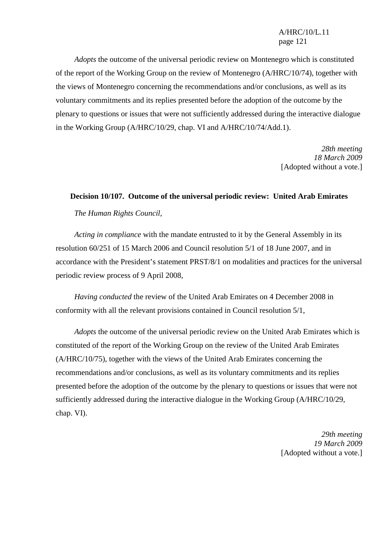*Adopts* the outcome of the universal periodic review on Montenegro which is constituted of the report of the Working Group on the review of Montenegro (A/HRC/10/74), together with the views of Montenegro concerning the recommendations and/or conclusions, as well as its voluntary commitments and its replies presented before the adoption of the outcome by the plenary to questions or issues that were not sufficiently addressed during the interactive dialogue in the Working Group (A/HRC/10/29, chap. VI and A/HRC/10/74/Add.1).

> *28th meeting 18 March 2009*  [Adopted without a vote.]

# **Decision 10/107. Outcome of the universal periodic review: United Arab Emirates**   *The Human Rights Council*,

 *Acting in compliance* with the mandate entrusted to it by the General Assembly in its resolution 60/251 of 15 March 2006 and Council resolution 5/1 of 18 June 2007, and in accordance with the President's statement PRST/8/1 on modalities and practices for the universal periodic review process of 9 April 2008,

 *Having conducted* the review of the United Arab Emirates on 4 December 2008 in conformity with all the relevant provisions contained in Council resolution 5/1,

 *Adopts* the outcome of the universal periodic review on the United Arab Emirates which is constituted of the report of the Working Group on the review of the United Arab Emirates (A/HRC/10/75), together with the views of the United Arab Emirates concerning the recommendations and/or conclusions, as well as its voluntary commitments and its replies presented before the adoption of the outcome by the plenary to questions or issues that were not sufficiently addressed during the interactive dialogue in the Working Group (A/HRC/10/29, chap. VI).

> *29th meeting 19 March 2009*  [Adopted without a vote.]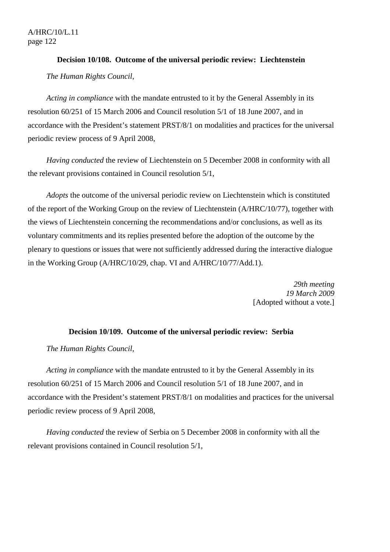# **Decision 10/108. Outcome of the universal periodic review: Liechtenstein**

 *The Human Rights Council*,

 *Acting in compliance* with the mandate entrusted to it by the General Assembly in its resolution 60/251 of 15 March 2006 and Council resolution 5/1 of 18 June 2007, and in accordance with the President's statement PRST/8/1 on modalities and practices for the universal periodic review process of 9 April 2008,

 *Having conducted* the review of Liechtenstein on 5 December 2008 in conformity with all the relevant provisions contained in Council resolution 5/1,

 *Adopts* the outcome of the universal periodic review on Liechtenstein which is constituted of the report of the Working Group on the review of Liechtenstein (A/HRC/10/77), together with the views of Liechtenstein concerning the recommendations and/or conclusions, as well as its voluntary commitments and its replies presented before the adoption of the outcome by the plenary to questions or issues that were not sufficiently addressed during the interactive dialogue in the Working Group (A/HRC/10/29, chap. VI and A/HRC/10/77/Add.1).

> *29th meeting 19 March 2009*  [Adopted without a vote.]

# **Decision 10/109. Outcome of the universal periodic review: Serbia**

# *The Human Rights Council*,

 *Acting in compliance* with the mandate entrusted to it by the General Assembly in its resolution 60/251 of 15 March 2006 and Council resolution 5/1 of 18 June 2007, and in accordance with the President's statement PRST/8/1 on modalities and practices for the universal periodic review process of 9 April 2008,

 *Having conducted* the review of Serbia on 5 December 2008 in conformity with all the relevant provisions contained in Council resolution 5/1,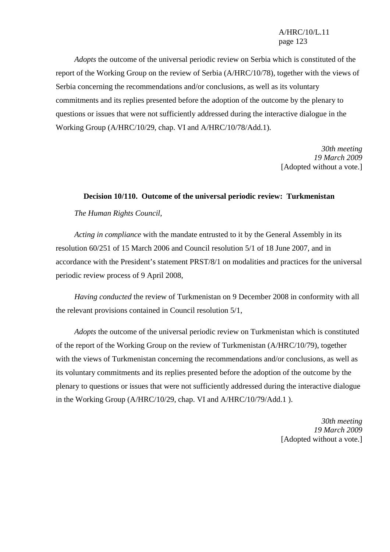*Adopts* the outcome of the universal periodic review on Serbia which is constituted of the report of the Working Group on the review of Serbia (A/HRC/10/78), together with the views of Serbia concerning the recommendations and/or conclusions, as well as its voluntary commitments and its replies presented before the adoption of the outcome by the plenary to questions or issues that were not sufficiently addressed during the interactive dialogue in the Working Group (A/HRC/10/29, chap. VI and A/HRC/10/78/Add.1).

> *30th meeting 19 March 2009*  [Adopted without a vote.]

#### **Decision 10/110. Outcome of the universal periodic review: Turkmenistan**

 *The Human Rights Council*,

 *Acting in compliance* with the mandate entrusted to it by the General Assembly in its resolution 60/251 of 15 March 2006 and Council resolution 5/1 of 18 June 2007, and in accordance with the President's statement PRST/8/1 on modalities and practices for the universal periodic review process of 9 April 2008,

 *Having conducted* the review of Turkmenistan on 9 December 2008 in conformity with all the relevant provisions contained in Council resolution 5/1,

 *Adopts* the outcome of the universal periodic review on Turkmenistan which is constituted of the report of the Working Group on the review of Turkmenistan (A/HRC/10/79), together with the views of Turkmenistan concerning the recommendations and/or conclusions, as well as its voluntary commitments and its replies presented before the adoption of the outcome by the plenary to questions or issues that were not sufficiently addressed during the interactive dialogue in the Working Group (A/HRC/10/29, chap. VI and A/HRC/10/79/Add.1 ).

> *30th meeting 19 March 2009*  [Adopted without a vote.]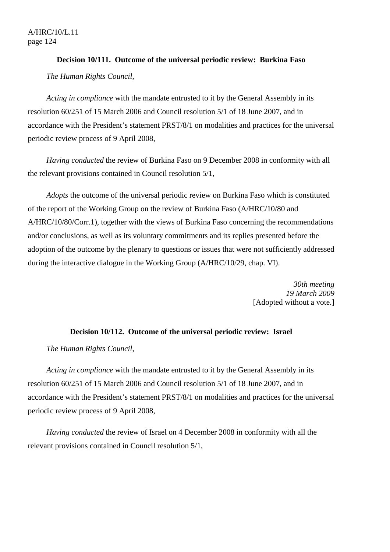# **Decision 10/111. Outcome of the universal periodic review: Burkina Faso**   *The Human Rights Council*,

 *Acting in compliance* with the mandate entrusted to it by the General Assembly in its resolution 60/251 of 15 March 2006 and Council resolution 5/1 of 18 June 2007, and in accordance with the President's statement PRST/8/1 on modalities and practices for the universal periodic review process of 9 April 2008,

 *Having conducted* the review of Burkina Faso on 9 December 2008 in conformity with all the relevant provisions contained in Council resolution 5/1,

 *Adopts* the outcome of the universal periodic review on Burkina Faso which is constituted of the report of the Working Group on the review of Burkina Faso (A/HRC/10/80 and A/HRC/10/80/Corr.1), together with the views of Burkina Faso concerning the recommendations and/or conclusions, as well as its voluntary commitments and its replies presented before the adoption of the outcome by the plenary to questions or issues that were not sufficiently addressed during the interactive dialogue in the Working Group (A/HRC/10/29, chap. VI).

> *30th meeting 19 March 2009*  [Adopted without a vote.]

#### **Decision 10/112. Outcome of the universal periodic review: Israel**

# *The Human Rights Council*,

 *Acting in compliance* with the mandate entrusted to it by the General Assembly in its resolution 60/251 of 15 March 2006 and Council resolution 5/1 of 18 June 2007, and in accordance with the President's statement PRST/8/1 on modalities and practices for the universal periodic review process of 9 April 2008,

 *Having conducted* the review of Israel on 4 December 2008 in conformity with all the relevant provisions contained in Council resolution 5/1,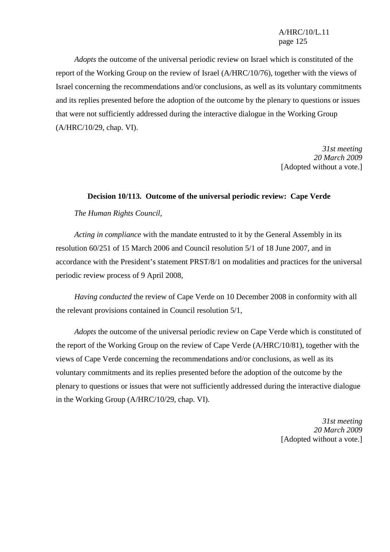*Adopts* the outcome of the universal periodic review on Israel which is constituted of the report of the Working Group on the review of Israel (A/HRC/10/76), together with the views of Israel concerning the recommendations and/or conclusions, as well as its voluntary commitments and its replies presented before the adoption of the outcome by the plenary to questions or issues that were not sufficiently addressed during the interactive dialogue in the Working Group (A/HRC/10/29, chap. VI).

> *31st meeting 20 March 2009*  [Adopted without a vote.]

#### **Decision 10/113. Outcome of the universal periodic review: Cape Verde**

 *The Human Rights Council*,

 *Acting in compliance* with the mandate entrusted to it by the General Assembly in its resolution 60/251 of 15 March 2006 and Council resolution 5/1 of 18 June 2007, and in accordance with the President's statement PRST/8/1 on modalities and practices for the universal periodic review process of 9 April 2008,

 *Having conducted* the review of Cape Verde on 10 December 2008 in conformity with all the relevant provisions contained in Council resolution 5/1,

 *Adopts* the outcome of the universal periodic review on Cape Verde which is constituted of the report of the Working Group on the review of Cape Verde (A/HRC/10/81), together with the views of Cape Verde concerning the recommendations and/or conclusions, as well as its voluntary commitments and its replies presented before the adoption of the outcome by the plenary to questions or issues that were not sufficiently addressed during the interactive dialogue in the Working Group (A/HRC/10/29, chap. VI).

> *31st meeting 20 March 2009*  [Adopted without a vote.]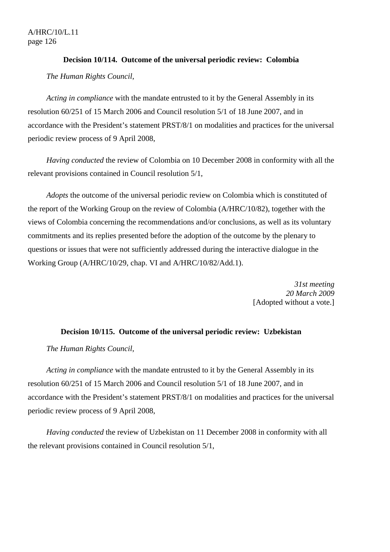## **Decision 10/114. Outcome of the universal periodic review: Colombia**

 *The Human Rights Council*,

 *Acting in compliance* with the mandate entrusted to it by the General Assembly in its resolution 60/251 of 15 March 2006 and Council resolution 5/1 of 18 June 2007, and in accordance with the President's statement PRST/8/1 on modalities and practices for the universal periodic review process of 9 April 2008,

 *Having conducted* the review of Colombia on 10 December 2008 in conformity with all the relevant provisions contained in Council resolution 5/1,

 *Adopts* the outcome of the universal periodic review on Colombia which is constituted of the report of the Working Group on the review of Colombia (A/HRC/10/82), together with the views of Colombia concerning the recommendations and/or conclusions, as well as its voluntary commitments and its replies presented before the adoption of the outcome by the plenary to questions or issues that were not sufficiently addressed during the interactive dialogue in the Working Group (A/HRC/10/29, chap. VI and A/HRC/10/82/Add.1).

> *31st meeting 20 March 2009*  [Adopted without a vote.]

#### **Decision 10/115. Outcome of the universal periodic review: Uzbekistan**

# *The Human Rights Council*,

 *Acting in compliance* with the mandate entrusted to it by the General Assembly in its resolution 60/251 of 15 March 2006 and Council resolution 5/1 of 18 June 2007, and in accordance with the President's statement PRST/8/1 on modalities and practices for the universal periodic review process of 9 April 2008,

 *Having conducted* the review of Uzbekistan on 11 December 2008 in conformity with all the relevant provisions contained in Council resolution 5/1,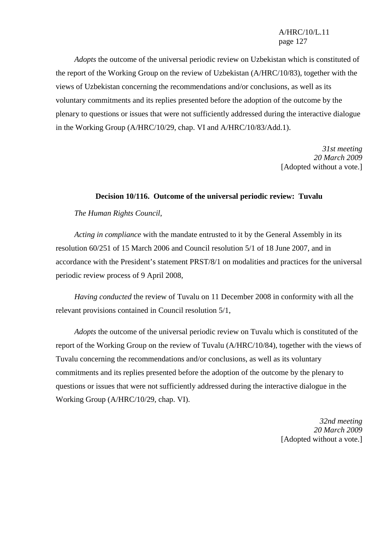*Adopts* the outcome of the universal periodic review on Uzbekistan which is constituted of the report of the Working Group on the review of Uzbekistan (A/HRC/10/83), together with the views of Uzbekistan concerning the recommendations and/or conclusions, as well as its voluntary commitments and its replies presented before the adoption of the outcome by the plenary to questions or issues that were not sufficiently addressed during the interactive dialogue in the Working Group (A/HRC/10/29, chap. VI and A/HRC/10/83/Add.1).

> *31st meeting 20 March 2009*  [Adopted without a vote.]

#### **Decision 10/116. Outcome of the universal periodic review: Tuvalu**

 *The Human Rights Council*,

 *Acting in compliance* with the mandate entrusted to it by the General Assembly in its resolution 60/251 of 15 March 2006 and Council resolution 5/1 of 18 June 2007, and in accordance with the President's statement PRST/8/1 on modalities and practices for the universal periodic review process of 9 April 2008,

 *Having conducted* the review of Tuvalu on 11 December 2008 in conformity with all the relevant provisions contained in Council resolution 5/1,

 *Adopts* the outcome of the universal periodic review on Tuvalu which is constituted of the report of the Working Group on the review of Tuvalu (A/HRC/10/84), together with the views of Tuvalu concerning the recommendations and/or conclusions, as well as its voluntary commitments and its replies presented before the adoption of the outcome by the plenary to questions or issues that were not sufficiently addressed during the interactive dialogue in the Working Group (A/HRC/10/29, chap. VI).

> *32nd meeting 20 March 2009*  [Adopted without a vote.]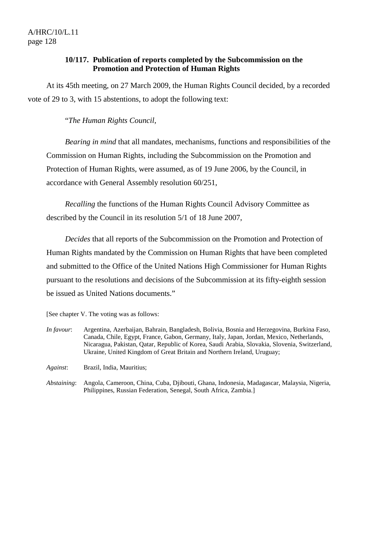#### **10/117. Publication of reports completed by the Subcommission on the Promotion and Protection of Human Rights**

 At its 45th meeting, on 27 March 2009, the Human Rights Council decided, by a recorded vote of 29 to 3, with 15 abstentions, to adopt the following text:

"*The Human Rights Council*,

 *Bearing in mind* that all mandates, mechanisms, functions and responsibilities of the Commission on Human Rights, including the Subcommission on the Promotion and Protection of Human Rights, were assumed, as of 19 June 2006, by the Council, in accordance with General Assembly resolution 60/251,

 *Recalling* the functions of the Human Rights Council Advisory Committee as described by the Council in its resolution 5/1 of 18 June 2007,

 *Decides* that all reports of the Subcommission on the Promotion and Protection of Human Rights mandated by the Commission on Human Rights that have been completed and submitted to the Office of the United Nations High Commissioner for Human Rights pursuant to the resolutions and decisions of the Subcommission at its fifty-eighth session be issued as United Nations documents."

[See chapter V. The voting was as follows:

*In favour*: Argentina, Azerbaijan, Bahrain, Bangladesh, Bolivia, Bosnia and Herzegovina, Burkina Faso, Canada, Chile, Egypt, France, Gabon, Germany, Italy, Japan, Jordan, Mexico, Netherlands, Nicaragua, Pakistan, Qatar, Republic of Korea, Saudi Arabia, Slovakia, Slovenia, Switzerland, Ukraine, United Kingdom of Great Britain and Northern Ireland, Uruguay;

*Against*: Brazil, India, Mauritius;

*Abstaining*: Angola, Cameroon, China, Cuba, Djibouti, Ghana, Indonesia, Madagascar, Malaysia, Nigeria, Philippines, Russian Federation, Senegal, South Africa, Zambia.]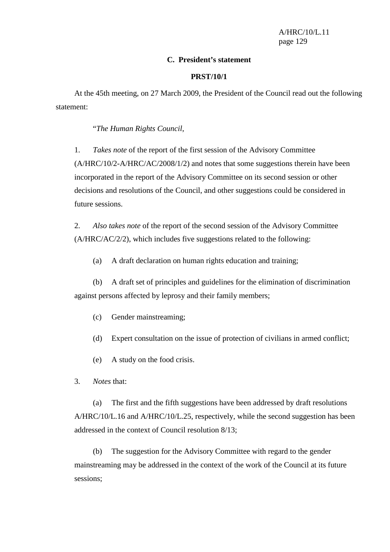#### **C. President's statement**

#### **PRST/10/1**

 At the 45th meeting, on 27 March 2009, the President of the Council read out the following statement:

"*The Human Rights Council*,

1. *Takes note* of the report of the first session of the Advisory Committee (A/HRC/10/2-A/HRC/AC/2008/1/2) and notes that some suggestions therein have been incorporated in the report of the Advisory Committee on its second session or other decisions and resolutions of the Council, and other suggestions could be considered in future sessions.

2. *Also takes note* of the report of the second session of the Advisory Committee (A/HRC/AC/2/2), which includes five suggestions related to the following:

(a) A draft declaration on human rights education and training;

 (b) A draft set of principles and guidelines for the elimination of discrimination against persons affected by leprosy and their family members;

- (c) Gender mainstreaming;
- (d) Expert consultation on the issue of protection of civilians in armed conflict;
- (e) A study on the food crisis.
- 3. *Notes* that:

 (a) The first and the fifth suggestions have been addressed by draft resolutions A/HRC/10/L.16 and A/HRC/10/L.25, respectively, while the second suggestion has been addressed in the context of Council resolution 8/13;

 (b) The suggestion for the Advisory Committee with regard to the gender mainstreaming may be addressed in the context of the work of the Council at its future sessions;